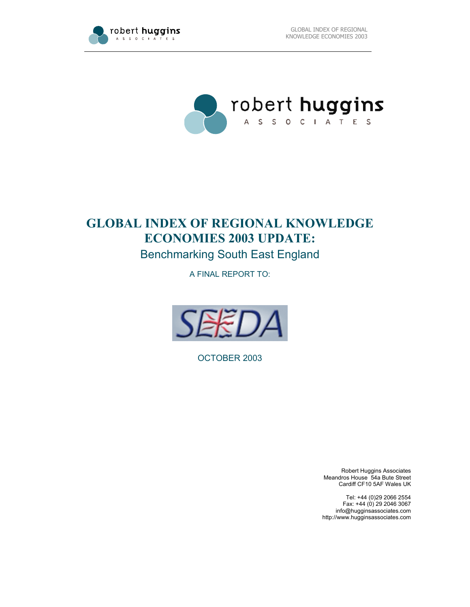



# **GLOBAL INDEX OF REGIONAL KNOWLEDGE ECONOMIES 2003 UPDATE:**

Benchmarking South East England

A FINAL REPORT TO:



OCTOBER 2003

Robert Huggins Associates Meandros House 54a Bute Street Cardiff CF10 5AF Wales UK

Tel: +44 (0)29 2066 2554 Fax: +44 (0) 29 2046 3067 info@hugginsassociates.com http://www.hugginsassociates.com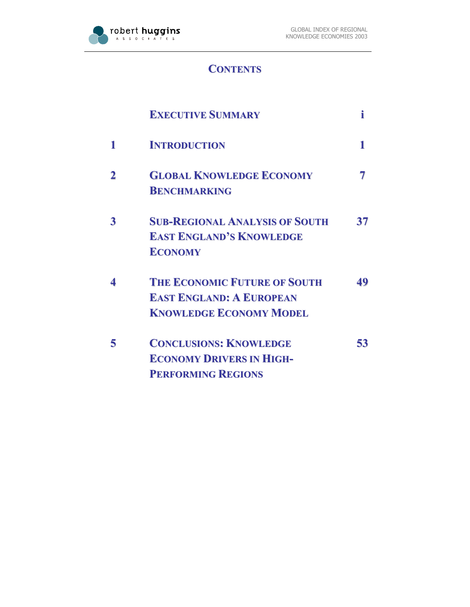

## **CONTENTS**

|                         | <b>EXECUTIVE SUMMARY</b>                                                                                 | i  |
|-------------------------|----------------------------------------------------------------------------------------------------------|----|
| 1                       | <b>INTRODUCTION</b>                                                                                      |    |
| $\overline{\mathbf{2}}$ | <b>GLOBAL KNOWLEDGE ECONOMY</b><br><b>BENCHMARKING</b>                                                   |    |
| $\overline{\mathbf{3}}$ | <b>SUB-REGIONAL ANALYSIS OF SOUTH</b><br><b>EAST ENGLAND'S KNOWLEDGE</b><br><b>ECONOMY</b>               | 37 |
| 4                       | <b>THE ECONOMIC FUTURE OF SOUTH</b><br><b>EAST ENGLAND: A EUROPEAN</b><br><b>KNOWLEDGE ECONOMY MODEL</b> | 49 |
| 5                       | <b>CONCLUSIONS: KNOWLEDGE</b><br><b>ECONOMY DRIVERS IN HIGH-</b><br><b>PERFORMING REGIONS</b>            | 53 |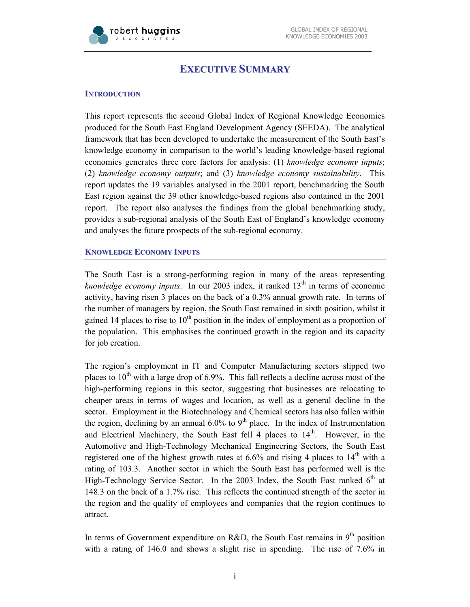

## **EXECUTIVE SUMMARY**

## **INTRODUCTION**

This report represents the second Global Index of Regional Knowledge Economies produced for the South East England Development Agency (SEEDA). The analytical framework that has been developed to undertake the measurement of the South East's knowledge economy in comparison to the world's leading knowledge-based regional economies generates three core factors for analysis: (1) *knowledge economy inputs*; (2) *knowledge economy outputs*; and (3) *knowledge economy sustainability*. This report updates the 19 variables analysed in the 2001 report, benchmarking the South East region against the 39 other knowledge-based regions also contained in the 2001 report. The report also analyses the findings from the global benchmarking study, provides a sub-regional analysis of the South East of England's knowledge economy and analyses the future prospects of the sub-regional economy.

#### **KNOWLEDGE ECONOMY INPUTS**

The South East is a strong-performing region in many of the areas representing *knowledge economy inputs*. In our 2003 index, it ranked 13<sup>th</sup> in terms of economic activity, having risen 3 places on the back of a 0.3% annual growth rate. In terms of the number of managers by region, the South East remained in sixth position, whilst it gained 14 places to rise to  $10<sup>th</sup>$  position in the index of employment as a proportion of the population. This emphasises the continued growth in the region and its capacity for job creation.

The region's employment in IT and Computer Manufacturing sectors slipped two places to  $10^{th}$  with a large drop of 6.9%. This fall reflects a decline across most of the high-performing regions in this sector, suggesting that businesses are relocating to cheaper areas in terms of wages and location, as well as a general decline in the sector. Employment in the Biotechnology and Chemical sectors has also fallen within the region, declining by an annual  $6.0\%$  to  $9<sup>th</sup>$  place. In the index of Instrumentation and Electrical Machinery, the South East fell 4 places to  $14<sup>th</sup>$ . However, in the Automotive and High-Technology Mechanical Engineering Sectors, the South East registered one of the highest growth rates at  $6.6\%$  and rising 4 places to  $14<sup>th</sup>$  with a rating of 103.3. Another sector in which the South East has performed well is the High-Technology Service Sector. In the 2003 Index, the South East ranked  $6<sup>th</sup>$  at 148.3 on the back of a 1.7% rise. This reflects the continued strength of the sector in the region and the quality of employees and companies that the region continues to attract.

In terms of Government expenditure on R&D, the South East remains in  $9<sup>th</sup>$  position with a rating of 146.0 and shows a slight rise in spending. The rise of 7.6% in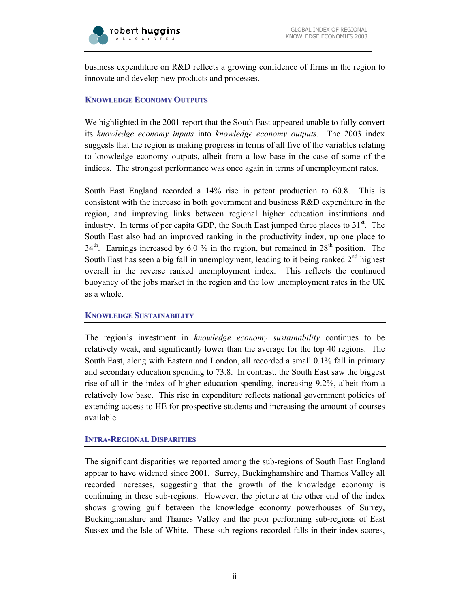

business expenditure on R&D reflects a growing confidence of firms in the region to innovate and develop new products and processes.

### **KNOWLEDGE ECONOMY OUTPUTS**

We highlighted in the 2001 report that the South East appeared unable to fully convert its *knowledge economy inputs* into *knowledge economy outputs*. The 2003 index suggests that the region is making progress in terms of all five of the variables relating to knowledge economy outputs, albeit from a low base in the case of some of the indices. The strongest performance was once again in terms of unemployment rates.

South East England recorded a 14% rise in patent production to 60.8. This is consistent with the increase in both government and business R&D expenditure in the region, and improving links between regional higher education institutions and industry. In terms of per capita GDP, the South East jumped three places to  $31<sup>st</sup>$ . The South East also had an improved ranking in the productivity index, up one place to  $34<sup>th</sup>$ . Earnings increased by 6.0 % in the region, but remained in  $28<sup>th</sup>$  position. The South East has seen a big fall in unemployment, leading to it being ranked  $2<sup>nd</sup>$  highest overall in the reverse ranked unemployment index. This reflects the continued buoyancy of the jobs market in the region and the low unemployment rates in the UK as a whole.

#### **KNOWLEDGE SUSTAINABILITY**

The region's investment in *knowledge economy sustainability* continues to be relatively weak, and significantly lower than the average for the top 40 regions. The South East, along with Eastern and London, all recorded a small 0.1% fall in primary and secondary education spending to 73.8. In contrast, the South East saw the biggest rise of all in the index of higher education spending, increasing 9.2%, albeit from a relatively low base. This rise in expenditure reflects national government policies of extending access to HE for prospective students and increasing the amount of courses available.

#### **INTRA-REGIONAL DISPARITIES**

The significant disparities we reported among the sub-regions of South East England appear to have widened since 2001. Surrey, Buckinghamshire and Thames Valley all recorded increases, suggesting that the growth of the knowledge economy is continuing in these sub-regions. However, the picture at the other end of the index shows growing gulf between the knowledge economy powerhouses of Surrey, Buckinghamshire and Thames Valley and the poor performing sub-regions of East Sussex and the Isle of White. These sub-regions recorded falls in their index scores,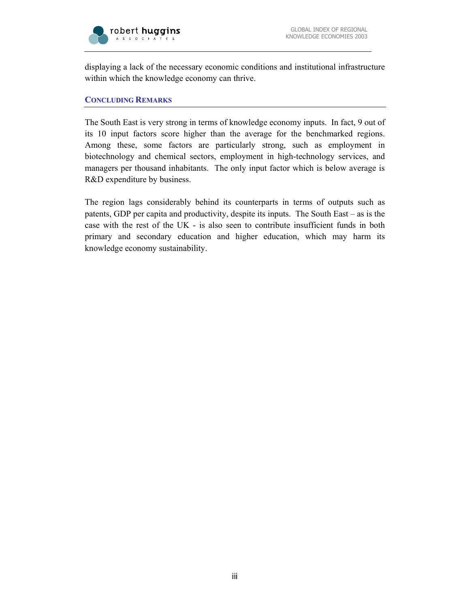

displaying a lack of the necessary economic conditions and institutional infrastructure within which the knowledge economy can thrive.

#### **CONCLUDING REMARKS**

The South East is very strong in terms of knowledge economy inputs. In fact, 9 out of its 10 input factors score higher than the average for the benchmarked regions. Among these, some factors are particularly strong, such as employment in biotechnology and chemical sectors, employment in high-technology services, and managers per thousand inhabitants. The only input factor which is below average is R&D expenditure by business.

The region lags considerably behind its counterparts in terms of outputs such as patents, GDP per capita and productivity, despite its inputs. The South East – as is the case with the rest of the UK - is also seen to contribute insufficient funds in both primary and secondary education and higher education, which may harm its knowledge economy sustainability.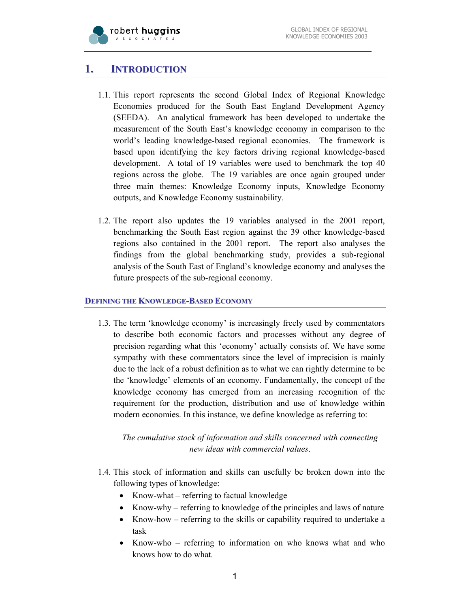

## **1. INTRODUCTION**

- 1.1. This report represents the second Global Index of Regional Knowledge Economies produced for the South East England Development Agency (SEEDA). An analytical framework has been developed to undertake the measurement of the South East's knowledge economy in comparison to the world's leading knowledge-based regional economies. The framework is based upon identifying the key factors driving regional knowledge-based development. A total of 19 variables were used to benchmark the top 40 regions across the globe. The 19 variables are once again grouped under three main themes: Knowledge Economy inputs, Knowledge Economy outputs, and Knowledge Economy sustainability.
- 1.2. The report also updates the 19 variables analysed in the 2001 report, benchmarking the South East region against the 39 other knowledge-based regions also contained in the 2001 report. The report also analyses the findings from the global benchmarking study, provides a sub-regional analysis of the South East of England's knowledge economy and analyses the future prospects of the sub-regional economy.

## **DEFINING THE KNOWLEDGE-BASED ECONOMY**

1.3. The term 'knowledge economy' is increasingly freely used by commentators to describe both economic factors and processes without any degree of precision regarding what this 'economy' actually consists of. We have some sympathy with these commentators since the level of imprecision is mainly due to the lack of a robust definition as to what we can rightly determine to be the 'knowledge' elements of an economy. Fundamentally, the concept of the knowledge economy has emerged from an increasing recognition of the requirement for the production, distribution and use of knowledge within modern economies. In this instance, we define knowledge as referring to:

## *The cumulative stock of information and skills concerned with connecting new ideas with commercial values*.

- 1.4. This stock of information and skills can usefully be broken down into the following types of knowledge:
	- Know-what referring to factual knowledge
	- Know-why referring to knowledge of the principles and laws of nature
	- Know-how referring to the skills or capability required to undertake a task
	- Know-who referring to information on who knows what and who knows how to do what.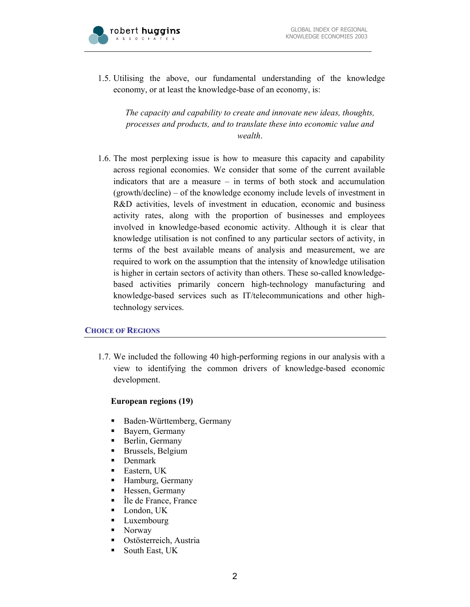

1.5. Utilising the above, our fundamental understanding of the knowledge economy, or at least the knowledge-base of an economy, is:

*The capacity and capability to create and innovate new ideas, thoughts, processes and products, and to translate these into economic value and wealth*.

1.6. The most perplexing issue is how to measure this capacity and capability across regional economies. We consider that some of the current available indicators that are a measure – in terms of both stock and accumulation (growth/decline) – of the knowledge economy include levels of investment in R&D activities, levels of investment in education, economic and business activity rates, along with the proportion of businesses and employees involved in knowledge-based economic activity. Although it is clear that knowledge utilisation is not confined to any particular sectors of activity, in terms of the best available means of analysis and measurement, we are required to work on the assumption that the intensity of knowledge utilisation is higher in certain sectors of activity than others. These so-called knowledgebased activities primarily concern high-technology manufacturing and knowledge-based services such as IT/telecommunications and other hightechnology services.

#### **CHOICE OF REGIONS**

1.7. We included the following 40 high-performing regions in our analysis with a view to identifying the common drivers of knowledge-based economic development.

#### **European regions (19)**

- Baden-Württemberg, Germany
- Bayern, Germany
- Berlin, Germany
- **Brussels, Belgium**
- Denmark
- **Eastern**, UK
- Hamburg, Germany
- **Hessen**, Germany
- Île de France, France
- **London**, UK
- **Luxembourg**
- Norway
- Ostösterreich, Austria
- **South East, UK**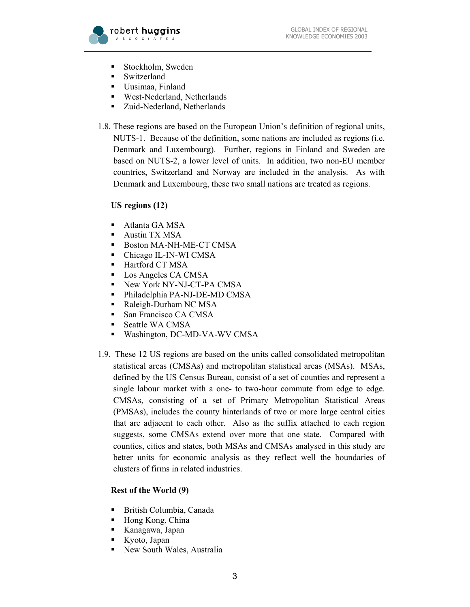

- **Stockholm, Sweden**
- Switzerland
- Uusimaa, Finland
- West-Nederland, Netherlands
- Zuid-Nederland, Netherlands
- 1.8. These regions are based on the European Union's definition of regional units, NUTS-1. Because of the definition, some nations are included as regions (i.e. Denmark and Luxembourg). Further, regions in Finland and Sweden are based on NUTS-2, a lower level of units. In addition, two non-EU member countries, Switzerland and Norway are included in the analysis. As with Denmark and Luxembourg, these two small nations are treated as regions.

## **US regions (12)**

- Atlanta GA MSA
- **Austin TX MSA**
- Boston MA-NH-ME-CT CMSA
- Chicago IL-IN-WI CMSA
- **Hartford CT MSA**
- **Los Angeles CA CMSA**
- New York NY-NJ-CT-PA CMSA
- Philadelphia PA-NJ-DE-MD CMSA
- Raleigh-Durham NC MSA
- San Francisco CA CMSA
- Seattle WA CMSA
- Washington, DC-MD-VA-WV CMSA
- 1.9. These 12 US regions are based on the units called consolidated metropolitan statistical areas (CMSAs) and metropolitan statistical areas (MSAs). MSAs, defined by the US Census Bureau, consist of a set of counties and represent a single labour market with a one- to two-hour commute from edge to edge. CMSAs, consisting of a set of Primary Metropolitan Statistical Areas (PMSAs), includes the county hinterlands of two or more large central cities that are adjacent to each other. Also as the suffix attached to each region suggests, some CMSAs extend over more that one state. Compared with counties, cities and states, both MSAs and CMSAs analysed in this study are better units for economic analysis as they reflect well the boundaries of clusters of firms in related industries.

## **Rest of the World (9)**

- British Columbia, Canada
- Hong Kong, China
- Kanagawa, Japan
- Kyoto, Japan
- New South Wales, Australia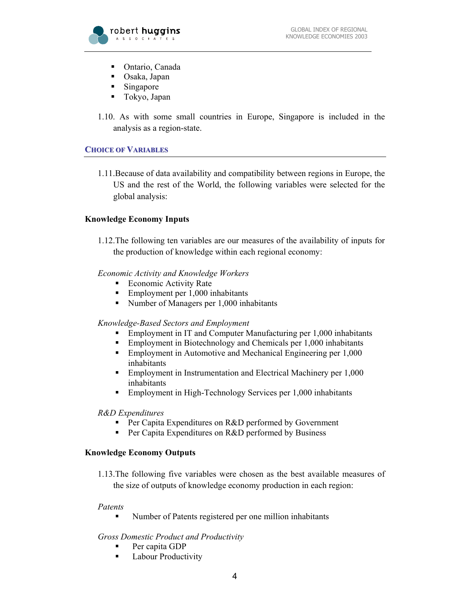

- Ontario, Canada
- Osaka, Japan
- Singapore
- Tokyo, Japan
- 1.10. As with some small countries in Europe, Singapore is included in the analysis as a region-state.

## **CHOICE OF VARIABLES**

1.11.Because of data availability and compatibility between regions in Europe, the US and the rest of the World, the following variables were selected for the global analysis:

## **Knowledge Economy Inputs**

1.12.The following ten variables are our measures of the availability of inputs for the production of knowledge within each regional economy:

## *Economic Activity and Knowledge Workers*

- Economic Activity Rate
- Employment per 1,000 inhabitants
- Number of Managers per 1,000 inhabitants

## *Knowledge-Based Sectors and Employment*

- Employment in IT and Computer Manufacturing per 1,000 inhabitants
- Employment in Biotechnology and Chemicals per 1,000 inhabitants
- **Employment in Automotive and Mechanical Engineering per 1,000** inhabitants
- **Employment in Instrumentation and Electrical Machinery per 1,000** inhabitants
- Employment in High-Technology Services per 1,000 inhabitants

## *R&D Expenditures*

- **Per Capita Expenditures on R&D performed by Government**
- **Per Capita Expenditures on R&D performed by Business**

## **Knowledge Economy Outputs**

1.13.The following five variables were chosen as the best available measures of the size of outputs of knowledge economy production in each region:

## *Patents*

Number of Patents registered per one million inhabitants

## *Gross Domestic Product and Productivity*

- Per capita GDP
- **Labour Productivity**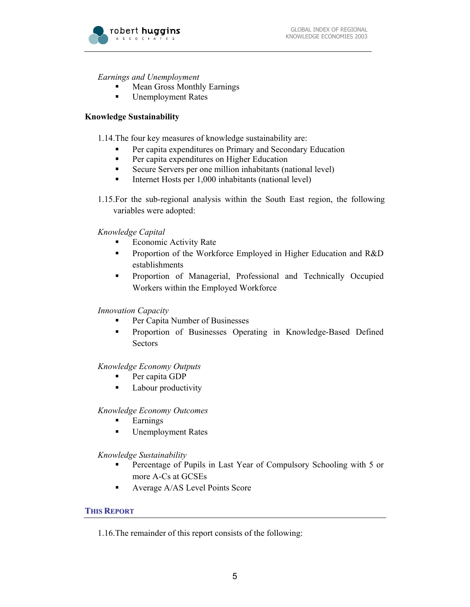

*Earnings and Unemployment* 

- Mean Gross Monthly Earnings
- Unemployment Rates

### **Knowledge Sustainability**

1.14.The four key measures of knowledge sustainability are:

- Per capita expenditures on Primary and Secondary Education
- **Per capita expenditures on Higher Education**
- Secure Servers per one million inhabitants (national level)
- Internet Hosts per  $1,000$  inhabitants (national level)
- 1.15.For the sub-regional analysis within the South East region, the following variables were adopted:

*Knowledge Capital* 

- Economic Activity Rate
- **Proportion of the Workforce Employed in Higher Education and R&D** establishments
- Proportion of Managerial, Professional and Technically Occupied Workers within the Employed Workforce

## *Innovation Capacity*

- **Per Capita Number of Businesses**
- **•** Proportion of Businesses Operating in Knowledge-Based Defined Sectors

#### *Knowledge Economy Outputs*

- Per capita GDP
- **Labour productivity**

#### *Knowledge Economy Outcomes*

- Earnings
- Unemployment Rates

*Knowledge Sustainability* 

- Percentage of Pupils in Last Year of Compulsory Schooling with 5 or more A-Cs at GCSEs
- Average A/AS Level Points Score

## **THIS REPORT**

1.16.The remainder of this report consists of the following: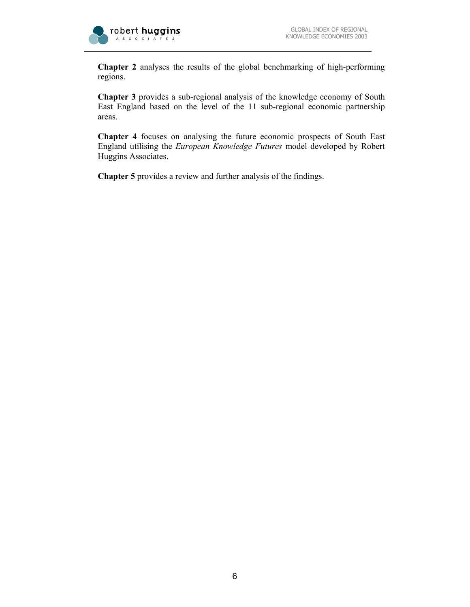

**Chapter 2** analyses the results of the global benchmarking of high-performing regions.

**Chapter 3** provides a sub-regional analysis of the knowledge economy of South East England based on the level of the 11 sub-regional economic partnership areas.

**Chapter 4** focuses on analysing the future economic prospects of South East England utilising the *European Knowledge Futures* model developed by Robert Huggins Associates.

**Chapter 5** provides a review and further analysis of the findings.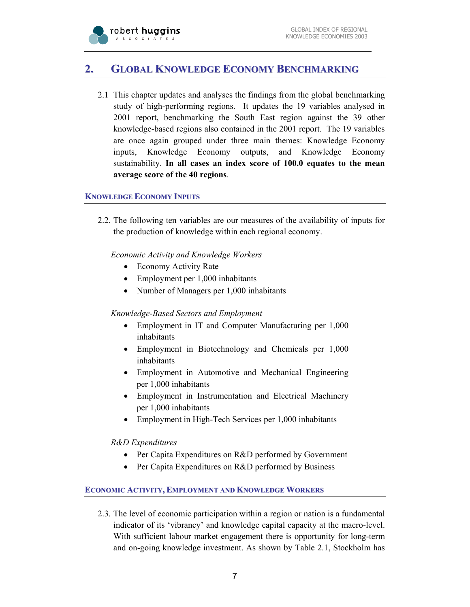

## **2. GLOBAL KNOWLEDGE ECONOMY BENCHMARKING**

2.1 This chapter updates and analyses the findings from the global benchmarking study of high-performing regions. It updates the 19 variables analysed in 2001 report, benchmarking the South East region against the 39 other knowledge-based regions also contained in the 2001 report. The 19 variables are once again grouped under three main themes: Knowledge Economy inputs, Knowledge Economy outputs, and Knowledge Economy sustainability. **In all cases an index score of 100.0 equates to the mean average score of the 40 regions**.

## **KNOWLEDGE ECONOMY INPUTS**

2.2. The following ten variables are our measures of the availability of inputs for the production of knowledge within each regional economy.

*Economic Activity and Knowledge Workers* 

- Economy Activity Rate
- Employment per 1,000 inhabitants
- Number of Managers per 1,000 inhabitants

## *Knowledge-Based Sectors and Employment*

- Employment in IT and Computer Manufacturing per 1,000 inhabitants
- Employment in Biotechnology and Chemicals per 1,000 inhabitants
- Employment in Automotive and Mechanical Engineering per 1,000 inhabitants
- Employment in Instrumentation and Electrical Machinery per 1,000 inhabitants
- Employment in High-Tech Services per 1,000 inhabitants

*R&D Expenditures* 

- Per Capita Expenditures on R&D performed by Government
- Per Capita Expenditures on R&D performed by Business

## **ECONOMIC ACTIVITY, EMPLOYMENT AND KNOWLEDGE WORKERS**

2.3. The level of economic participation within a region or nation is a fundamental indicator of its 'vibrancy' and knowledge capital capacity at the macro-level. With sufficient labour market engagement there is opportunity for long-term and on-going knowledge investment. As shown by Table 2.1, Stockholm has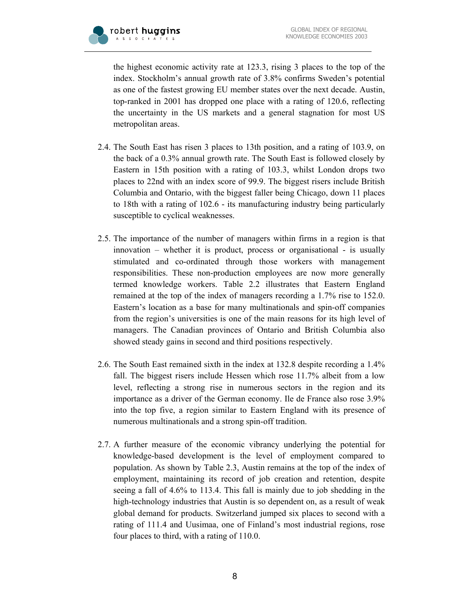the highest economic activity rate at 123.3, rising 3 places to the top of the index. Stockholm's annual growth rate of 3.8% confirms Sweden's potential as one of the fastest growing EU member states over the next decade. Austin, top-ranked in 2001 has dropped one place with a rating of 120.6, reflecting the uncertainty in the US markets and a general stagnation for most US metropolitan areas.

- 2.4. The South East has risen 3 places to 13th position, and a rating of 103.9, on the back of a 0.3% annual growth rate. The South East is followed closely by Eastern in 15th position with a rating of 103.3, whilst London drops two places to 22nd with an index score of 99.9. The biggest risers include British Columbia and Ontario, with the biggest faller being Chicago, down 11 places to 18th with a rating of 102.6 - its manufacturing industry being particularly susceptible to cyclical weaknesses.
- 2.5. The importance of the number of managers within firms in a region is that innovation – whether it is product, process or organisational - is usually stimulated and co-ordinated through those workers with management responsibilities. These non-production employees are now more generally termed knowledge workers. Table 2.2 illustrates that Eastern England remained at the top of the index of managers recording a 1.7% rise to 152.0. Eastern's location as a base for many multinationals and spin-off companies from the region's universities is one of the main reasons for its high level of managers. The Canadian provinces of Ontario and British Columbia also showed steady gains in second and third positions respectively.
- 2.6. The South East remained sixth in the index at 132.8 despite recording a 1.4% fall. The biggest risers include Hessen which rose 11.7% albeit from a low level, reflecting a strong rise in numerous sectors in the region and its importance as a driver of the German economy. Ile de France also rose 3.9% into the top five, a region similar to Eastern England with its presence of numerous multinationals and a strong spin-off tradition.
- 2.7. A further measure of the economic vibrancy underlying the potential for knowledge-based development is the level of employment compared to population. As shown by Table 2.3, Austin remains at the top of the index of employment, maintaining its record of job creation and retention, despite seeing a fall of 4.6% to 113.4. This fall is mainly due to job shedding in the high-technology industries that Austin is so dependent on, as a result of weak global demand for products. Switzerland jumped six places to second with a rating of 111.4 and Uusimaa, one of Finland's most industrial regions, rose four places to third, with a rating of 110.0.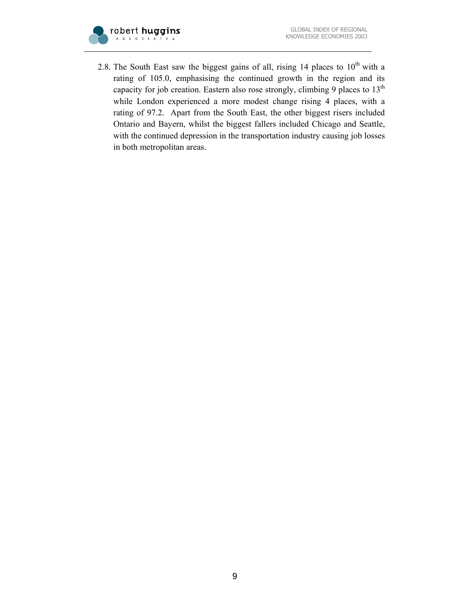

2.8. The South East saw the biggest gains of all, rising 14 places to  $10^{th}$  with a rating of 105.0, emphasising the continued growth in the region and its capacity for job creation. Eastern also rose strongly, climbing 9 places to 13<sup>th</sup> while London experienced a more modest change rising 4 places, with a rating of 97.2. Apart from the South East, the other biggest risers included Ontario and Bayern, whilst the biggest fallers included Chicago and Seattle, with the continued depression in the transportation industry causing job losses in both metropolitan areas.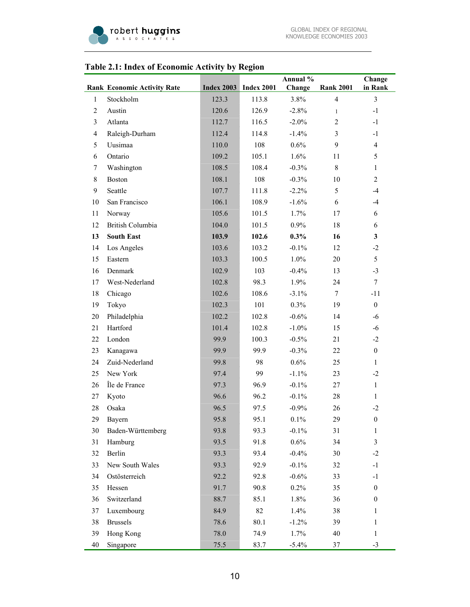

## **Rank Economic Activity Rate Index 2003 Index 2001 Annual % Change Rank 2001 Change in Rank**  1 Stockholm 123.3 113.8 3.8% 4 3 2 Austin 120.6 126.9 -2.8% 1 -1 3 Atlanta 112.7 116.5 -2.0% 2 -1 4 Raleigh-Durham 112.4 114.8 -1.4% 3 -1 5 Uusimaa 110.0 108 0.6% 9 4 6 Ontario 109.2 105.1 1.6% 11 5 7 Washington 108.5 108.4 -0.3% 8 1 8 Boston 108.1 108 -0.3% 10 2 9 Seattle 107.7 111.8 -2.2% 5 -4 10 San Francisco 106.1 108.9 -1.6% 6 -4 11 Norway 105.6 101.5 1.7% 17 6 12 British Columbia 104.0 101.5 0.9% 18 6 **13 South East 103.9 102.6 0.3% 16 3**  14 Los Angeles 103.6 103.2 -0.1% 12 -2 15 Eastern 103.3 100.5 1.0% 20 5 16 Denmark 102.9 103 -0.4% 13 -3 17 West-Nederland 102.8 98.3 1.9% 24 7 18 Chicago 102.6 108.6 -3.1% 7 -11 19 Tokyo 102.3 101 0.3% 19 0 20 Philadelphia 102.2 102.8 -0.6% 14 -6 21 Hartford 101.4 102.8 -1.0% 15 -6 22 London 99.9 100.3 -0.5% 21 -2 23 Kanagawa 99.9 99.9 -0.3% 22 0 24 Zuid-Nederland 99.8 98 0.6% 25 1 25 New York 97.4 99 -1.1% 23 -2 26 Île de France 27 97.3 96.9 -0.1% 27 1 27 Kyoto 96.6 96.2 -0.1% 28 1 28 Osaka 96.5 97.5 -0.9% 26 -2 29 Bayern 95.8 95.1 0.1% 29 0 30 Baden-Württemberg 93.8 93.3 -0.1% 31 1 31 Hamburg 93.5 91.8 0.6% 34 3 32 Berlin 93.3 93.4 -0.4% 30 -2 33 New South Wales 93.3 92.9 -0.1% 32 -1 34 Ostösterreich 92.2 92.8 -0.6% 33 -1 35 Hessen 91.7 90.8 0.2% 35 0

#### **Table 2.1: Index of Economic Activity by Region**

36 Switzerland 88.7 85.1 1.8% 36 0 37 Luxembourg 84.9 82 1.4% 38 1 38 Brussels 78.6 80.1 -1.2% 39 1 39 Hong Kong 78.0 74.9 1.7% 40 1 40 Singapore 20 75.5 83.7 -5.4% 37 -3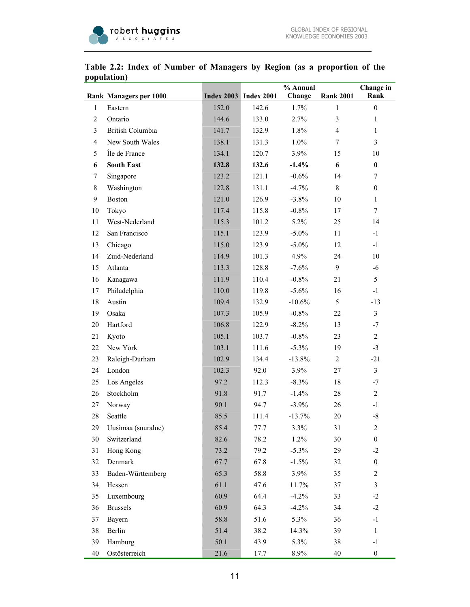

|                | <b>Rank Managers per 1000</b> |       | <b>Index 2003</b> Index 2001 | % Annual<br>Change | <b>Rank 2001</b> | Change in<br>Rank |
|----------------|-------------------------------|-------|------------------------------|--------------------|------------------|-------------------|
| $\mathbf{1}$   | Eastern                       | 152.0 | 142.6                        | 1.7%               | $\mathbf{1}$     | $\boldsymbol{0}$  |
| $\overline{c}$ | Ontario                       | 144.6 | 133.0                        | 2.7%               | 3                | $\mathbf{1}$      |
| 3              | British Columbia              | 141.7 | 132.9                        | 1.8%               | $\overline{4}$   | $\mathbf{1}$      |
| 4              | New South Wales               | 138.1 | 131.3                        | 1.0%               | $\tau$           | $\overline{3}$    |
| 5              | Île de France                 | 134.1 | 120.7                        | 3.9%               | 15               | 10                |
| 6              | <b>South East</b>             | 132.8 | 132.6                        | $-1.4%$            | 6                | $\bf{0}$          |
| 7              | Singapore                     | 123.2 | 121.1                        | $-0.6%$            | 14               | 7                 |
| 8              | Washington                    | 122.8 | 131.1                        | $-4.7%$            | 8                | $\boldsymbol{0}$  |
| 9              | <b>Boston</b>                 | 121.0 | 126.9                        | $-3.8\%$           | 10               | $\mathbf{1}$      |
| 10             | Tokyo                         | 117.4 | 115.8                        | $-0.8%$            | 17               | $\tau$            |
| 11             | West-Nederland                | 115.3 | 101.2                        | 5.2%               | 25               | 14                |
| 12             | San Francisco                 | 115.1 | 123.9                        | $-5.0\%$           | 11               | $-1$              |
| 13             | Chicago                       | 115.0 | 123.9                        | $-5.0\%$           | 12               | $-1$              |
| 14             | Zuid-Nederland                | 114.9 | 101.3                        | 4.9%               | 24               | 10                |
| 15             | Atlanta                       | 113.3 | 128.8                        | $-7.6%$            | 9                | $-6$              |
| 16             | Kanagawa                      | 111.9 | 110.4                        | $-0.8\%$           | 21               | 5                 |
| 17             | Philadelphia                  | 110.0 | 119.8                        | $-5.6\%$           | 16               | $-1$              |
| 18             | Austin                        | 109.4 | 132.9                        | $-10.6%$           | 5                | $-13$             |
| 19             | Osaka                         | 107.3 | 105.9                        | $-0.8%$            | 22               | $\mathfrak{Z}$    |
| 20             | Hartford                      | 106.8 | 122.9                        | $-8.2\%$           | 13               | $-7$              |
| 21             | Kyoto                         | 105.1 | 103.7                        | $-0.8\%$           | 23               | $\overline{c}$    |
| 22             | New York                      | 103.1 | 111.6                        | $-5.3\%$           | 19               | $-3$              |
| 23             | Raleigh-Durham                | 102.9 | 134.4                        | $-13.8%$           | $\overline{2}$   | $-21$             |
| 24             | London                        | 102.3 | 92.0                         | $3.9\%$            | 27               | $\overline{3}$    |
| 25             | Los Angeles                   | 97.2  | 112.3                        | $-8.3\%$           | 18               | $-7$              |
| 26             | Stockholm                     | 91.8  | 91.7                         | $-1.4%$            | 28               | $\overline{2}$    |
| 27             | Norway                        | 90.1  | 94.7                         | $-3.9%$            | 26               | $-1$              |
| 28             | Seattle                       | 85.5  | 111.4                        | $-13.7%$           | 20               | $\textsf{-}8$     |
| 29             | Uusimaa (suuralue)            | 85.4  | 77.7                         | 3.3%               | 31               | 2                 |
| 30             | Switzerland                   | 82.6  | 78.2                         | 1.2%               | 30               | $\boldsymbol{0}$  |
| 31             | Hong Kong                     | 73.2  | 79.2                         | $-5.3%$            | 29               | $-2$              |
| 32             | Denmark                       | 67.7  | 67.8                         | $-1.5%$            | 32               | $\boldsymbol{0}$  |
| 33             | Baden-Württemberg             | 65.3  | 58.8                         | 3.9%               | 35               | $\overline{c}$    |
| 34             | Hessen                        | 61.1  | 47.6                         | 11.7%              | 37               | 3                 |
| 35             | Luxembourg                    | 60.9  | 64.4                         | $-4.2%$            | 33               | $-2$              |
| 36             | <b>Brussels</b>               | 60.9  | 64.3                         | $-4.2%$            | 34               | $-2$              |
| 37             | Bayern                        | 58.8  | 51.6                         | 5.3%               | 36               | $-1$              |
| 38             | Berlin                        | 51.4  | 38.2                         | 14.3%              | 39               | $\mathbf{1}$      |
| 39             | Hamburg                       | 50.1  | 43.9                         | 5.3%               | 38               | $-1$              |
| 40             | Ostösterreich                 | 21.6  | 17.7                         | 8.9%               | 40               | $\boldsymbol{0}$  |

## **Table 2.2: Index of Number of Managers by Region (as a proportion of the population)**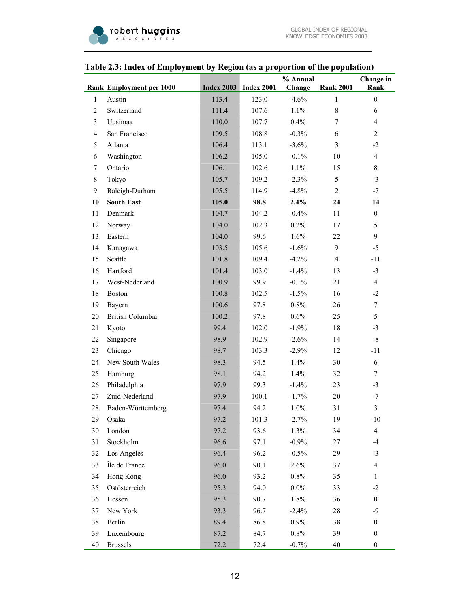|                | raoic 2.0. maea or Employment by Tegron (as a proportion or the population) |       |                              |                    |                  |                          |
|----------------|-----------------------------------------------------------------------------|-------|------------------------------|--------------------|------------------|--------------------------|
|                | Rank Employment per 1000                                                    |       | <b>Index 2003</b> Index 2001 | % Annual<br>Change | <b>Rank 2001</b> | Change in<br>Rank        |
| $\mathbf{1}$   | Austin                                                                      | 113.4 | 123.0                        | $-4.6%$            | $\mathbf{1}$     | $\boldsymbol{0}$         |
| $\overline{c}$ | Switzerland                                                                 | 111.4 | 107.6                        | 1.1%               | $\,$ 8 $\,$      | 6                        |
| $\mathfrak{Z}$ | Uusimaa                                                                     | 110.0 | 107.7                        | 0.4%               | $\tau$           | $\overline{\mathcal{A}}$ |
| $\overline{4}$ | San Francisco                                                               | 109.5 | 108.8                        | $-0.3%$            | 6                | $\overline{2}$           |
| 5              | Atlanta                                                                     | 106.4 | 113.1                        | $-3.6\%$           | 3                | $-2$                     |
| 6              | Washington                                                                  | 106.2 | 105.0                        | $-0.1\%$           | 10               | $\overline{4}$           |
| 7              | Ontario                                                                     | 106.1 | 102.6                        | 1.1%               | 15               | $8\,$                    |
| $8\,$          | Tokyo                                                                       | 105.7 | 109.2                        | $-2.3%$            | 5                | $-3$                     |
| 9              | Raleigh-Durham                                                              | 105.5 | 114.9                        | $-4.8%$            | $\overline{2}$   | $-7$                     |
| 10             | <b>South East</b>                                                           | 105.0 | 98.8                         | 2.4%               | 24               | 14                       |
| 11             | Denmark                                                                     | 104.7 | 104.2                        | $-0.4%$            | 11               | $\boldsymbol{0}$         |
| 12             | Norway                                                                      | 104.0 | 102.3                        | 0.2%               | 17               | 5                        |
| 13             | Eastern                                                                     | 104.0 | 99.6                         | 1.6%               | 22               | 9                        |
| 14             | Kanagawa                                                                    | 103.5 | 105.6                        | $-1.6%$            | 9                | $-5$                     |
| 15             | Seattle                                                                     | 101.8 | 109.4                        | $-4.2%$            | $\overline{4}$   | $-11$                    |
| 16             | Hartford                                                                    | 101.4 | 103.0                        | $-1.4%$            | 13               | $-3$                     |
| 17             | West-Nederland                                                              | 100.9 | 99.9                         | $-0.1\%$           | 21               | $\overline{4}$           |
| 18             | <b>Boston</b>                                                               | 100.8 | 102.5                        | $-1.5%$            | 16               | $-2$                     |
| 19             | Bayern                                                                      | 100.6 | 97.8                         | 0.8%               | 26               | $\boldsymbol{7}$         |
| 20             | British Columbia                                                            | 100.2 | 97.8                         | 0.6%               | 25               | 5                        |
| 21             | Kyoto                                                                       | 99.4  | 102.0                        | $-1.9%$            | 18               | $-3$                     |
| $22\,$         | Singapore                                                                   | 98.9  | 102.9                        | $-2.6%$            | 14               | $-8$                     |
| 23             | Chicago                                                                     | 98.7  | 103.3                        | $-2.9\%$           | 12               | $-11$                    |
| 24             | New South Wales                                                             | 98.3  | 94.5                         | 1.4%               | 30               | $\boldsymbol{6}$         |
| 25             | Hamburg                                                                     | 98.1  | 94.2                         | 1.4%               | 32               | 7                        |
| 26             | Philadelphia                                                                | 97.9  | 99.3                         | $-1.4%$            | 23               | $-3$                     |
| 27             | Zuid-Nederland                                                              | 97.9  | 100.1                        | $-1.7%$            | 20               | $-7$                     |
| $28\,$         | Baden-Württemberg                                                           | 97.4  | 94.2                         | 1.0%               | 31               | $\mathfrak{Z}$           |
| 29             | Osaka                                                                       | 97.2  | 101.3                        | $-2.7%$            | 19               | $-10$                    |
| 30             | London                                                                      | 97.2  | 93.6                         | 1.3%               | 34               | $\overline{4}$           |
| 31             | Stockholm                                                                   | 96.6  | 97.1                         | $-0.9%$            | 27               | $-4$                     |
| 32             | Los Angeles                                                                 | 96.4  | 96.2                         | $-0.5%$            | 29               | $-3$                     |
| 33             | Île de France                                                               | 96.0  | 90.1                         | 2.6%               | 37               | $\overline{\mathbf{4}}$  |
| 34             | Hong Kong                                                                   | 96.0  | 93.2                         | 0.8%               | 35               | $\mathbf{1}$             |
| 35             | Ostösterreich                                                               | 95.3  | 94.0                         | $0.0\%$            | 33               | $-2$                     |
| 36             | Hessen                                                                      | 95.3  | 90.7                         | 1.8%               | 36               | $\boldsymbol{0}$         |
| 37             | New York                                                                    | 93.3  | 96.7                         | $-2.4%$            | 28               | $-9$                     |
| 38             | Berlin                                                                      | 89.4  | 86.8                         | $0.9\%$            | 38               | $\boldsymbol{0}$         |
| 39             | Luxembourg                                                                  | 87.2  | 84.7                         | 0.8%               | 39               | $\boldsymbol{0}$         |
| 40             | <b>Brussels</b>                                                             | 72.2  | 72.4                         | $-0.7%$            | $40\,$           | $\boldsymbol{0}$         |

## **Table 2.3: Index of Employment by Region (as a proportion of the population)**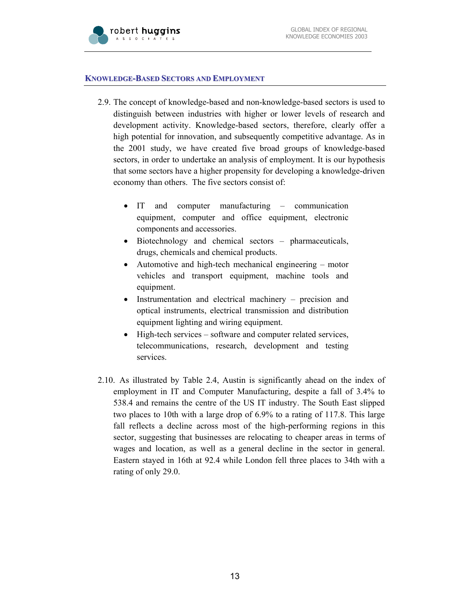

#### **KNOWLEDGE-BASED SECTORS AND EMPLOYMENT**

- 2.9. The concept of knowledge-based and non-knowledge-based sectors is used to distinguish between industries with higher or lower levels of research and development activity. Knowledge-based sectors, therefore, clearly offer a high potential for innovation, and subsequently competitive advantage. As in the 2001 study, we have created five broad groups of knowledge-based sectors, in order to undertake an analysis of employment. It is our hypothesis that some sectors have a higher propensity for developing a knowledge-driven economy than others. The five sectors consist of:
	- IT and computer manufacturing communication equipment, computer and office equipment, electronic components and accessories.
	- Biotechnology and chemical sectors pharmaceuticals, drugs, chemicals and chemical products.
	- Automotive and high-tech mechanical engineering motor vehicles and transport equipment, machine tools and equipment.
	- Instrumentation and electrical machinery precision and optical instruments, electrical transmission and distribution equipment lighting and wiring equipment.
	- High-tech services software and computer related services, telecommunications, research, development and testing services.
- 2.10. As illustrated by Table 2.4, Austin is significantly ahead on the index of employment in IT and Computer Manufacturing, despite a fall of 3.4% to 538.4 and remains the centre of the US IT industry. The South East slipped two places to 10th with a large drop of 6.9% to a rating of 117.8. This large fall reflects a decline across most of the high-performing regions in this sector, suggesting that businesses are relocating to cheaper areas in terms of wages and location, as well as a general decline in the sector in general. Eastern stayed in 16th at 92.4 while London fell three places to 34th with a rating of only 29.0.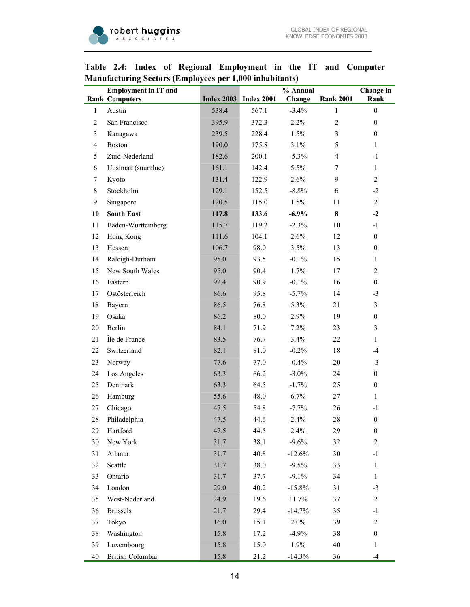|                | <b>Employment in IT and</b><br><b>Rank Computers</b> |       | <b>Index 2003</b> Index 2001 | % Annual<br>Change | <b>Rank 2001</b> | Change in<br>Rank |
|----------------|------------------------------------------------------|-------|------------------------------|--------------------|------------------|-------------------|
| $\mathbf{1}$   | Austin                                               | 538.4 | 567.1                        | $-3.4%$            | $\mathbf{1}$     | $\boldsymbol{0}$  |
| $\overline{2}$ | San Francisco                                        | 395.9 | 372.3                        | 2.2%               | $\overline{2}$   | $\overline{0}$    |
| 3              | Kanagawa                                             | 239.5 | 228.4                        | 1.5%               | $\overline{3}$   | $\boldsymbol{0}$  |
| $\overline{4}$ | <b>Boston</b>                                        | 190.0 | 175.8                        | 3.1%               | 5                | 1                 |
| 5              | Zuid-Nederland                                       | 182.6 | 200.1                        | $-5.3\%$           | $\overline{4}$   | $-1$              |
| 6              | Uusimaa (suuralue)                                   | 161.1 | 142.4                        | 5.5%               | $\tau$           | $\mathbf{1}$      |
| 7              | Kyoto                                                | 131.4 | 122.9                        | 2.6%               | 9                | $\overline{c}$    |
| 8              | Stockholm                                            | 129.1 | 152.5                        | $-8.8%$            | 6                | $-2$              |
| 9              | Singapore                                            | 120.5 | 115.0                        | 1.5%               | 11               | $\overline{c}$    |
| 10             | <b>South East</b>                                    | 117.8 | 133.6                        | $-6.9%$            | 8                | $-2$              |
| 11             | Baden-Württemberg                                    | 115.7 | 119.2                        | $-2.3%$            | 10               | $-1$              |
| 12             | Hong Kong                                            | 111.6 | 104.1                        | 2.6%               | 12               | $\boldsymbol{0}$  |
| 13             | Hessen                                               | 106.7 | 98.0                         | 3.5%               | 13               | $\boldsymbol{0}$  |
| 14             | Raleigh-Durham                                       | 95.0  | 93.5                         | $-0.1\%$           | 15               | 1                 |
| 15             | New South Wales                                      | 95.0  | 90.4                         | 1.7%               | 17               | $\overline{c}$    |
| 16             | Eastern                                              | 92.4  | 90.9                         | $-0.1\%$           | 16               | $\boldsymbol{0}$  |
| 17             | Ostösterreich                                        | 86.6  | 95.8                         | $-5.7\%$           | 14               | $-3$              |
| 18             | Bayern                                               | 86.5  | 76.8                         | 5.3%               | 21               | $\mathfrak{Z}$    |
| 19             | Osaka                                                | 86.2  | 80.0                         | 2.9%               | 19               | $\boldsymbol{0}$  |
| 20             | Berlin                                               | 84.1  | 71.9                         | 7.2%               | 23               | 3                 |
| 21             | Île de France                                        | 83.5  | 76.7                         | 3.4%               | 22               | $\mathbf{1}$      |
| 22             | Switzerland                                          | 82.1  | 81.0                         | $-0.2%$            | 18               | $-4$              |
| 23             | Norway                                               | 77.6  | 77.0                         | $-0.4%$            | 20               | $-3$              |
| 24             | Los Angeles                                          | 63.3  | 66.2                         | $-3.0\%$           | 24               | $\boldsymbol{0}$  |
| 25             | Denmark                                              | 63.3  | 64.5                         | $-1.7%$            | 25               | $\boldsymbol{0}$  |
| 26             | Hamburg                                              | 55.6  | 48.0                         | 6.7%               | 27               | 1                 |
| 27             | Chicago                                              | 47.5  | 54.8                         | $-7.7%$            | 26               | $-1$              |
| 28             | Philadelphia                                         | 47.5  | 44.6                         | 2.4%               | 28               | $\boldsymbol{0}$  |
| 29             | Hartford                                             | 47.5  | 44.5                         | 2.4%               | 29               | $\boldsymbol{0}$  |
| 30             | New York                                             | 31.7  | 38.1                         | $-9.6%$            | 32               | $\overline{c}$    |
| 31             | Atlanta                                              | 31.7  | 40.8                         | $-12.6%$           | 30               | $^{\rm -1}$       |
| 32             | Seattle                                              | 31.7  | 38.0                         | $-9.5%$            | 33               | 1                 |
| 33             | Ontario                                              | 31.7  | 37.7                         | $-9.1%$            | 34               | $\mathbf{1}$      |
| 34             | London                                               | 29.0  | 40.2                         | $-15.8%$           | 31               | $-3$              |
| 35             | West-Nederland                                       | 24.9  | 19.6                         | 11.7%              | 37               | $\mathfrak{2}$    |
| 36             | <b>Brussels</b>                                      | 21.7  | 29.4                         | $-14.7%$           | 35               | $-1$              |
| 37             | Tokyo                                                | 16.0  | 15.1                         | 2.0%               | 39               | $\mathfrak{2}$    |
| 38             | Washington                                           | 15.8  | 17.2                         | $-4.9%$            | 38               | $\boldsymbol{0}$  |
| 39             | Luxembourg                                           | 15.8  | 15.0                         | 1.9%               | 40               | $\mathbf{1}$      |
| 40             | British Columbia                                     | 15.8  | 21.2                         | $-14.3%$           | 36               | $-4$              |

## **Table 2.4: Index of Regional Employment in the IT and Computer Manufacturing Sectors (Employees per 1,000 inhabitants)**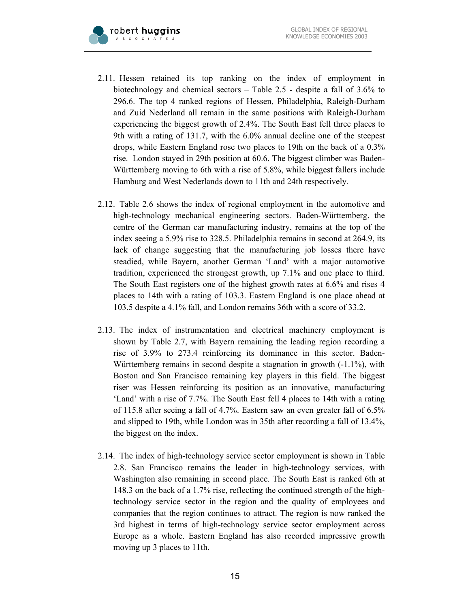

- 2.11. Hessen retained its top ranking on the index of employment in biotechnology and chemical sectors – Table 2.5 - despite a fall of 3.6% to 296.6. The top 4 ranked regions of Hessen, Philadelphia, Raleigh-Durham and Zuid Nederland all remain in the same positions with Raleigh-Durham experiencing the biggest growth of 2.4%. The South East fell three places to 9th with a rating of 131.7, with the 6.0% annual decline one of the steepest drops, while Eastern England rose two places to 19th on the back of a 0.3% rise. London stayed in 29th position at 60.6. The biggest climber was Baden-Württemberg moving to 6th with a rise of 5.8%, while biggest fallers include Hamburg and West Nederlands down to 11th and 24th respectively.
- 2.12. Table 2.6 shows the index of regional employment in the automotive and high-technology mechanical engineering sectors. Baden-Württemberg, the centre of the German car manufacturing industry, remains at the top of the index seeing a 5.9% rise to 328.5. Philadelphia remains in second at 264.9, its lack of change suggesting that the manufacturing job losses there have steadied, while Bayern, another German 'Land' with a major automotive tradition, experienced the strongest growth, up 7.1% and one place to third. The South East registers one of the highest growth rates at 6.6% and rises 4 places to 14th with a rating of 103.3. Eastern England is one place ahead at 103.5 despite a 4.1% fall, and London remains 36th with a score of 33.2.
- 2.13. The index of instrumentation and electrical machinery employment is shown by Table 2.7, with Bayern remaining the leading region recording a rise of 3.9% to 273.4 reinforcing its dominance in this sector. Baden-Württemberg remains in second despite a stagnation in growth (-1.1%), with Boston and San Francisco remaining key players in this field. The biggest riser was Hessen reinforcing its position as an innovative, manufacturing 'Land' with a rise of 7.7%. The South East fell 4 places to 14th with a rating of 115.8 after seeing a fall of 4.7%. Eastern saw an even greater fall of 6.5% and slipped to 19th, while London was in 35th after recording a fall of 13.4%, the biggest on the index.
- 2.14. The index of high-technology service sector employment is shown in Table 2.8. San Francisco remains the leader in high-technology services, with Washington also remaining in second place. The South East is ranked 6th at 148.3 on the back of a 1.7% rise, reflecting the continued strength of the hightechnology service sector in the region and the quality of employees and companies that the region continues to attract. The region is now ranked the 3rd highest in terms of high-technology service sector employment across Europe as a whole. Eastern England has also recorded impressive growth moving up 3 places to 11th.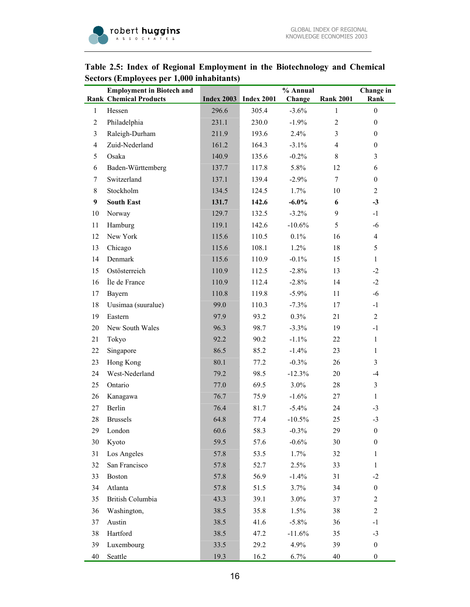

## **Table 2.5: Index of Regional Employment in the Biotechnology and Chemical Sectors (Employees per 1,000 inhabitants)**

|                | <b>Employment in Biotech and</b><br><b>Rank Chemical Products</b> |       | <b>Index 2003</b> Index 2001 | % Annual<br>Change | <b>Rank 2001</b> | Change in<br>Rank |
|----------------|-------------------------------------------------------------------|-------|------------------------------|--------------------|------------------|-------------------|
| $\mathbf{1}$   | Hessen                                                            | 296.6 | 305.4                        | $-3.6%$            | $\mathbf{1}$     | $\boldsymbol{0}$  |
| $\overline{2}$ | Philadelphia                                                      | 231.1 | 230.0                        | $-1.9%$            | $\overline{2}$   | $\boldsymbol{0}$  |
| 3              | Raleigh-Durham                                                    | 211.9 | 193.6                        | 2.4%               | 3                | $\boldsymbol{0}$  |
| $\overline{4}$ | Zuid-Nederland                                                    | 161.2 | 164.3                        | $-3.1\%$           | $\overline{4}$   | $\boldsymbol{0}$  |
| 5              | Osaka                                                             | 140.9 | 135.6                        | $-0.2\%$           | 8                | $\overline{3}$    |
| 6              | Baden-Württemberg                                                 | 137.7 | 117.8                        | 5.8%               | 12               | 6                 |
| 7              | Switzerland                                                       | 137.1 | 139.4                        | $-2.9%$            | 7                | $\boldsymbol{0}$  |
| 8              | Stockholm                                                         | 134.5 | 124.5                        | 1.7%               | 10               | $\overline{c}$    |
| 9              | <b>South East</b>                                                 | 131.7 | 142.6                        | $-6.0\%$           | 6                | $-3$              |
| 10             | Norway                                                            | 129.7 | 132.5                        | $-3.2\%$           | 9                | $-1$              |
| 11             | Hamburg                                                           | 119.1 | 142.6                        | $-10.6%$           | 5                | $-6$              |
| 12             | New York                                                          | 115.6 | 110.5                        | 0.1%               | 16               | $\overline{4}$    |
| 13             | Chicago                                                           | 115.6 | 108.1                        | 1.2%               | 18               | 5                 |
| 14             | Denmark                                                           | 115.6 | 110.9                        | $-0.1\%$           | 15               | $\mathbf{1}$      |
| 15             | Ostösterreich                                                     | 110.9 | 112.5                        | $-2.8%$            | 13               | $-2$              |
| 16             | Île de France                                                     | 110.9 | 112.4                        | $-2.8%$            | 14               | $-2$              |
| 17             | Bayern                                                            | 110.8 | 119.8                        | $-5.9\%$           | 11               | $-6$              |
| 18             | Uusimaa (suuralue)                                                | 99.0  | 110.3                        | $-7.3%$            | 17               | $-1$              |
| 19             | Eastern                                                           | 97.9  | 93.2                         | 0.3%               | 21               | $\overline{2}$    |
| 20             | New South Wales                                                   | 96.3  | 98.7                         | $-3.3%$            | 19               | $-1$              |
| 21             | Tokyo                                                             | 92.2  | 90.2                         | $-1.1%$            | 22               | $\mathbf{1}$      |
| 22             | Singapore                                                         | 86.5  | 85.2                         | $-1.4%$            | 23               | $\mathbf{1}$      |
| 23             | Hong Kong                                                         | 80.1  | 77.2                         | $-0.3%$            | 26               | $\overline{3}$    |
| 24             | West-Nederland                                                    | 79.2  | 98.5                         | $-12.3%$           | 20               | $-4$              |
| 25             | Ontario                                                           | 77.0  | 69.5                         | 3.0%               | 28               | $\mathfrak{Z}$    |
| 26             | Kanagawa                                                          | 76.7  | 75.9                         | $-1.6%$            | 27               | $\mathbf{1}$      |
| 27             | Berlin                                                            | 76.4  | 81.7                         | $-5.4%$            | 24               | $-3$              |
| 28             | <b>Brussels</b>                                                   | 64.8  | 77.4                         | $-10.5%$           | 25               | $-3$              |
| 29             | London                                                            | 60.6  | 58.3                         | $-0.3\%$           | 29               | $\boldsymbol{0}$  |
| 30             | Kyoto                                                             | 59.5  | 57.6                         | $-0.6%$            | 30               | $\boldsymbol{0}$  |
| 31             | Los Angeles                                                       | 57.8  | 53.5                         | 1.7%               | 32               | 1                 |
| 32             | San Francisco                                                     | 57.8  | 52.7                         | 2.5%               | 33               | $\mathbf{1}$      |
| 33             | Boston                                                            | 57.8  | 56.9                         | $-1.4%$            | 31               | $-2$              |
| 34             | Atlanta                                                           | 57.8  | 51.5                         | 3.7%               | 34               | $\boldsymbol{0}$  |
| 35             | British Columbia                                                  | 43.3  | 39.1                         | 3.0%               | 37               | $\overline{c}$    |
| 36             | Washington,                                                       | 38.5  | 35.8                         | 1.5%               | 38               | $\overline{c}$    |
| 37             | Austin                                                            | 38.5  | 41.6                         | $-5.8\%$           | 36               | $-1$              |
| 38             | Hartford                                                          | 38.5  | 47.2                         | $-11.6%$           | 35               | $-3$              |
| 39             | Luxembourg                                                        | 33.5  | 29.2                         | 4.9%               | 39               | $\boldsymbol{0}$  |
| 40             | Seattle                                                           | 19.3  | 16.2                         | 6.7%               | 40               | $\boldsymbol{0}$  |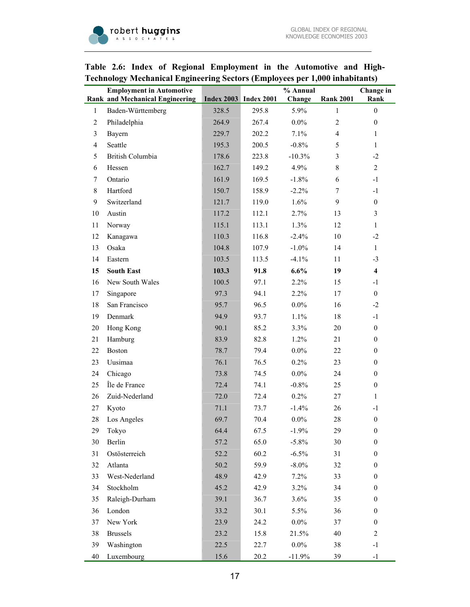

|                | <b>Employment in Automotive</b><br><b>Rank and Mechanical Engineering</b> |       | <b>Index 2003</b> Index 2001 | % Annual<br>Change | <b>Rank 2001</b> | Change in<br>Rank |
|----------------|---------------------------------------------------------------------------|-------|------------------------------|--------------------|------------------|-------------------|
| $\mathbf{1}$   | Baden-Württemberg                                                         | 328.5 | 295.8                        | 5.9%               | $\mathbf{1}$     | $\boldsymbol{0}$  |
| $\overline{2}$ | Philadelphia                                                              | 264.9 | 267.4                        | $0.0\%$            | $\overline{c}$   | $\boldsymbol{0}$  |
| $\mathfrak{Z}$ | Bayern                                                                    | 229.7 | 202.2                        | 7.1%               | $\overline{4}$   | 1                 |
| $\overline{4}$ | Seattle                                                                   | 195.3 | 200.5                        | $-0.8%$            | 5                | $\mathbf{1}$      |
| 5              | British Columbia                                                          | 178.6 | 223.8                        | $-10.3%$           | 3                | $-2$              |
| 6              | Hessen                                                                    | 162.7 | 149.2                        | 4.9%               | 8                | $\overline{2}$    |
| $\tau$         | Ontario                                                                   | 161.9 | 169.5                        | $-1.8%$            | 6                | $-1$              |
| $\,8\,$        | Hartford                                                                  | 150.7 | 158.9                        | $-2.2%$            | 7                | $-1$              |
| 9              | Switzerland                                                               | 121.7 | 119.0                        | 1.6%               | 9                | $\boldsymbol{0}$  |
| 10             | Austin                                                                    | 117.2 | 112.1                        | 2.7%               | 13               | 3                 |
| 11             | Norway                                                                    | 115.1 | 113.1                        | 1.3%               | 12               | $\mathbf{1}$      |
| 12             | Kanagawa                                                                  | 110.3 | 116.8                        | $-2.4%$            | 10               | $-2$              |
| 13             | Osaka                                                                     | 104.8 | 107.9                        | $-1.0\%$           | 14               | 1                 |
| 14             | Eastern                                                                   | 103.5 | 113.5                        | $-4.1%$            | 11               | $-3$              |
| 15             | <b>South East</b>                                                         | 103.3 | 91.8                         | 6.6%               | 19               | $\overline{4}$    |
| 16             | New South Wales                                                           | 100.5 | 97.1                         | 2.2%               | 15               | $-1$              |
| 17             | Singapore                                                                 | 97.3  | 94.1                         | 2.2%               | 17               | $\boldsymbol{0}$  |
| 18             | San Francisco                                                             | 95.7  | 96.5                         | $0.0\%$            | 16               | $-2$              |
| 19             | Denmark                                                                   | 94.9  | 93.7                         | 1.1%               | 18               | $-1$              |
| 20             | Hong Kong                                                                 | 90.1  | 85.2                         | 3.3%               | 20               | $\boldsymbol{0}$  |
| 21             | Hamburg                                                                   | 83.9  | 82.8                         | 1.2%               | 21               | $\boldsymbol{0}$  |
| 22             | <b>Boston</b>                                                             | 78.7  | 79.4                         | $0.0\%$            | 22               | $\boldsymbol{0}$  |
| 23             | Uusimaa                                                                   | 76.1  | 76.5                         | 0.2%               | 23               | $\boldsymbol{0}$  |
| 24             | Chicago                                                                   | 73.8  | 74.5                         | $0.0\%$            | 24               | $\boldsymbol{0}$  |
| 25             | Île de France                                                             | 72.4  | 74.1                         | $-0.8\%$           | 25               | $\boldsymbol{0}$  |
| 26             | Zuid-Nederland                                                            | 72.0  | 72.4                         | 0.2%               | 27               | 1                 |
| 27             | Kyoto                                                                     | 71.1  | 73.7                         | $-1.4%$            | 26               | $-1$              |
| 28             | Los Angeles                                                               | 69.7  | 70.4                         | $0.0\%$            | 28               | $\boldsymbol{0}$  |
| 29             | Tokyo                                                                     | 64.4  | 67.5                         | $-1.9\%$           | 29               | $\boldsymbol{0}$  |
| 30             | Berlin                                                                    | 57.2  | 65.0                         | $-5.8\%$           | 30               | $\boldsymbol{0}$  |
| 31             | Ostösterreich                                                             | 52.2  | 60.2                         | $-6.5%$            | 31               | $\boldsymbol{0}$  |
| 32             | Atlanta                                                                   | 50.2  | 59.9                         | $-8.0\%$           | 32               | $\boldsymbol{0}$  |
| 33             | West-Nederland                                                            | 48.9  | 42.9                         | 7.2%               | 33               | $\boldsymbol{0}$  |
| 34             | Stockholm                                                                 | 45.2  | 42.9                         | 3.2%               | 34               | $\boldsymbol{0}$  |
| 35             | Raleigh-Durham                                                            | 39.1  | 36.7                         | 3.6%               | 35               | $\boldsymbol{0}$  |
| 36             | London                                                                    | 33.2  | 30.1                         | 5.5%               | 36               | $\boldsymbol{0}$  |
| 37             | New York                                                                  | 23.9  | 24.2                         | $0.0\%$            | 37               | $\boldsymbol{0}$  |
| 38             | <b>Brussels</b>                                                           | 23.2  | 15.8                         | 21.5%              | 40               | $\overline{c}$    |
| 39             | Washington                                                                | 22.5  | 22.7                         | $0.0\%$            | 38               | $-1$              |
| 40             | Luxembourg                                                                | 15.6  | 20.2                         | $-11.9%$           | 39               | $-1$              |

## **Table 2.6: Index of Regional Employment in the Automotive and High-Technology Mechanical Engineering Sectors (Employees per 1,000 inhabitants)**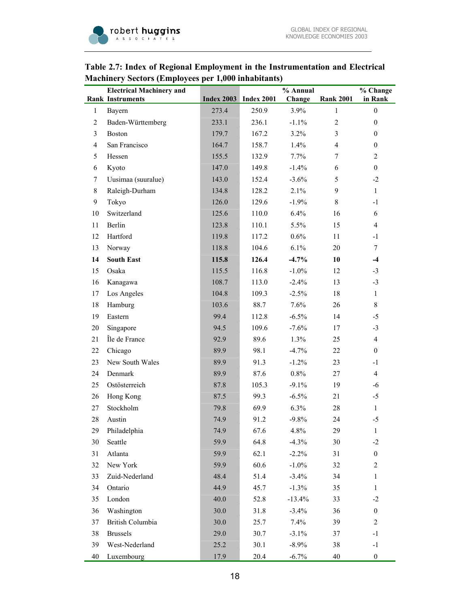#### **Rank Electrical Machinery and Instruments Index 2003 Index 2001 % Annual Change Rank 2001 % Change in Rank**  1 Bayern 273.4 250.9 3.9% 1 0 2 Baden-Württemberg 233.1 236.1 -1.1% 2 0 3 Boston 179.7 167.2 3.2% 3 0 4 San Francisco 164.7 158.7 1.4% 4 0 5 Hessen 155.5 132.9 7.7% 7 2 6 Kyoto 147.0 149.8 -1.4% 6 0 7 Uusimaa (suuralue) 143.0 152.4 -3.6% 5 -2 8 Raleigh-Durham 134.8 128.2 2.1% 9 1 9 Tokyo 126.0 129.6 -1.9% 8 -1 10 Switzerland 125.6 110.0 6.4% 16 6 11 Berlin 123.8 110.1 5.5% 15 4 12 Hartford 119.8 117.2 0.6% 11 -1 13 Norway 118.8 104.6 6.1% 20 7 **14 South East 115.8 126.4 -4.7% 10 -4**  15 Osaka 115.5 116.8 -1.0% 12 -3 16 Kanagawa 108.7 113.0 -2.4% 13 -3 17 Los Angeles 104.8 109.3 -2.5% 18 1 18 Hamburg 103.6 88.7 7.6% 26 8

19 Eastern 99.4 112.8 -6.5% 14 -5 20 Singapore 5 94.5 109.6 -7.6% 17 -3

## **Table 2.7: Index of Regional Employment in the Instrumentation and Electrical Machinery Sectors (Employees per 1,000 inhabitants)**

| 21 | Île de France    | 92.9 | 89.6  | $1.3\%$  | 25 | 4              |
|----|------------------|------|-------|----------|----|----------------|
| 22 | Chicago          | 89.9 | 98.1  | $-4.7%$  | 22 | $\theta$       |
| 23 | New South Wales  | 89.9 | 91.3  | $-1.2%$  | 23 | $-1$           |
| 24 | Denmark          | 89.9 | 87.6  | 0.8%     | 27 | $\overline{4}$ |
| 25 | Ostösterreich    | 87.8 | 105.3 | $-9.1%$  | 19 | -6             |
| 26 | Hong Kong        | 87.5 | 99.3  | $-6.5%$  | 21 | $-5$           |
| 27 | Stockholm        | 79.8 | 69.9  | 6.3%     | 28 | $\mathbf{1}$   |
| 28 | Austin           | 74.9 | 91.2  | $-9.8\%$ | 24 | $-5$           |
| 29 | Philadelphia     | 74.9 | 67.6  | 4.8%     | 29 | $\mathbf{1}$   |
| 30 | Seattle          | 59.9 | 64.8  | $-4.3%$  | 30 | $-2$           |
| 31 | Atlanta          | 59.9 | 62.1  | $-2.2%$  | 31 | $\mathbf{0}$   |
| 32 | New York         | 59.9 | 60.6  | $-1.0%$  | 32 | $\overline{2}$ |
| 33 | Zuid-Nederland   | 48.4 | 51.4  | $-3.4\%$ | 34 | $\mathbf{1}$   |
| 34 | Ontario          | 44.9 | 45.7  | $-1.3%$  | 35 | 1              |
| 35 | London           | 40.0 | 52.8  | $-13.4%$ | 33 | $-2$           |
| 36 | Washington       | 30.0 | 31.8  | $-3.4\%$ | 36 | $\mathbf{0}$   |
| 37 | British Columbia | 30.0 | 25.7  | 7.4%     | 39 | 2              |
| 38 | <b>Brussels</b>  | 29.0 | 30.7  | $-3.1\%$ | 37 | $-1$           |
| 39 | West-Nederland   | 25.2 | 30.1  | $-8.9\%$ | 38 | $-1$           |
| 40 | Luxembourg       | 17.9 | 20.4  | $-6.7%$  | 40 | $\mathbf{0}$   |
|    |                  |      |       |          |    |                |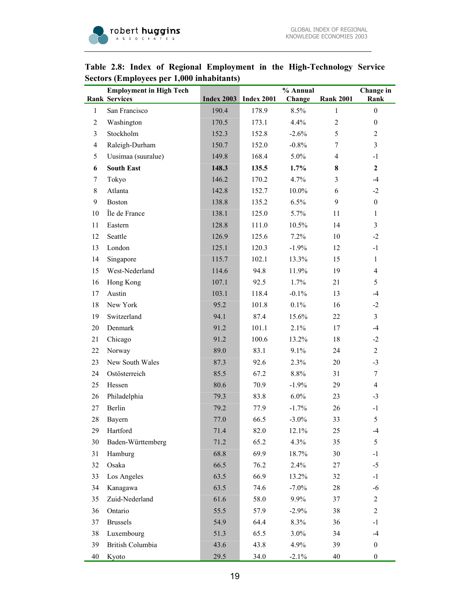

|                | <b>Employment in High Tech</b><br><b>Rank Services</b> |       | <b>Index 2003</b> Index 2001 | % Annual<br>Change | <b>Rank 2001</b> | Change in<br>Rank |
|----------------|--------------------------------------------------------|-------|------------------------------|--------------------|------------------|-------------------|
| $\mathbf{1}$   | San Francisco                                          | 190.4 | 178.9                        | 8.5%               | $\mathbf{1}$     | $\boldsymbol{0}$  |
| $\overline{2}$ | Washington                                             | 170.5 | 173.1                        | 4.4%               | $\overline{2}$   | $\boldsymbol{0}$  |
| 3              | Stockholm                                              | 152.3 | 152.8                        | $-2.6%$            | 5                | $\overline{c}$    |
| $\overline{4}$ | Raleigh-Durham                                         | 150.7 | 152.0                        | $-0.8%$            | 7                | $\overline{3}$    |
| 5              | Uusimaa (suuralue)                                     | 149.8 | 168.4                        | 5.0%               | 4                | $-1$              |
| 6              | <b>South East</b>                                      | 148.3 | 135.5                        | $1.7\%$            | 8                | $\mathbf{2}$      |
| 7              | Tokyo                                                  | 146.2 | 170.2                        | 4.7%               | 3                | $-4$              |
| 8              | Atlanta                                                | 142.8 | 152.7                        | 10.0%              | 6                | $-2$              |
| 9              | <b>Boston</b>                                          | 138.8 | 135.2                        | 6.5%               | 9                | $\boldsymbol{0}$  |
| 10             | Île de France                                          | 138.1 | 125.0                        | 5.7%               | 11               | $\mathbf{1}$      |
| 11             | Eastern                                                | 128.8 | 111.0                        | 10.5%              | 14               | 3                 |
| 12             | Seattle                                                | 126.9 | 125.6                        | $7.2\%$            | 10               | $-2$              |
| 13             | London                                                 | 125.1 | 120.3                        | $-1.9%$            | 12               | $-1$              |
| 14             | Singapore                                              | 115.7 | 102.1                        | 13.3%              | 15               | $\mathbf{1}$      |
| 15             | West-Nederland                                         | 114.6 | 94.8                         | 11.9%              | 19               | $\overline{4}$    |
| 16             | Hong Kong                                              | 107.1 | 92.5                         | 1.7%               | 21               | 5                 |
| 17             | Austin                                                 | 103.1 | 118.4                        | $-0.1%$            | 13               | $-4$              |
| 18             | New York                                               | 95.2  | 101.8                        | 0.1%               | 16               | $-2$              |
| 19             | Switzerland                                            | 94.1  | 87.4                         | 15.6%              | 22               | $\overline{3}$    |
| 20             | Denmark                                                | 91.2  | 101.1                        | 2.1%               | 17               | $-4$              |
| 21             | Chicago                                                | 91.2  | 100.6                        | 13.2%              | 18               | $-2$              |
| 22             | Norway                                                 | 89.0  | 83.1                         | 9.1%               | 24               | $\overline{2}$    |
| 23             | New South Wales                                        | 87.3  | 92.6                         | 2.3%               | 20               | $-3$              |
| 24             | Ostösterreich                                          | 85.5  | 67.2                         | 8.8%               | 31               | $\tau$            |
| 25             | Hessen                                                 | 80.6  | 70.9                         | $-1.9%$            | 29               | $\overline{4}$    |
| 26             | Philadelphia                                           | 79.3  | 83.8                         | $6.0\%$            | 23               | $-3$              |
| 27             | Berlin                                                 | 79.2  | 77.9                         | $-1.7%$            | 26               | $-1$              |
| 28             | Bayern                                                 | 77.0  | 66.5                         | $-3.0\%$           | 33               | 5                 |
| 29             | Hartford                                               | 71.4  | 82.0                         | 12.1%              | 25               | $-4$              |
| 30             | Baden-Württemberg                                      | 71.2  | 65.2                         | 4.3%               | 35               | 5                 |
| 31             | Hamburg                                                | 68.8  | 69.9                         | 18.7%              | 30               | $-1$              |
| 32             | Osaka                                                  | 66.5  | 76.2                         | 2.4%               | 27               | $-5$              |
| 33             | Los Angeles                                            | 63.5  | 66.9                         | 13.2%              | 32               | $-1$              |
| 34             | Kanagawa                                               | 63.5  | 74.6                         | $-7.0\%$           | 28               | -6                |
| 35             | Zuid-Nederland                                         | 61.6  | 58.0                         | 9.9%               | 37               | $\overline{c}$    |
| 36             | Ontario                                                | 55.5  | 57.9                         | $-2.9%$            | 38               | $\overline{2}$    |
| 37             | $\hbox{Brussels}$                                      | 54.9  | 64.4                         | 8.3%               | 36               | $-1$              |
| 38             | Luxembourg                                             | 51.3  | 65.5                         | 3.0%               | 34               | $-4$              |
| 39             | British Columbia                                       | 43.6  | 43.8                         | 4.9%               | 39               | $\boldsymbol{0}$  |
| 40             | Kyoto                                                  | 29.5  | 34.0                         | $-2.1%$            | 40               | $\boldsymbol{0}$  |

## **Table 2.8: Index of Regional Employment in the High-Technology Service Sectors (Employees per 1,000 inhabitants)**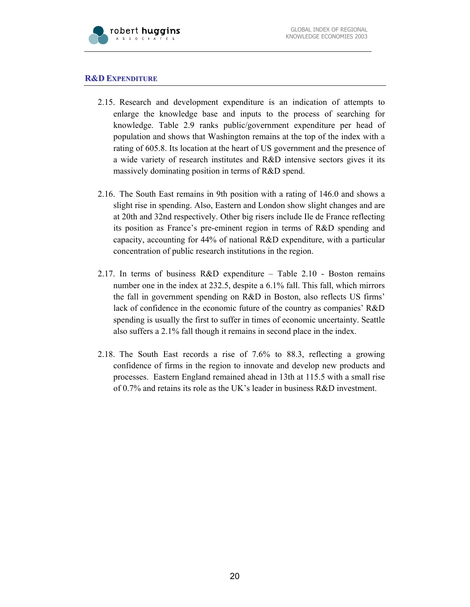

#### **R&D EXPENDITURE**

- 2.15. Research and development expenditure is an indication of attempts to enlarge the knowledge base and inputs to the process of searching for knowledge. Table 2.9 ranks public/government expenditure per head of population and shows that Washington remains at the top of the index with a rating of 605.8. Its location at the heart of US government and the presence of a wide variety of research institutes and R&D intensive sectors gives it its massively dominating position in terms of R&D spend.
- 2.16. The South East remains in 9th position with a rating of 146.0 and shows a slight rise in spending. Also, Eastern and London show slight changes and are at 20th and 32nd respectively. Other big risers include Ile de France reflecting its position as France's pre-eminent region in terms of R&D spending and capacity, accounting for 44% of national R&D expenditure, with a particular concentration of public research institutions in the region.
- 2.17. In terms of business R&D expenditure Table 2.10 Boston remains number one in the index at 232.5, despite a 6.1% fall. This fall, which mirrors the fall in government spending on R&D in Boston, also reflects US firms' lack of confidence in the economic future of the country as companies' R&D spending is usually the first to suffer in times of economic uncertainty. Seattle also suffers a 2.1% fall though it remains in second place in the index.
- 2.18. The South East records a rise of 7.6% to 88.3, reflecting a growing confidence of firms in the region to innovate and develop new products and processes. Eastern England remained ahead in 13th at 115.5 with a small rise of 0.7% and retains its role as the UK's leader in business R&D investment.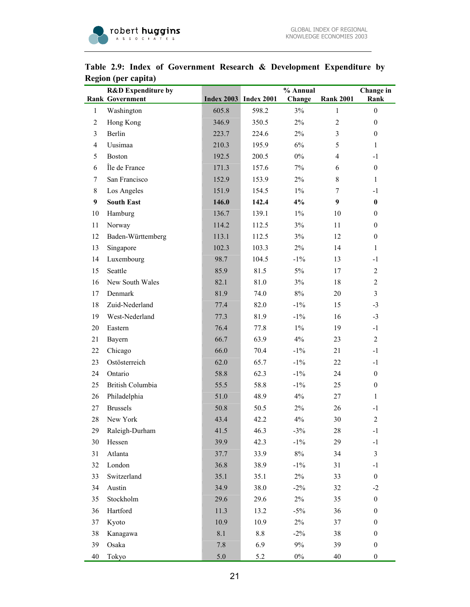

|                | <b>R&amp;D</b> Expenditure by<br><b>Rank Government</b> |         | <b>Index 2003</b> Index 2001 | % Annual<br>Change | <b>Rank 2001</b> | Change in<br>Rank       |
|----------------|---------------------------------------------------------|---------|------------------------------|--------------------|------------------|-------------------------|
| $\mathbf{1}$   | Washington                                              | 605.8   | 598.2                        | 3%                 | 1                | $\boldsymbol{0}$        |
| $\overline{2}$ | Hong Kong                                               | 346.9   | 350.5                        | $2\%$              | $\overline{c}$   | $\mathbf{0}$            |
| 3              | Berlin                                                  | 223.7   | 224.6                        | $2\%$              | 3                | $\boldsymbol{0}$        |
| $\overline{4}$ | Uusimaa                                                 | 210.3   | 195.9                        | 6%                 | 5                | 1                       |
| 5              | <b>Boston</b>                                           | 192.5   | 200.5                        | $0\%$              | $\overline{4}$   | $-1$                    |
| 6              | Île de France                                           | 171.3   | 157.6                        | $7\%$              | 6                | $\boldsymbol{0}$        |
| 7              | San Francisco                                           | 152.9   | 153.9                        | $2\%$              | 8                | $\mathbf{1}$            |
| 8              | Los Angeles                                             | 151.9   | 154.5                        | $1\%$              | 7                | $-1$                    |
| 9              | <b>South East</b>                                       | 146.0   | 142.4                        | 4%                 | 9                | $\bf{0}$                |
|                | Hamburg                                                 | 136.7   | 139.1                        | $1\%$              | 10               | $\boldsymbol{0}$        |
| 10<br>11       | Norway                                                  | 114.2   | 112.5                        | 3%                 | 11               | $\boldsymbol{0}$        |
| 12             | Baden-Württemberg                                       | 113.1   | 112.5                        | $3\%$              | 12               | $\boldsymbol{0}$        |
| 13             |                                                         | 102.3   | 103.3                        | $2\%$              | 14               | 1                       |
|                | Singapore                                               | 98.7    | 104.5                        | $-1\%$             |                  | $-1$                    |
| 14             | Luxembourg<br>Seattle                                   | 85.9    | 81.5                         | 5%                 | 13               | $\overline{2}$          |
| 15             | New South Wales                                         | 82.1    | 81.0                         | $3\%$              | 17               | $\mathbf{2}$            |
| 16             | Denmark                                                 | 81.9    |                              | $8\%$              | 18               | $\overline{3}$          |
| 17             |                                                         |         | 74.0                         |                    | 20               |                         |
| 18             | Zuid-Nederland                                          | 77.4    | 82.0                         | $-1\%$             | 15               | $-3$                    |
| 19             | West-Nederland                                          | 77.3    | 81.9                         | $-1\%$             | 16               | $-3$                    |
| 20             | Eastern                                                 | 76.4    | 77.8                         | $1\%$              | 19               | $-1$                    |
| 21             | Bayern                                                  | 66.7    | 63.9                         | 4%                 | 23               | $\overline{2}$          |
| 22             | Chicago                                                 | 66.0    | 70.4                         | $-1\%$             | 21               | $-1$                    |
| 23             | Ostösterreich                                           | 62.0    | 65.7                         | $-1\%$             | 22               | $-1$                    |
| 24             | Ontario                                                 | 58.8    | 62.3                         | $-1\%$             | 24               | $\boldsymbol{0}$        |
| 25             | British Columbia                                        | 55.5    | 58.8                         | $-1\%$             | 25               | $\boldsymbol{0}$        |
| 26             | Philadelphia                                            | 51.0    | 48.9                         | $4\%$              | 27               | $\mathbf{1}$            |
| 27             | <b>Brussels</b>                                         | 50.8    | 50.5                         | $2\%$              | 26               | $-1$                    |
| 28             | New York                                                | 43.4    | 42.2                         | 4%                 | 30               | $\sqrt{2}$              |
| 29             | Raleigh-Durham                                          | 41.5    | 46.3                         | $-3%$              | $28\,$           | $-1$                    |
| 30             | Hessen                                                  | 39.9    | 42.3                         | $-1\%$             | 29               | $-1$                    |
| 31             | Atlanta                                                 | 37.7    | 33.9                         | $8\%$              | 34               | $\overline{\mathbf{3}}$ |
| 32             | London                                                  | 36.8    | 38.9                         | $-1\%$             | 31               | $-1$                    |
| 33             | Switzerland                                             | 35.1    | 35.1                         | $2\%$              | 33               | $\boldsymbol{0}$        |
| 34             | Austin                                                  | 34.9    | 38.0                         | $-2\%$             | 32               | $-2$                    |
| 35             | Stockholm                                               | 29.6    | 29.6                         | $2\%$              | 35               | $\boldsymbol{0}$        |
| 36             | Hartford                                                | 11.3    | 13.2                         | $-5%$              | 36               | $\boldsymbol{0}$        |
| 37             | Kyoto                                                   | 10.9    | 10.9                         | $2\%$              | 37               | $\boldsymbol{0}$        |
| 38             | Kanagawa                                                | $8.1\,$ | $8.8\,$                      | $-2\%$             | 38               | $\boldsymbol{0}$        |
| 39             | Osaka                                                   | 7.8     | 6.9                          | $9\%$              | 39               | $\boldsymbol{0}$        |
| 40             | Tokyo                                                   | $5.0\,$ | 5.2                          | $0\%$              | 40               | $\boldsymbol{0}$        |

## **Table 2.9: Index of Government Research & Development Expenditure by Region (per capita)**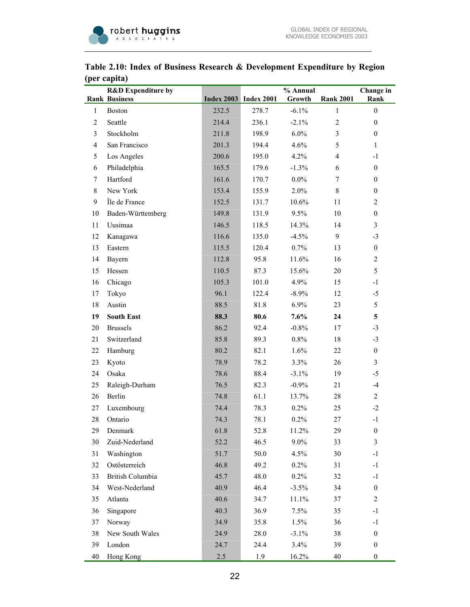

|                | <b>R&amp;D</b> Expenditure by |       |                              | % Annual |                  | Change in        |
|----------------|-------------------------------|-------|------------------------------|----------|------------------|------------------|
|                | <b>Rank Business</b>          |       | <b>Index 2003</b> Index 2001 | Growth   | <b>Rank 2001</b> | Rank             |
| 1              | <b>Boston</b>                 | 232.5 | 278.7                        | $-6.1%$  | 1                | $\boldsymbol{0}$ |
| $\overline{2}$ | Seattle                       | 214.4 | 236.1                        | $-2.1%$  | $\overline{2}$   | $\boldsymbol{0}$ |
| 3              | Stockholm                     | 211.8 | 198.9                        | $6.0\%$  | 3                | $\boldsymbol{0}$ |
| $\overline{4}$ | San Francisco                 | 201.3 | 194.4                        | 4.6%     | 5                | 1                |
| 5              | Los Angeles                   | 200.6 | 195.0                        | 4.2%     | $\overline{4}$   | $-1$             |
| 6              | Philadelphia                  | 165.5 | 179.6                        | $-1.3%$  | 6                | $\boldsymbol{0}$ |
| 7              | Hartford                      | 161.6 | 170.7                        | $0.0\%$  | 7                | $\boldsymbol{0}$ |
| 8              | New York                      | 153.4 | 155.9                        | 2.0%     | 8                | $\boldsymbol{0}$ |
| 9              | Île de France                 | 152.5 | 131.7                        | 10.6%    | 11               | $\overline{c}$   |
| 10             | Baden-Württemberg             | 149.8 | 131.9                        | 9.5%     | 10               | $\boldsymbol{0}$ |
| 11             | Uusimaa                       | 146.5 | 118.5                        | 14.3%    | 14               | 3                |
| 12             | Kanagawa                      | 116.6 | 135.0                        | $-4.5%$  | 9                | $-3$             |
| 13             | Eastern                       | 115.5 | 120.4                        | 0.7%     | 13               | $\boldsymbol{0}$ |
| 14             | Bayern                        | 112.8 | 95.8                         | 11.6%    | 16               | $\overline{c}$   |
| 15             | Hessen                        | 110.5 | 87.3                         | 15.6%    | 20               | 5                |
| 16             | Chicago                       | 105.3 | 101.0                        | 4.9%     | 15               | $-1$             |
| 17             | Tokyo                         | 96.1  | 122.4                        | $-8.9%$  | 12               | $-5$             |
| 18             | Austin                        | 88.5  | 81.8                         | 6.9%     | 23               | 5                |
| 19             | <b>South East</b>             | 88.3  | 80.6                         | 7.6%     | 24               | 5                |
| 20             | <b>Brussels</b>               | 86.2  | 92.4                         | $-0.8%$  | 17               | $-3$             |
| 21             | Switzerland                   | 85.8  | 89.3                         | 0.8%     | 18               | $-3$             |
| 22             | Hamburg                       | 80.2  | 82.1                         | 1.6%     | 22               | $\boldsymbol{0}$ |
| 23             | Kyoto                         | 78.9  | 78.2                         | 3.3%     | 26               | 3                |
| 24             | Osaka                         | 78.6  | 88.4                         | $-3.1%$  | 19               | $-5$             |
| 25             | Raleigh-Durham                | 76.5  | 82.3                         | $-0.9\%$ | 21               | $-4$             |
| 26             | Berlin                        | 74.8  | 61.1                         | 13.7%    | 28               | $\overline{c}$   |
| 27             | Luxembourg                    | 74.4  | 78.3                         | 0.2%     | 25               | $-2$             |
| 28             | Ontario                       | 74.3  | 78.1                         | 0.2%     | 27               | $-1$             |
| 29             | Denmark                       | 61.8  | 52.8                         | 11.2%    | 29               | $\boldsymbol{0}$ |
| 30             | Zuid-Nederland                | 52.2  | 46.5                         | 9.0%     | 33               | 3                |
| 31             | Washington                    | 51.7  | 50.0                         | 4.5%     | 30               | $-1$             |
| 32             | Ostösterreich                 | 46.8  | 49.2                         | 0.2%     | 31               | $-1$             |
| 33             | British Columbia              | 45.7  | 48.0                         | $0.2\%$  | 32               | $-1$             |
| 34             | West-Nederland                | 40.9  | 46.4                         | $-3.5%$  | 34               | $\boldsymbol{0}$ |
| 35             | Atlanta                       | 40.6  | 34.7                         | 11.1%    | 37               | $\mathfrak{2}$   |
| 36             | Singapore                     | 40.3  | 36.9                         | 7.5%     | 35               | $-1$             |
| 37             | Norway                        | 34.9  | 35.8                         | 1.5%     | 36               | $-1$             |
| 38             | New South Wales               | 24.9  | 28.0                         | $-3.1%$  | 38               | $\boldsymbol{0}$ |
| 39             | London                        | 24.7  | 24.4                         | 3.4%     | 39               | $\boldsymbol{0}$ |
| 40             | Hong Kong                     | 2.5   | 1.9                          | 16.2%    | 40               | $\boldsymbol{0}$ |

## **Table 2.10: Index of Business Research & Development Expenditure by Region (per capita)**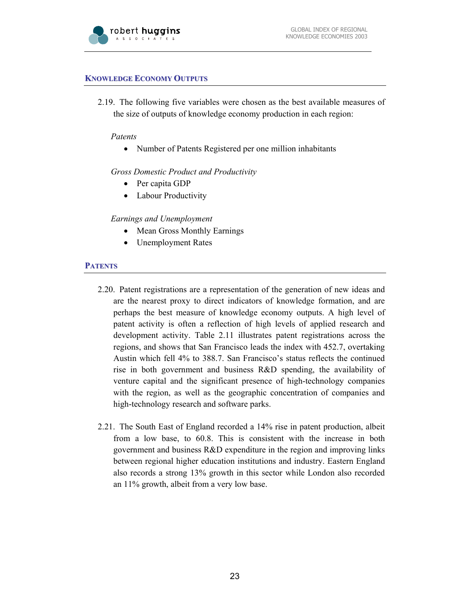

#### **KNOWLEDGE ECONOMY OUTPUTS**

2.19. The following five variables were chosen as the best available measures of the size of outputs of knowledge economy production in each region:

#### *Patents*

• Number of Patents Registered per one million inhabitants

*Gross Domestic Product and Productivity* 

- Per capita GDP
- Labour Productivity

#### *Earnings and Unemployment*

- Mean Gross Monthly Earnings
- Unemployment Rates

#### **PATENTS**

- 2.20. Patent registrations are a representation of the generation of new ideas and are the nearest proxy to direct indicators of knowledge formation, and are perhaps the best measure of knowledge economy outputs. A high level of patent activity is often a reflection of high levels of applied research and development activity. Table 2.11 illustrates patent registrations across the regions, and shows that San Francisco leads the index with 452.7, overtaking Austin which fell 4% to 388.7. San Francisco's status reflects the continued rise in both government and business R&D spending, the availability of venture capital and the significant presence of high-technology companies with the region, as well as the geographic concentration of companies and high-technology research and software parks.
- 2.21. The South East of England recorded a 14% rise in patent production, albeit from a low base, to 60.8. This is consistent with the increase in both government and business R&D expenditure in the region and improving links between regional higher education institutions and industry. Eastern England also records a strong 13% growth in this sector while London also recorded an 11% growth, albeit from a very low base.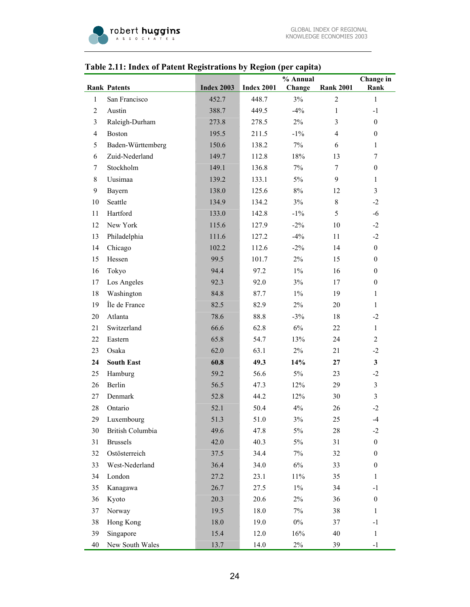

# **Table 2.11: Index of Patent Registrations by Region (per capita)**

|                |                     |                   |                   | % Annual |                  | Change in        |
|----------------|---------------------|-------------------|-------------------|----------|------------------|------------------|
|                | <b>Rank Patents</b> | <b>Index 2003</b> | <b>Index 2001</b> | Change   | <b>Rank 2001</b> | Rank             |
| $\mathbf{1}$   | San Francisco       | 452.7             | 448.7             | 3%       | $\overline{2}$   | $\mathbf{1}$     |
| $\overline{c}$ | Austin              | 388.7             | 449.5             | $-4%$    | $\mathbf{1}$     | $-1$             |
| 3              | Raleigh-Durham      | 273.8             | 278.5             | $2\%$    | 3                | $\boldsymbol{0}$ |
| $\overline{4}$ | <b>Boston</b>       | 195.5             | 211.5             | $-1\%$   | $\overline{4}$   | $\boldsymbol{0}$ |
| 5              | Baden-Württemberg   | 150.6             | 138.2             | 7%       | 6                | $\mathbf{1}$     |
| 6              | Zuid-Nederland      | 149.7             | 112.8             | $18\%$   | 13               | 7                |
| 7              | Stockholm           | 149.1             | 136.8             | $7\%$    | 7                | $\boldsymbol{0}$ |
| 8              | Uusimaa             | 139.2             | 133.1             | $5\%$    | 9                | $\mathbf{1}$     |
| 9              | Bayern              | 138.0             | 125.6             | $8\%$    | 12               | $\mathfrak{Z}$   |
| 10             | Seattle             | 134.9             | 134.2             | 3%       | $8\,$            | $-2$             |
| 11             | Hartford            | 133.0             | 142.8             | $-1\%$   | 5                | $-6$             |
| 12             | New York            | 115.6             | 127.9             | $-2\%$   | 10               | $-2$             |
| 13             | Philadelphia        | 111.6             | 127.2             | $-4%$    | 11               | $-2$             |
| 14             | Chicago             | 102.2             | 112.6             | $-2\%$   | 14               | $\boldsymbol{0}$ |
| 15             | Hessen              | 99.5              | 101.7             | $2\%$    | 15               | $\boldsymbol{0}$ |
| 16             | Tokyo               | 94.4              | 97.2              | $1\%$    | 16               | $\boldsymbol{0}$ |
| 17             | Los Angeles         | 92.3              | 92.0              | 3%       | 17               | $\boldsymbol{0}$ |
| 18             | Washington          | 84.8              | 87.7              | $1\%$    | 19               | $\mathbf{1}$     |
| 19             | Île de France       | 82.5              | 82.9              | $2\%$    | 20               | $\mathbf{1}$     |
| 20             | Atlanta             | 78.6              | 88.8              | $-3%$    | 18               | $-2$             |
| 21             | Switzerland         | 66.6              | 62.8              | $6\%$    | 22               | $\mathbf{1}$     |
| 22             | Eastern             | 65.8              | 54.7              | 13%      | 24               | $\overline{2}$   |
| 23             | Osaka               | 62.0              | 63.1              | $2\%$    | 21               | $-2$             |
| 24             | <b>South East</b>   | 60.8              | 49.3              | 14%      | 27               | $\mathbf{3}$     |
| 25             | Hamburg             | 59.2              | 56.6              | $5\%$    | 23               | $-2$             |
| 26             | Berlin              | 56.5              | 47.3              | 12%      | 29               | $\mathfrak{Z}$   |
| $27\,$         | Denmark             | 52.8              | 44.2              | 12%      | 30               | $\mathfrak{Z}$   |
| $28\,$         | Ontario             | 52.1              | 50.4              | $4\%$    | 26               | $-2$             |
| 29             | Luxembourg          | 51.3              | $51.0\,$          | $3\%$    | 25               | -4               |
| 30             | British Columbia    | 49.6              | 47.8              | 5%       | 28               | $-2$             |
| 31             | <b>Brussels</b>     | 42.0              | 40.3              | $5\%$    | 31               | $\boldsymbol{0}$ |
| 32             | Ostösterreich       | 37.5              | 34.4              | $7\%$    | 32               | $\boldsymbol{0}$ |
| 33             | West-Nederland      | 36.4              | 34.0              | $6\%$    | 33               | $\boldsymbol{0}$ |
| 34             | London              | 27.2              | 23.1              | 11%      | 35               | $\mathbf{1}$     |
| 35             | Kanagawa            | 26.7              | 27.5              | $1\%$    | 34               | $-1$             |
| 36             | Kyoto               | 20.3              | 20.6              | $2\%$    | 36               | $\boldsymbol{0}$ |
| 37             | Norway              | 19.5              | 18.0              | $7\%$    | 38               | $\mathbf{1}$     |
| 38             | Hong Kong           | 18.0              | 19.0              | $0\%$    | 37               | $-1$             |
| 39             | Singapore           | 15.4              | 12.0              | 16%      | 40               | $\mathbf{1}$     |
| 40             | New South Wales     | 13.7              | 14.0              | $2\%$    | 39               | $-1$             |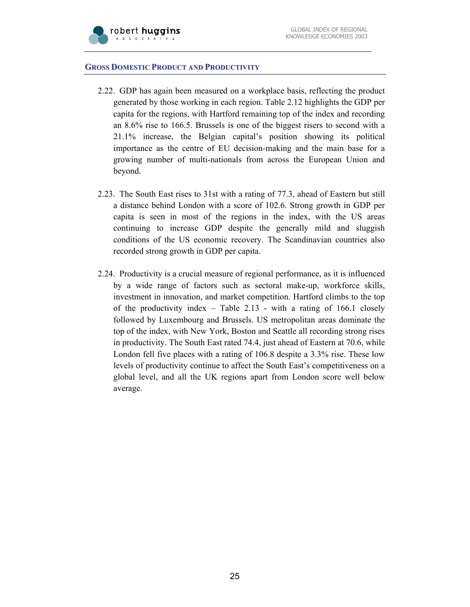

#### **GROSS DOMESTIC PRODUCT AND PRODUCTIVITY**

- 2.22. GDP has again been measured on a workplace basis, reflecting the product generated by those working in each region. Table 2.12 highlights the GDP per capita for the regions, with Hartford remaining top of the index and recording an 8.6% rise to 166.5. Brussels is one of the biggest risers to second with a 21.1% increase, the Belgian capital's position showing its political importance as the centre of EU decision-making and the main base for a growing number of multi-nationals from across the European Union and beyond.
- 2.23. The South East rises to 31st with a rating of 77.3, ahead of Eastern but still a distance behind London with a score of 102.6. Strong growth in GDP per capita is seen in most of the regions in the index, with the US areas continuing to increase GDP despite the generally mild and sluggish conditions of the US economic recovery. The Scandinavian countries also recorded strong growth in GDP per capita.
- 2.24. Productivity is a crucial measure of regional performance, as it is influenced by a wide range of factors such as sectoral make-up, workforce skills, investment in innovation, and market competition. Hartford climbs to the top of the productivity index – Table 2.13 - with a rating of 166.1 closely followed by Luxembourg and Brussels. US metropolitan areas dominate the top of the index, with New York, Boston and Seattle all recording strong rises in productivity. The South East rated 74.4, just ahead of Eastern at 70.6, while London fell five places with a rating of 106.8 despite a 3.3% rise. These low levels of productivity continue to affect the South East's competitiveness on a global level, and all the UK regions apart from London score well below average.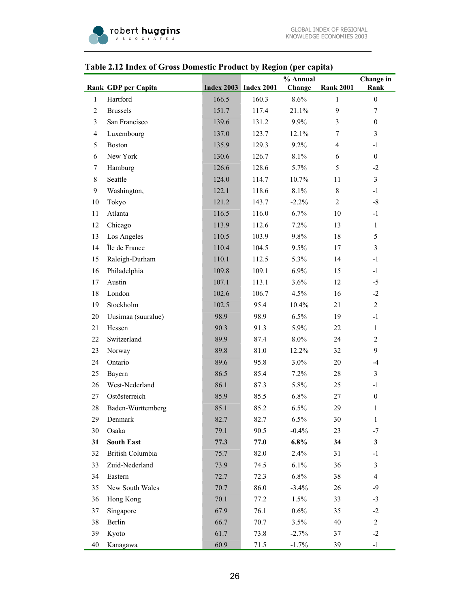|                | Thurs of Gross Domestic Frounce by Tregion (per cupitu) |       |                              |                    |                  |                          |
|----------------|---------------------------------------------------------|-------|------------------------------|--------------------|------------------|--------------------------|
|                | Rank GDP per Capita                                     |       | <b>Index 2003</b> Index 2001 | % Annual<br>Change | <b>Rank 2001</b> | Change in<br>Rank        |
| $\mathbf{1}$   | Hartford                                                | 166.5 | 160.3                        | 8.6%               | $\mathbf{1}$     | $\boldsymbol{0}$         |
| $\overline{2}$ | <b>Brussels</b>                                         | 151.7 | 117.4                        | 21.1%              | 9                | $\overline{7}$           |
| $\mathfrak{Z}$ | San Francisco                                           | 139.6 | 131.2                        | 9.9%               | 3                | $\boldsymbol{0}$         |
| $\overline{4}$ | Luxembourg                                              | 137.0 | 123.7                        | 12.1%              | 7                | 3                        |
| 5              | Boston                                                  | 135.9 | 129.3                        | 9.2%               | $\overline{4}$   | $-1$                     |
| 6              | New York                                                | 130.6 | 126.7                        | 8.1%               | 6                | $\boldsymbol{0}$         |
| $\tau$         | Hamburg                                                 | 126.6 | 128.6                        | 5.7%               | 5                | $-2$                     |
| $8\,$          | Seattle                                                 | 124.0 | 114.7                        | 10.7%              | 11               | $\overline{3}$           |
| 9              | Washington,                                             | 122.1 | 118.6                        | 8.1%               | 8                | $-1$                     |
| 10             | Tokyo                                                   | 121.2 | 143.7                        | $-2.2%$            | $\overline{2}$   | $-8$                     |
| 11             | Atlanta                                                 | 116.5 | 116.0                        | 6.7%               | 10               | $-1$                     |
| 12             | Chicago                                                 | 113.9 | 112.6                        | 7.2%               | 13               | $\mathbf{1}$             |
| 13             | Los Angeles                                             | 110.5 | 103.9                        | 9.8%               | 18               | 5                        |
| 14             | Île de France                                           | 110.4 | 104.5                        | 9.5%               | 17               | 3                        |
| 15             | Raleigh-Durham                                          | 110.1 | 112.5                        | 5.3%               | 14               | $-1$                     |
| 16             | Philadelphia                                            | 109.8 | 109.1                        | 6.9%               | 15               | $-1$                     |
| 17             | Austin                                                  | 107.1 | 113.1                        | 3.6%               | 12               | $-5$                     |
| 18             | London                                                  | 102.6 | 106.7                        | 4.5%               | 16               | $-2$                     |
| 19             | Stockholm                                               | 102.5 | 95.4                         | 10.4%              | 21               | $\mathbf{2}$             |
| 20             | Uusimaa (suuralue)                                      | 98.9  | 98.9                         | 6.5%               | 19               | $-1$                     |
| 21             | Hessen                                                  | 90.3  | 91.3                         | 5.9%               | 22               | $\mathbf{1}$             |
| 22             | Switzerland                                             | 89.9  | 87.4                         | 8.0%               | 24               | $\overline{2}$           |
| 23             | Norway                                                  | 89.8  | 81.0                         | 12.2%              | 32               | 9                        |
| 24             | Ontario                                                 | 89.6  | 95.8                         | 3.0%               | 20               | $-4$                     |
| 25             | Bayern                                                  | 86.5  | 85.4                         | 7.2%               | 28               | $\overline{3}$           |
| 26             | West-Nederland                                          | 86.1  | 87.3                         | 5.8%               | 25               | $-1$                     |
| 27             | Ostösterreich                                           | 85.9  | 85.5                         | 6.8%               | 27               | $\boldsymbol{0}$         |
| 28             | Baden-Württemberg                                       | 85.1  | 85.2                         | 6.5%               | 29               | $\mathbf{1}$             |
| 29             | Denmark                                                 | 82.7  | 82.7                         | 6.5%               | 30               | 1                        |
| 30             | Osaka                                                   | 79.1  | 90.5                         | $-0.4%$            | 23               | $-7$                     |
| 31             | <b>South East</b>                                       | 77.3  | 77.0                         | 6.8%               | 34               | $\mathbf{3}$             |
| 32             | British Columbia                                        | 75.7  | 82.0                         | 2.4%               | 31               | $-1$                     |
| 33             | Zuid-Nederland                                          | 73.9  | 74.5                         | 6.1%               | 36               | $\mathfrak{Z}$           |
| 34             | Eastern                                                 | 72.7  | 72.3                         | 6.8%               | 38               | $\overline{\mathcal{A}}$ |
| 35             | New South Wales                                         | 70.7  | 86.0                         | $-3.4%$            | 26               | $-9$                     |
| 36             | Hong Kong                                               | 70.1  | 77.2                         | 1.5%               | 33               | $-3$                     |
| 37             | Singapore                                               | 67.9  | 76.1                         | 0.6%               | 35               | $-2$                     |
| 38             | Berlin                                                  | 66.7  | 70.7                         | 3.5%               | 40               | $\overline{c}$           |
| 39             | Kyoto                                                   | 61.7  | 73.8                         | $-2.7%$            | 37               | $-2$                     |
| 40             | Kanagawa                                                | 60.9  | 71.5                         | $-1.7%$            | 39               | $-1$                     |

## **Table 2.12 Index of Gross Domestic Product by Region (per capita)**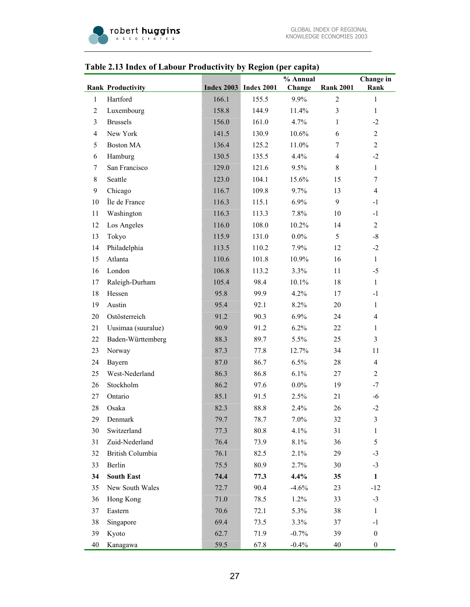

## **Rank Productivity Index 2003 Index 2001 % Annual Change Rank 2001 Change in Rank**  1 Hartford 166.1 155.5 9.9% 2 1 2 Luxembourg 158.8 144.9 11.4% 3 1 3 Brussels 156.0 161.0 4.7% 1 -2 4 New York 141.5 130.9 10.6% 6 2 5 Boston MA 136.4 125.2 11.0% 7 2 6 Hamburg 130.5 135.5 4.4% 4 -2 7 San Francisco 129.0 121.6 9.5% 8 1 8 Seattle 123.0 104.1 15.6% 15 7 9 Chicago 116.7 109.8 9.7% 13 4 10 Île de France 116.3 115.1 6.9% 9 -1 11 Washington 116.3 113.3 7.8% 10 -1 12 Los Angeles 116.0 108.0 10.2% 14 2 13 Tokyo 115.9 131.0 0.0% 5 -8 14 Philadelphia 113.5 110.2 7.9% 12 -2 15 Atlanta 110.6 101.8 10.9% 16 1 16 London 106.8 113.2 3.3% 11 -5 17 Raleigh-Durham 105.4 98.4 10.1% 18 1 18 Hessen 2012 95.8 99.9 4.2% 17 -1 19 Austin 95.4 92.1 8.2% 20 1 20 Ostösterreich 91.2 90.3 6.9% 24 4 21 Uusimaa (suuralue) 90.9 91.2 6.2% 22 1 22 Baden-Württemberg 88.3 89.7 5.5% 25 3 23 Norway 87.3 77.8 12.7% 34 11 24 Bayern 87.0 86.7 6.5% 28 4 25 West-Nederland 86.3 86.8 6.1% 27 2 26 Stockholm 86.2 97.6 0.0% 19 -7 27 Ontario 85.1 91.5 2.5% 21 -6 28 Osaka 82.3 88.8 2.4% 26 -2 29 Denmark 2001 19.7 78.7 7.0% 32 3 30 Switzerland 77.3 80.8 4.1% 31 1 31 Zuid-Nederland 76.4 73.9 8.1% 36 5 32 British Columbia 76.1 82.5 2.1% 29 -3 33 Berlin 75.5 80.9 2.7% 30 -3 **34 South East 74.4 77.3 4.4% 35 1**  35 New South Wales 72.7 90.4 -4.6% 23 -12

#### **Table 2.13 Index of Labour Productivity by Region (per capita)**

36 Hong Kong 21.0 78.5 1.2% 33 -3 37 Eastern 70.6 72.1 5.3% 38 1 38 Singapore 69.4 73.5 3.3% 37 -1 39 Kyoto 62.7 71.9 -0.7% 39 0 40 Kanagawa 59.5 67.8 -0.4% 40 0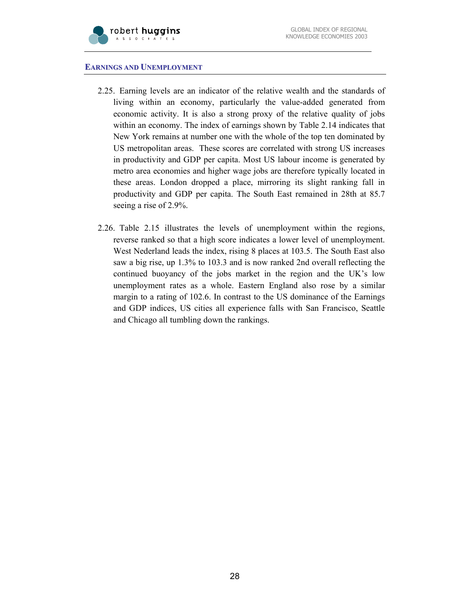#### **EARNINGS AND UNEMPLOYMENT**

- 2.25. Earning levels are an indicator of the relative wealth and the standards of living within an economy, particularly the value-added generated from economic activity. It is also a strong proxy of the relative quality of jobs within an economy. The index of earnings shown by Table 2.14 indicates that New York remains at number one with the whole of the top ten dominated by US metropolitan areas. These scores are correlated with strong US increases in productivity and GDP per capita. Most US labour income is generated by metro area economies and higher wage jobs are therefore typically located in these areas. London dropped a place, mirroring its slight ranking fall in productivity and GDP per capita. The South East remained in 28th at 85.7 seeing a rise of 2.9%.
- 2.26. Table 2.15 illustrates the levels of unemployment within the regions, reverse ranked so that a high score indicates a lower level of unemployment. West Nederland leads the index, rising 8 places at 103.5. The South East also saw a big rise, up 1.3% to 103.3 and is now ranked 2nd overall reflecting the continued buoyancy of the jobs market in the region and the UK's low unemployment rates as a whole. Eastern England also rose by a similar margin to a rating of 102.6. In contrast to the US dominance of the Earnings and GDP indices, US cities all experience falls with San Francisco, Seattle and Chicago all tumbling down the rankings.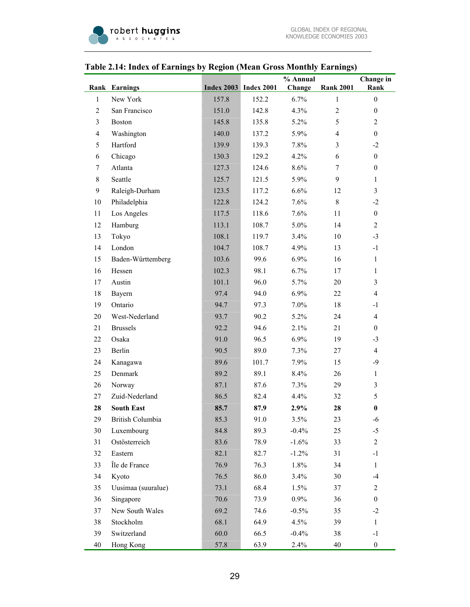| Table 2.14: Index of Earnings by Region (Mean Gross Monthly Earnings) |  |
|-----------------------------------------------------------------------|--|
|-----------------------------------------------------------------------|--|

|                |                      |       |                              | % Annual |                  | Change in        |
|----------------|----------------------|-------|------------------------------|----------|------------------|------------------|
|                | <b>Rank Earnings</b> |       | <b>Index 2003</b> Index 2001 | Change   | <b>Rank 2001</b> | Rank             |
| 1              | New York             | 157.8 | 152.2                        | 6.7%     | 1                | $\boldsymbol{0}$ |
| $\overline{2}$ | San Francisco        | 151.0 | 142.8                        | 4.3%     | $\overline{2}$   | $\boldsymbol{0}$ |
| $\overline{3}$ | <b>Boston</b>        | 145.8 | 135.8                        | 5.2%     | 5                | $\mathbf{2}$     |
| $\overline{4}$ | Washington           | 140.0 | 137.2                        | 5.9%     | $\overline{4}$   | $\boldsymbol{0}$ |
| 5              | Hartford             | 139.9 | 139.3                        | 7.8%     | 3                | $-2$             |
| 6              | Chicago              | 130.3 | 129.2                        | 4.2%     | 6                | $\boldsymbol{0}$ |
| 7              | Atlanta              | 127.3 | 124.6                        | 8.6%     | 7                | $\boldsymbol{0}$ |
| 8              | Seattle              | 125.7 | 121.5                        | 5.9%     | 9                | $\mathbf{1}$     |
| 9              | Raleigh-Durham       | 123.5 | 117.2                        | 6.6%     | 12               | $\overline{3}$   |
| 10             | Philadelphia         | 122.8 | 124.2                        | 7.6%     | 8                | $-2$             |
| 11             | Los Angeles          | 117.5 | 118.6                        | 7.6%     | 11               | $\boldsymbol{0}$ |
| 12             | Hamburg              | 113.1 | 108.7                        | 5.0%     | 14               | $\overline{2}$   |
| 13             | Tokyo                | 108.1 | 119.7                        | 3.4%     | 10               | $-3$             |
| 14             | London               | 104.7 | 108.7                        | 4.9%     | 13               | $-1$             |
| 15             | Baden-Württemberg    | 103.6 | 99.6                         | 6.9%     | 16               | $\mathbf{1}$     |
| 16             | Hessen               | 102.3 | 98.1                         | 6.7%     | 17               | $\mathbf{1}$     |
| 17             | Austin               | 101.1 | 96.0                         | 5.7%     | 20               | $\overline{3}$   |
| 18             | Bayern               | 97.4  | 94.0                         | 6.9%     | 22               | $\overline{4}$   |
| 19             | Ontario              | 94.7  | 97.3                         | 7.0%     | 18               | $-1$             |
| 20             | West-Nederland       | 93.7  | 90.2                         | 5.2%     | 24               | $\overline{4}$   |
| 21             | <b>Brussels</b>      | 92.2  | 94.6                         | 2.1%     | 21               | $\overline{0}$   |
| 22             | Osaka                | 91.0  | 96.5                         | 6.9%     | 19               | $-3$             |
| 23             | Berlin               | 90.5  | 89.0                         | 7.3%     | 27               | $\overline{4}$   |
| 24             | Kanagawa             | 89.6  | 101.7                        | 7.9%     | 15               | $-9$             |
| 25             | Denmark              | 89.2  | 89.1                         | 8.4%     | 26               | $\mathbf{1}$     |
| 26             | Norway               | 87.1  | 87.6                         | 7.3%     | 29               | $\overline{3}$   |
| 27             | Zuid-Nederland       | 86.5  | 82.4                         | 4.4%     | 32               | 5                |
| 28             | <b>South East</b>    | 85.7  | 87.9                         | 2.9%     | 28               | $\bf{0}$         |
| 29             | British Columbia     | 85.3  | 91.0                         | 3.5%     | 23               | $-6$             |
| 30             | Luxembourg           | 84.8  | 89.3                         | $-0.4%$  | 25               | $-5$             |
| 31             | Ostösterreich        | 83.6  | 78.9                         | $-1.6%$  | 33               | $\overline{c}$   |
| 32             | Eastern              | 82.1  | 82.7                         | $-1.2%$  | 31               | $-1$             |
| 33             | Île de France        | 76.9  | 76.3                         | 1.8%     | 34               | $\mathbf{1}$     |
| 34             | Kyoto                | 76.5  | 86.0                         | 3.4%     | 30               | $-4$             |
| 35             | Uusimaa (suuralue)   | 73.1  | 68.4                         | 1.5%     | 37               | $\overline{c}$   |
| 36             | Singapore            | 70.6  | 73.9                         | $0.9\%$  | 36               | $\boldsymbol{0}$ |
| 37             | New South Wales      | 69.2  | 74.6                         | $-0.5%$  | 35               | $-2$             |
| 38             | Stockholm            | 68.1  | 64.9                         | 4.5%     | 39               | $\mathbf{1}$     |
| 39             | Switzerland          | 60.0  | 66.5                         | $-0.4%$  | 38               | $-1$             |
| 40             | Hong Kong            | 57.8  | 63.9                         | 2.4%     | 40               | $\boldsymbol{0}$ |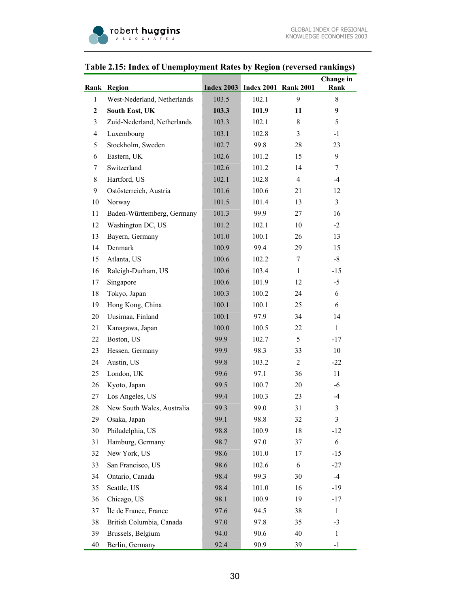|  |  |  |  | Table 2.15: Index of Unemployment Rates by Region (reversed rankings) |
|--|--|--|--|-----------------------------------------------------------------------|

|                  |                             |       |                                        |                | Change in      |
|------------------|-----------------------------|-------|----------------------------------------|----------------|----------------|
|                  | Rank Region                 |       | <b>Index 2003</b> Index 2001 Rank 2001 |                | Rank           |
| 1                | West-Nederland, Netherlands | 103.5 | 102.1                                  | 9              | 8              |
| $\boldsymbol{2}$ | South East, UK              | 103.3 | 101.9                                  | 11             | 9              |
| 3                | Zuid-Nederland, Netherlands | 103.3 | 102.1                                  | 8              | 5              |
| $\overline{4}$   | Luxembourg                  | 103.1 | 102.8                                  | 3              | $-1$           |
| 5                | Stockholm, Sweden           | 102.7 | 99.8                                   | 28             | 23             |
| 6                | Eastern, UK                 | 102.6 | 101.2                                  | 15             | 9              |
| 7                | Switzerland                 | 102.6 | 101.2                                  | 14             | 7              |
| 8                | Hartford, US                | 102.1 | 102.8                                  | $\overline{4}$ | $-4$           |
| 9                | Ostösterreich, Austria      | 101.6 | 100.6                                  | 21             | 12             |
| 10               | Norway                      | 101.5 | 101.4                                  | 13             | $\overline{3}$ |
| 11               | Baden-Württemberg, Germany  | 101.3 | 99.9                                   | 27             | 16             |
| 12               | Washington DC, US           | 101.2 | 102.1                                  | 10             | $-2$           |
| 13               | Bayern, Germany             | 101.0 | 100.1                                  | 26             | 13             |
| 14               | Denmark                     | 100.9 | 99.4                                   | 29             | 15             |
| 15               | Atlanta, US                 | 100.6 | 102.2                                  | 7              | $-8$           |
| 16               | Raleigh-Durham, US          | 100.6 | 103.4                                  | $\mathbf{1}$   | $-15$          |
| 17               | Singapore                   | 100.6 | 101.9                                  | 12             | $-5$           |
| 18               | Tokyo, Japan                | 100.3 | 100.2                                  | 24             | 6              |
| 19               | Hong Kong, China            | 100.1 | 100.1                                  | 25             | 6              |
| 20               | Uusimaa, Finland            | 100.1 | 97.9                                   | 34             | 14             |
| 21               | Kanagawa, Japan             | 100.0 | 100.5                                  | 22.            | $\mathbf{1}$   |
| 22               | Boston, US                  | 99.9  | 102.7                                  | 5              | $-17$          |
| 23               | Hessen, Germany             | 99.9  | 98.3                                   | 33             | 10             |
| 24               | Austin, US                  | 99.8  | 103.2                                  | $\overline{2}$ | $-22$          |
| 25               | London, UK                  | 99.6  | 97.1                                   | 36             | 11             |
| 26               | Kyoto, Japan                | 99.5  | 100.7                                  | 20             | -6             |
| 27               | Los Angeles, US             | 99.4  | 100.3                                  | 23             | $-4$           |
| 28               | New South Wales, Australia  | 99.3  | 99.0                                   | 31             | $\mathfrak{Z}$ |
| 29               | Osaka, Japan                | 99.1  | 98.8                                   | 32             | $\mathfrak{Z}$ |
| 30               | Philadelphia, US            | 98.8  | 100.9                                  | 18             | $-12$          |
| 31               | Hamburg, Germany            | 98.7  | 97.0                                   | 37             | 6              |
| 32               | New York, US                | 98.6  | 101.0                                  | 17             | $-15$          |
| 33               | San Francisco, US           | 98.6  | 102.6                                  | 6              | $-27$          |
| 34               | Ontario, Canada             | 98.4  | 99.3                                   | 30             | $-4$           |
| 35               | Seattle, US                 | 98.4  | 101.0                                  | 16             | $-19$          |
| 36               | Chicago, US                 | 98.1  | 100.9                                  | 19             | -17            |
| 37               | Île de France, France       | 97.6  | 94.5                                   | 38             | $\mathbf{1}$   |
| 38               | British Columbia, Canada    | 97.0  | 97.8                                   | 35             | $-3$           |
| 39               | Brussels, Belgium           | 94.0  | 90.6                                   | 40             | $\mathbf{1}$   |
| 40               | Berlin, Germany             | 92.4  | 90.9                                   | 39             | $-1$           |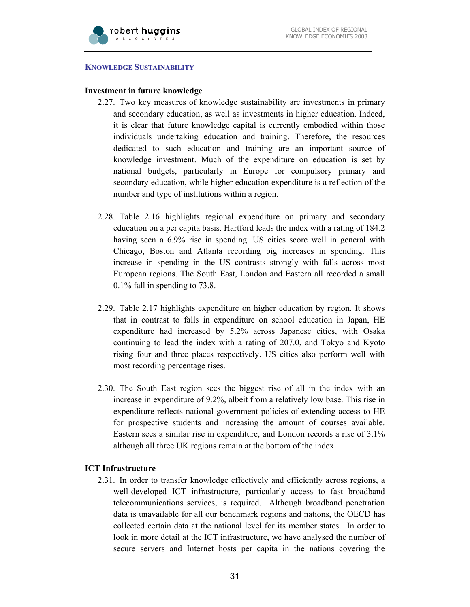

#### **KNOWLEDGE SUSTAINABILITY**

#### **Investment in future knowledge**

- 2.27. Two key measures of knowledge sustainability are investments in primary and secondary education, as well as investments in higher education. Indeed, it is clear that future knowledge capital is currently embodied within those individuals undertaking education and training. Therefore, the resources dedicated to such education and training are an important source of knowledge investment. Much of the expenditure on education is set by national budgets, particularly in Europe for compulsory primary and secondary education, while higher education expenditure is a reflection of the number and type of institutions within a region.
- 2.28. Table 2.16 highlights regional expenditure on primary and secondary education on a per capita basis. Hartford leads the index with a rating of 184.2 having seen a 6.9% rise in spending. US cities score well in general with Chicago, Boston and Atlanta recording big increases in spending. This increase in spending in the US contrasts strongly with falls across most European regions. The South East, London and Eastern all recorded a small 0.1% fall in spending to 73.8.
- 2.29. Table 2.17 highlights expenditure on higher education by region. It shows that in contrast to falls in expenditure on school education in Japan, HE expenditure had increased by 5.2% across Japanese cities, with Osaka continuing to lead the index with a rating of 207.0, and Tokyo and Kyoto rising four and three places respectively. US cities also perform well with most recording percentage rises.
- 2.30. The South East region sees the biggest rise of all in the index with an increase in expenditure of 9.2%, albeit from a relatively low base. This rise in expenditure reflects national government policies of extending access to HE for prospective students and increasing the amount of courses available. Eastern sees a similar rise in expenditure, and London records a rise of 3.1% although all three UK regions remain at the bottom of the index.

#### **ICT Infrastructure**

2.31. In order to transfer knowledge effectively and efficiently across regions, a well-developed ICT infrastructure, particularly access to fast broadband telecommunications services, is required. Although broadband penetration data is unavailable for all our benchmark regions and nations, the OECD has collected certain data at the national level for its member states. In order to look in more detail at the ICT infrastructure, we have analysed the number of secure servers and Internet hosts per capita in the nations covering the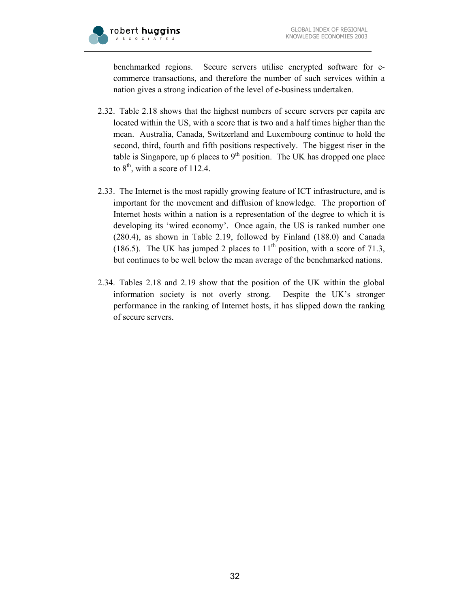

benchmarked regions. Secure servers utilise encrypted software for ecommerce transactions, and therefore the number of such services within a nation gives a strong indication of the level of e-business undertaken.

- 2.32. Table 2.18 shows that the highest numbers of secure servers per capita are located within the US, with a score that is two and a half times higher than the mean. Australia, Canada, Switzerland and Luxembourg continue to hold the second, third, fourth and fifth positions respectively. The biggest riser in the table is Singapore, up 6 places to  $9<sup>th</sup>$  position. The UK has dropped one place to  $8<sup>th</sup>$ , with a score of 112.4.
- 2.33. The Internet is the most rapidly growing feature of ICT infrastructure, and is important for the movement and diffusion of knowledge. The proportion of Internet hosts within a nation is a representation of the degree to which it is developing its 'wired economy'. Once again, the US is ranked number one (280.4), as shown in Table 2.19, followed by Finland (188.0) and Canada (186.5). The UK has jumped 2 places to  $11<sup>th</sup>$  position, with a score of 71.3, but continues to be well below the mean average of the benchmarked nations.
- 2.34. Tables 2.18 and 2.19 show that the position of the UK within the global information society is not overly strong. Despite the UK's stronger performance in the ranking of Internet hosts, it has slipped down the ranking of secure servers.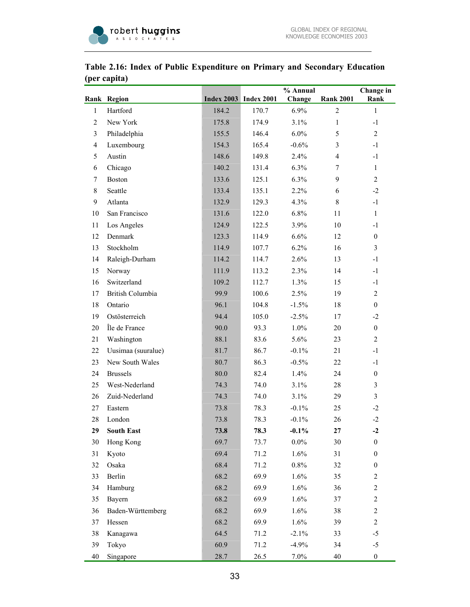

|                | Rank Region        |       | <b>Index 2003</b> Index 2001 | % Annual |                  | Change in        |
|----------------|--------------------|-------|------------------------------|----------|------------------|------------------|
|                |                    |       |                              | Change   | <b>Rank 2001</b> | Rank             |
| $\mathbf{1}$   | Hartford           | 184.2 | 170.7                        | 6.9%     | $\overline{2}$   | $\mathbf{1}$     |
| $\overline{2}$ | New York           | 175.8 | 174.9                        | 3.1%     | $\mathbf{1}$     | $-1$             |
| 3              | Philadelphia       | 155.5 | 146.4                        | 6.0%     | 5                | $\overline{2}$   |
| $\overline{4}$ | Luxembourg         | 154.3 | 165.4                        | $-0.6%$  | 3                | $-1$             |
| 5              | Austin             | 148.6 | 149.8                        | 2.4%     | 4                | $-1$             |
| 6              | Chicago            | 140.2 | 131.4                        | 6.3%     | 7                | $\mathbf{1}$     |
| 7              | <b>Boston</b>      | 133.6 | 125.1                        | 6.3%     | 9                | $\overline{2}$   |
| 8              | Seattle            | 133.4 | 135.1                        | 2.2%     | 6                | $-2$             |
| 9              | Atlanta            | 132.9 | 129.3                        | 4.3%     | 8                | $-1$             |
| 10             | San Francisco      | 131.6 | 122.0                        | 6.8%     | 11               | $\mathbf{1}$     |
| 11             | Los Angeles        | 124.9 | 122.5                        | 3.9%     | 10               | $-1$             |
| 12             | Denmark            | 123.3 | 114.9                        | 6.6%     | 12               | $\boldsymbol{0}$ |
| 13             | Stockholm          | 114.9 | 107.7                        | 6.2%     | 16               | $\overline{3}$   |
| 14             | Raleigh-Durham     | 114.2 | 114.7                        | 2.6%     | 13               | $-1$             |
| 15             | Norway             | 111.9 | 113.2                        | 2.3%     | 14               | $-1$             |
| 16             | Switzerland        | 109.2 | 112.7                        | 1.3%     | 15               | $-1$             |
| 17             | British Columbia   | 99.9  | 100.6                        | 2.5%     | 19               | $\overline{2}$   |
| 18             | Ontario            | 96.1  | 104.8                        | $-1.5%$  | 18               | $\boldsymbol{0}$ |
| 19             | Ostösterreich      | 94.4  | 105.0                        | $-2.5%$  | 17               | $-2$             |
| $20\,$         | Île de France      | 90.0  | 93.3                         | 1.0%     | 20               | $\boldsymbol{0}$ |
| 21             | Washington         | 88.1  | 83.6                         | 5.6%     | 23               | $\overline{2}$   |
| 22             | Uusimaa (suuralue) | 81.7  | 86.7                         | $-0.1%$  | 21               | $-1$             |
| 23             | New South Wales    | 80.7  | 86.3                         | $-0.5%$  | 22               | $-1$             |
| 24             | <b>Brussels</b>    | 80.0  | 82.4                         | 1.4%     | 24               | $\boldsymbol{0}$ |
| 25             | West-Nederland     | 74.3  | 74.0                         | 3.1%     | 28               | $\overline{3}$   |
| 26             | Zuid-Nederland     | 74.3  | 74.0                         | 3.1%     | 29               | $\overline{3}$   |
| 27             | Eastern            | 73.8  | 78.3                         | $-0.1%$  | 25               | $-2$             |
| 28             | London             | 73.8  | 78.3                         | $-0.1%$  | 26               | $-2$             |
| 29             | <b>South East</b>  | 73.8  | 78.3                         | $-0.1\%$ | 27               | $-2$             |
| 30             | Hong Kong          | 69.7  | 73.7                         | $0.0\%$  | 30               | $\boldsymbol{0}$ |
| 31             | Kyoto              | 69.4  | 71.2                         | 1.6%     | 31               | $\boldsymbol{0}$ |
| 32             | Osaka              | 68.4  | 71.2                         | $0.8\%$  | 32               | $\boldsymbol{0}$ |
| 33             | Berlin             | 68.2  | 69.9                         | 1.6%     | 35               | $\mathbf{2}$     |
| 34             | Hamburg            | 68.2  | 69.9                         | 1.6%     | 36               | $\overline{c}$   |
| 35             | Bayern             | 68.2  | 69.9                         | 1.6%     | 37               | $\mathbf{2}$     |
| 36             | Baden-Württemberg  | 68.2  | 69.9                         | 1.6%     | 38               | $\mathbf{2}$     |
| 37             | Hessen             | 68.2  | 69.9                         | 1.6%     | 39               | $\mathbf{2}$     |
| 38             | Kanagawa           | 64.5  | 71.2                         | $-2.1%$  | 33               | $-5$             |
| 39             | Tokyo              | 60.9  | 71.2                         | $-4.9%$  | 34               | $-5$             |
| 40             | Singapore          | 28.7  | 26.5                         | $7.0\%$  | 40               | $\boldsymbol{0}$ |

## **Table 2.16: Index of Public Expenditure on Primary and Secondary Education (per capita)**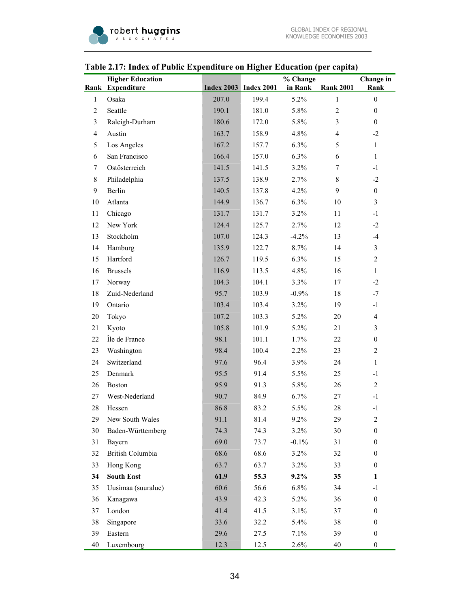|                | гаріс 2.17. піцел от і арне плренанате он тидіет пласанон (рег сарна) |       |                              |                     |                  |                   |
|----------------|-----------------------------------------------------------------------|-------|------------------------------|---------------------|------------------|-------------------|
|                | <b>Higher Education</b><br>Rank Expenditure                           |       | <b>Index 2003</b> Index 2001 | % Change<br>in Rank | <b>Rank 2001</b> | Change in<br>Rank |
| $\mathbf{1}$   | Osaka                                                                 | 207.0 | 199.4                        | 5.2%                | $\mathbf{1}$     | $\boldsymbol{0}$  |
| $\overline{c}$ | Seattle                                                               | 190.1 | 181.0                        | 5.8%                | $\overline{c}$   | $\boldsymbol{0}$  |
| 3              | Raleigh-Durham                                                        | 180.6 | 172.0                        | 5.8%                | $\overline{3}$   | $\boldsymbol{0}$  |
| 4              | Austin                                                                | 163.7 | 158.9                        | 4.8%                | $\overline{4}$   | $-2$              |
| 5              | Los Angeles                                                           | 167.2 | 157.7                        | 6.3%                | 5                | $\mathbf{1}$      |
| 6              | San Francisco                                                         | 166.4 | 157.0                        | 6.3%                | 6                | $\mathbf{1}$      |
| 7              | Ostösterreich                                                         | 141.5 | 141.5                        | 3.2%                | $7\phantom{.0}$  | $-1$              |
| 8              | Philadelphia                                                          | 137.5 | 138.9                        | 2.7%                | $8\,$            | $-2$              |
| 9              | Berlin                                                                | 140.5 | 137.8                        | 4.2%                | 9                | $\boldsymbol{0}$  |
| 10             | Atlanta                                                               | 144.9 | 136.7                        | 6.3%                | 10               | $\overline{3}$    |
| 11             | Chicago                                                               | 131.7 | 131.7                        | 3.2%                | 11               | $-1$              |
| 12             | New York                                                              | 124.4 | 125.7                        | 2.7%                | 12               | $-2$              |
| 13             | Stockholm                                                             | 107.0 | 124.3                        | $-4.2%$             | 13               | $-4$              |
| 14             | Hamburg                                                               | 135.9 | 122.7                        | 8.7%                | 14               | $\mathfrak{Z}$    |
| 15             | Hartford                                                              | 126.7 | 119.5                        | 6.3%                | 15               | $\mathbf{2}$      |
| 16             | <b>Brussels</b>                                                       | 116.9 | 113.5                        | 4.8%                | 16               | $\mathbf{1}$      |
| 17             | Norway                                                                | 104.3 | 104.1                        | 3.3%                | 17               | $-2$              |
| 18             | Zuid-Nederland                                                        | 95.7  | 103.9                        | $-0.9\%$            | 18               | $-7$              |
| 19             | Ontario                                                               | 103.4 | 103.4                        | 3.2%                | 19               | $-1$              |
| 20             | Tokyo                                                                 | 107.2 | 103.3                        | 5.2%                | 20               | $\overline{4}$    |
| 21             | Kyoto                                                                 | 105.8 | 101.9                        | 5.2%                | 21               | 3                 |
| 22             | Île de France                                                         | 98.1  | 101.1                        | 1.7%                | 22               | $\boldsymbol{0}$  |
| 23             | Washington                                                            | 98.4  | 100.4                        | 2.2%                | 23               | $\mathbf{2}$      |
| 24             | Switzerland                                                           | 97.6  | 96.4                         | 3.9%                | 24               | $\mathbf{1}$      |
| 25             | Denmark                                                               | 95.5  | 91.4                         | 5.5%                | 25               | $-1$              |
| 26             | Boston                                                                | 95.9  | 91.3                         | 5.8%                | 26               | $\overline{2}$    |
| 27             | West-Nederland                                                        | 90.7  | 84.9                         | 6.7%                | 27               | $-1$              |
| 28             | Hessen                                                                | 86.8  | 83.2                         | 5.5%                | 28               | $-1$              |
| 29             | New South Wales                                                       | 91.1  | 81.4                         | 9.2%                | 29               | $\mathfrak{2}$    |
| 30             | Baden-Württemberg                                                     | 74.3  | 74.3                         | 3.2%                | 30               | $\boldsymbol{0}$  |
| 31             | Bayern                                                                | 69.0  | 73.7                         | $-0.1%$             | 31               | $\boldsymbol{0}$  |
| 32             | <b>British Columbia</b>                                               | 68.6  | 68.6                         | 3.2%                | 32               | $\boldsymbol{0}$  |
| 33             | Hong Kong                                                             | 63.7  | 63.7                         | 3.2%                | 33               | $\boldsymbol{0}$  |
| 34             | <b>South East</b>                                                     | 61.9  | 55.3                         | $9.2\%$             | 35               | $\mathbf{1}$      |
| 35             | Uusimaa (suuralue)                                                    | 60.6  | 56.6                         | 6.8%                | 34               | $-1$              |
| 36             | Kanagawa                                                              | 43.9  | 42.3                         | 5.2%                | 36               | $\boldsymbol{0}$  |
| 37             | London                                                                | 41.4  | 41.5                         | 3.1%                | 37               | $\boldsymbol{0}$  |
| 38             | Singapore                                                             | 33.6  | 32.2                         | 5.4%                | 38               | $\boldsymbol{0}$  |
| 39             | Eastern                                                               | 29.6  | 27.5                         | 7.1%                | 39               | $\boldsymbol{0}$  |
| 40             | Luxembourg                                                            | 12.3  | 12.5                         | 2.6%                | 40               | $\boldsymbol{0}$  |

### **Table 2.17: Index of Public Expenditure on Higher Education (per capita)**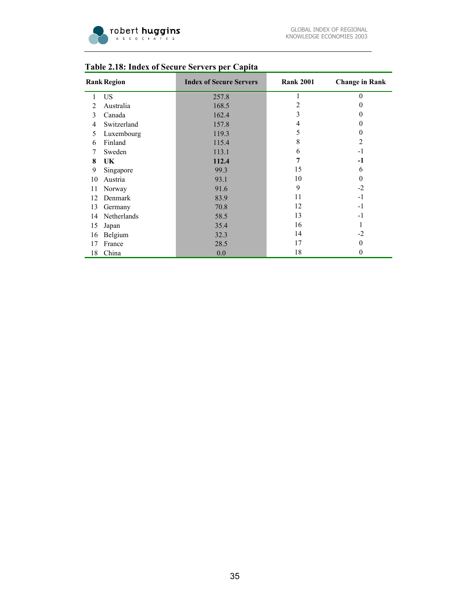

| <b>Rank Region</b> |             | <b>Index of Secure Servers</b> | <b>Rank 2001</b> | <b>Change in Rank</b> |
|--------------------|-------------|--------------------------------|------------------|-----------------------|
| 1                  | US          | 257.8                          | 1                | $\theta$              |
| 2                  | Australia   | 168.5                          | 2                | $\theta$              |
| 3                  | Canada      | 162.4                          | 3                | $\Omega$              |
| 4                  | Switzerland | 157.8                          | 4                | $\theta$              |
| 5                  | Luxembourg  | 119.3                          | 5                | $\theta$              |
| 6                  | Finland     | 115.4                          | 8                | $\overline{2}$        |
| 7                  | Sweden      | 113.1                          | 6                | $-1$                  |
| 8                  | UK          | 112.4                          | 7                | $-1$                  |
| 9                  | Singapore   | 99.3                           | 15               | 6                     |
| 10                 | Austria     | 93.1                           | 10               | $\Omega$              |
| 11                 | Norway      | 91.6                           | 9                | $-2$                  |
| 12                 | Denmark     | 83.9                           | 11               | $-1$                  |
| 13                 | Germany     | 70.8                           | 12               | $-1$                  |
| 14                 | Netherlands | 58.5                           | 13               | $-1$                  |
| 15                 | Japan       | 35.4                           | 16               |                       |
| 16                 | Belgium     | 32.3                           | 14               | $-2$                  |
| 17                 | France      | 28.5                           | 17               | $\theta$              |
| 18                 | China       | 0.0                            | 18               | 0                     |

## **Table 2.18: Index of Secure Servers per Capita**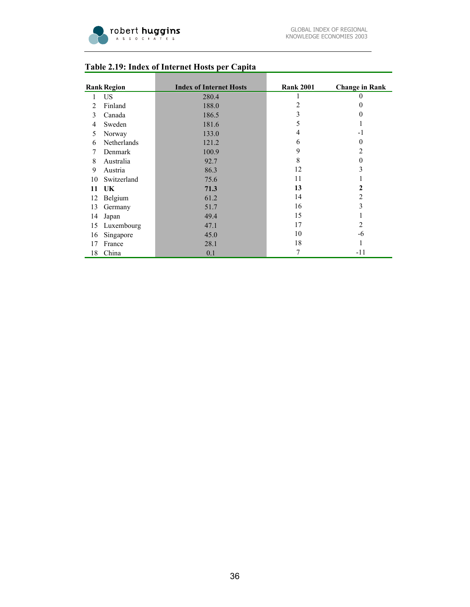

|    | <b>Rank Region</b> | <b>Index of Internet Hosts</b> | <b>Rank 2001</b> | <b>Change in Rank</b> |
|----|--------------------|--------------------------------|------------------|-----------------------|
| 1  | US.                | 280.4                          |                  | $_{0}$                |
| 2  | Finland            | 188.0                          | 2                | $\theta$              |
| 3  | Canada             | 186.5                          | 3                | 0                     |
| 4  | Sweden             | 181.6                          | 5                |                       |
| 5  | Norway             | 133.0                          | 4                | $-1$                  |
| 6  | Netherlands        | 121.2                          | 6                | $\Omega$              |
| 7  | Denmark            | 100.9                          | 9                | 2                     |
| 8  | Australia          | 92.7                           | 8                | $\theta$              |
| 9  | Austria            | 86.3                           | 12               | 3                     |
| 10 | Switzerland        | 75.6                           | 11               | л.                    |
| 11 | UK                 | 71.3                           | 13               | $\mathbf{2}$          |
| 12 | Belgium            | 61.2                           | 14               | $\overline{2}$        |
| 13 | Germany            | 51.7                           | 16               | 3                     |
| 14 | Japan              | 49.4                           | 15               | 1                     |
| 15 | Luxembourg         | 47.1                           | 17               | $\overline{2}$        |
| 16 | Singapore          | 45.0                           | 10               | -6                    |
| 17 | France             | 28.1                           | 18               |                       |
| 18 | China              | 0.1                            | 7                | -11                   |

## **Table 2.19: Index of Internet Hosts per Capita**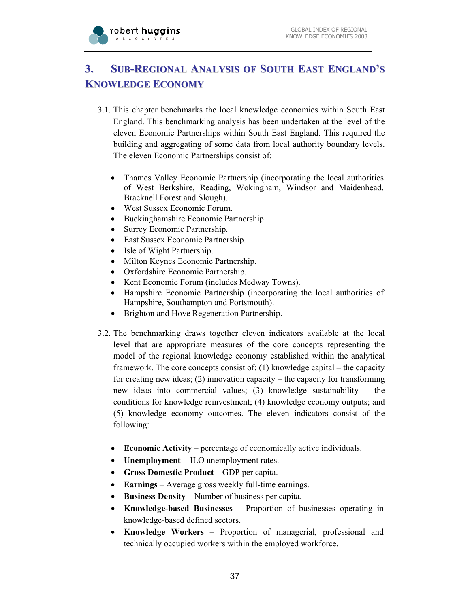

# **3. SUB-REGIONAL ANALYSIS OF SOUTH EAST ENGLAND'S KNOWLEDGE ECONOMY**

- 3.1. This chapter benchmarks the local knowledge economies within South East England. This benchmarking analysis has been undertaken at the level of the eleven Economic Partnerships within South East England. This required the building and aggregating of some data from local authority boundary levels. The eleven Economic Partnerships consist of:
	- Thames Valley Economic Partnership (incorporating the local authorities of West Berkshire, Reading, Wokingham, Windsor and Maidenhead, Bracknell Forest and Slough).
	- West Sussex Economic Forum.
	- Buckinghamshire Economic Partnership.
	- Surrey Economic Partnership.
	- East Sussex Economic Partnership.
	- Isle of Wight Partnership.
	- Milton Keynes Economic Partnership.
	- Oxfordshire Economic Partnership.
	- Kent Economic Forum (includes Medway Towns).
	- Hampshire Economic Partnership (incorporating the local authorities of Hampshire, Southampton and Portsmouth).
	- Brighton and Hove Regeneration Partnership.
- 3.2. The benchmarking draws together eleven indicators available at the local level that are appropriate measures of the core concepts representing the model of the regional knowledge economy established within the analytical framework. The core concepts consist of: (1) knowledge capital – the capacity for creating new ideas; (2) innovation capacity – the capacity for transforming new ideas into commercial values; (3) knowledge sustainability – the conditions for knowledge reinvestment; (4) knowledge economy outputs; and (5) knowledge economy outcomes. The eleven indicators consist of the following:
	- **Economic Activity** percentage of economically active individuals.
	- **Unemployment** ILO unemployment rates.
	- **Gross Domestic Product** GDP per capita.
	- **Earnings** Average gross weekly full-time earnings.
	- **Business Density** Number of business per capita.
	- **Knowledge-based Businesses** Proportion of businesses operating in knowledge-based defined sectors.
	- **Knowledge Workers** Proportion of managerial, professional and technically occupied workers within the employed workforce.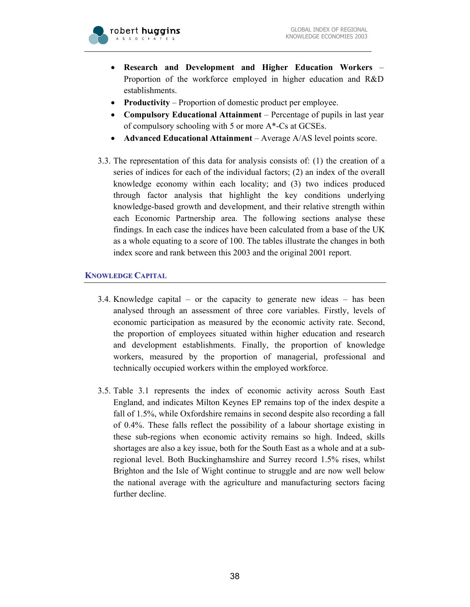

- **Research and Development and Higher Education Workers**  Proportion of the workforce employed in higher education and R&D establishments.
- **Productivity** Proportion of domestic product per employee.
- **Compulsory Educational Attainment** Percentage of pupils in last year of compulsory schooling with 5 or more A\*-Cs at GCSEs.
- **Advanced Educational Attainment** Average A/AS level points score.
- 3.3. The representation of this data for analysis consists of: (1) the creation of a series of indices for each of the individual factors; (2) an index of the overall knowledge economy within each locality; and (3) two indices produced through factor analysis that highlight the key conditions underlying knowledge-based growth and development, and their relative strength within each Economic Partnership area. The following sections analyse these findings. In each case the indices have been calculated from a base of the UK as a whole equating to a score of 100. The tables illustrate the changes in both index score and rank between this 2003 and the original 2001 report.

## **KNOWLEDGE CAPITAL**

- 3.4. Knowledge capital or the capacity to generate new ideas has been analysed through an assessment of three core variables. Firstly, levels of economic participation as measured by the economic activity rate. Second, the proportion of employees situated within higher education and research and development establishments. Finally, the proportion of knowledge workers, measured by the proportion of managerial, professional and technically occupied workers within the employed workforce.
- 3.5. Table 3.1 represents the index of economic activity across South East England, and indicates Milton Keynes EP remains top of the index despite a fall of 1.5%, while Oxfordshire remains in second despite also recording a fall of 0.4%. These falls reflect the possibility of a labour shortage existing in these sub-regions when economic activity remains so high. Indeed, skills shortages are also a key issue, both for the South East as a whole and at a subregional level. Both Buckinghamshire and Surrey record 1.5% rises, whilst Brighton and the Isle of Wight continue to struggle and are now well below the national average with the agriculture and manufacturing sectors facing further decline.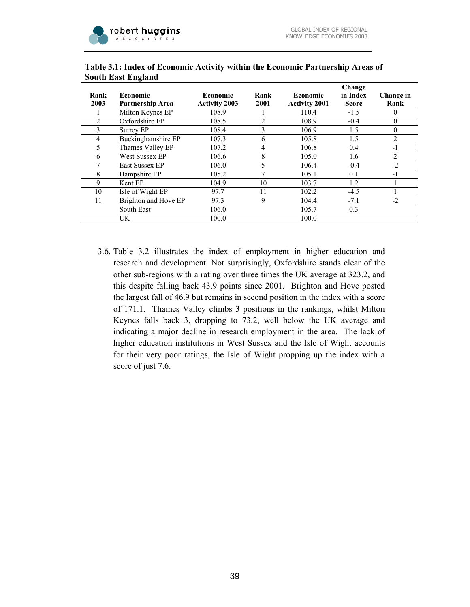

|      |                         |                      |                |                      | Change       |           |
|------|-------------------------|----------------------|----------------|----------------------|--------------|-----------|
| Rank | <b>Economic</b>         | Economic             | Rank           | Economic             | in Index     | Change in |
| 2003 | <b>Partnership Area</b> | <b>Activity 2003</b> | 2001           | <b>Activity 2001</b> | <b>Score</b> | Rank      |
|      | Milton Keynes EP        | 108.9                |                | 110.4                | $-1.5$       | 0         |
| 2    | Oxfordshire EP          | 108.5                | $\overline{c}$ | 108.9                | $-0.4$       | $\theta$  |
|      | Surrey EP               | 108.4                | 3              | 106.9                | 1.5          | 0         |
| 4    | Buckinghamshire EP      | 107.3                | 6              | 105.8                | 1.5          | 2         |
| 5.   | Thames Valley EP        | 107.2                | 4              | 106.8                | 0.4          | -1        |
| 6    | West Sussex EP          | 106.6                | 8              | 105.0                | 1.6          | 2         |
|      | East Sussex EP          | 106.0                | 5              | 106.4                | $-0.4$       | $-2$      |
| 8    | Hampshire EP            | 105.2                | 7              | 105.1                | 0.1          | -1        |
| 9    | Kent EP                 | 104.9                | 10             | 103.7                | 1.2          |           |
| 10   | Isle of Wight EP        | 97.7                 | 11             | 102.2                | $-4.5$       |           |
| 11   | Brighton and Hove EP    | 97.3                 | 9              | 104.4                | $-7.1$       | $-2$      |
|      | South East              | 106.0                |                | 105.7                | 0.3          |           |
|      | UK.                     | 100.0                |                | 100.0                |              |           |

#### **Table 3.1: Index of Economic Activity within the Economic Partnership Areas of South East England**

3.6. Table 3.2 illustrates the index of employment in higher education and research and development. Not surprisingly, Oxfordshire stands clear of the other sub-regions with a rating over three times the UK average at 323.2, and this despite falling back 43.9 points since 2001. Brighton and Hove posted the largest fall of 46.9 but remains in second position in the index with a score of 171.1. Thames Valley climbs 3 positions in the rankings, whilst Milton Keynes falls back 3, dropping to 73.2, well below the UK average and indicating a major decline in research employment in the area. The lack of higher education institutions in West Sussex and the Isle of Wight accounts for their very poor ratings, the Isle of Wight propping up the index with a score of just 7.6.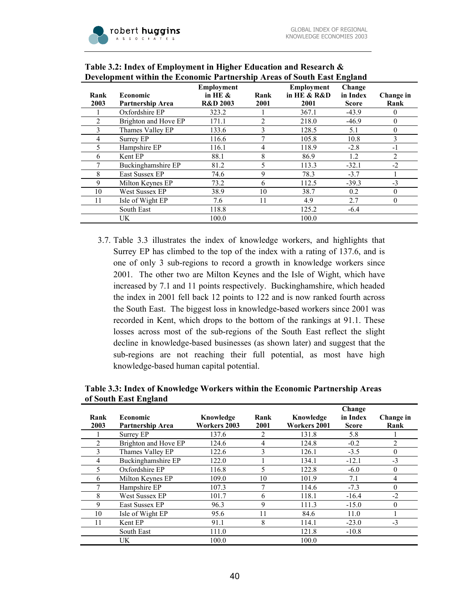

|              |                                            |                                                        |                |                                                | -                                  |                   |
|--------------|--------------------------------------------|--------------------------------------------------------|----------------|------------------------------------------------|------------------------------------|-------------------|
| Rank<br>2003 | <b>Economic</b><br><b>Partnership Area</b> | <b>Employment</b><br>in HE $\&$<br><b>R&amp;D 2003</b> | Rank<br>2001   | <b>Employment</b><br>in HE $&$ R $&$ D<br>2001 | Change<br>in Index<br><b>Score</b> | Change in<br>Rank |
|              | Oxfordshire EP                             | 323.2                                                  |                | 367.1                                          | $-43.9$                            | 0                 |
|              | Brighton and Hove EP                       | 171.1                                                  | $\overline{2}$ | 218.0                                          | $-46.9$                            | 0                 |
|              | Thames Valley EP                           | 133.6                                                  | 3              | 128.5                                          | 5.1                                | $\Omega$          |
| 4            | Surrey EP                                  | 116.6                                                  | 7              | 105.8                                          | 10.8                               | 3                 |
|              | Hampshire EP                               | 116.1                                                  | 4              | 118.9                                          | $-2.8$                             | -1                |
| 6            | Kent EP                                    | 88.1                                                   | 8              | 86.9                                           | 1.2                                | $\overline{c}$    |
|              | Buckinghamshire EP                         | 81.2                                                   |                | 113.3                                          | $-32.1$                            | $-2$              |
| 8            | East Sussex EP                             | 74.6                                                   | 9              | 78.3                                           | $-3.7$                             |                   |
| 9            | Milton Keynes EP                           | 73.2                                                   | 6              | 112.5                                          | $-39.3$                            | $-3$              |
| 10           | West Sussex EP                             | 38.9                                                   | 10             | 38.7                                           | 0.2                                | $\theta$          |
| 11           | Isle of Wight EP                           | 7.6                                                    | 11             | 4.9                                            | 2.7                                | $\theta$          |
|              | South East                                 | 118.8                                                  |                | 125.2                                          | $-6.4$                             |                   |
|              | UK                                         | 100.0                                                  |                | 100.0                                          |                                    |                   |

#### **Table 3.2: Index of Employment in Higher Education and Research & Development within the Economic Partnership Areas of South East England**

3.7. Table 3.3 illustrates the index of knowledge workers, and highlights that Surrey EP has climbed to the top of the index with a rating of 137.6, and is one of only 3 sub-regions to record a growth in knowledge workers since 2001. The other two are Milton Keynes and the Isle of Wight, which have increased by 7.1 and 11 points respectively. Buckinghamshire, which headed the index in 2001 fell back 12 points to 122 and is now ranked fourth across the South East. The biggest loss in knowledge-based workers since 2001 was recorded in Kent, which drops to the bottom of the rankings at 91.1. These losses across most of the sub-regions of the South East reflect the slight decline in knowledge-based businesses (as shown later) and suggest that the sub-regions are not reaching their full potential, as most have high knowledge-based human capital potential.

|                       | Table 5.5: Thuex of Knowledge Workers within the Economic Partnership Areas |
|-----------------------|-----------------------------------------------------------------------------|
| of South East England |                                                                             |
|                       | Change                                                                      |

**Table 3.3: Index of Knowledge Workers within the Economic Partnership Areas** 

|      |                      |              |      |              | Change       |              |
|------|----------------------|--------------|------|--------------|--------------|--------------|
| Rank | <b>Economic</b>      | Knowledge    | Rank | Knowledge    | in Index     | Change in    |
| 2003 | Partnership Area     | Workers 2003 | 2001 | Workers 2001 | <b>Score</b> | Rank         |
|      | Surrey EP            | 137.6        | 2    | 131.8        | 5.8          |              |
|      | Brighton and Hove EP | 124.6        | 4    | 124.8        | $-0.2$       | 2            |
| 3    | Thames Valley EP     | 122.6        | 3    | 126.1        | $-3.5$       | $\theta$     |
| 4    | Buckinghamshire EP   | 122.0        |      | 134.1        | $-12.1$      | $-3$         |
| 5.   | Oxfordshire EP       | 116.8        | 5    | 122.8        | $-6.0$       | $\theta$     |
| 6    | Milton Keynes EP     | 109.0        | 10   | 101.9        | 7.1          | 4            |
|      | Hampshire EP         | 107.3        | 7    | 114.6        | $-7.3$       | $\theta$     |
| 8    | West Sussex EP       | 101.7        | 6    | 118.1        | $-16.4$      | $-2$         |
| 9    | East Sussex EP       | 96.3         | 9    | 111.3        | $-15.0$      | $\mathbf{0}$ |
| 10   | Isle of Wight EP     | 95.6         | 11   | 84.6         | 11.0         |              |
| 11   | Kent EP              | 91.1         | 8    | 114.1        | $-23.0$      | $-3$         |
|      | South East           | 111.0        |      | 121.8        | $-10.8$      |              |
|      | UK.                  | 100.0        |      | 100.0        |              |              |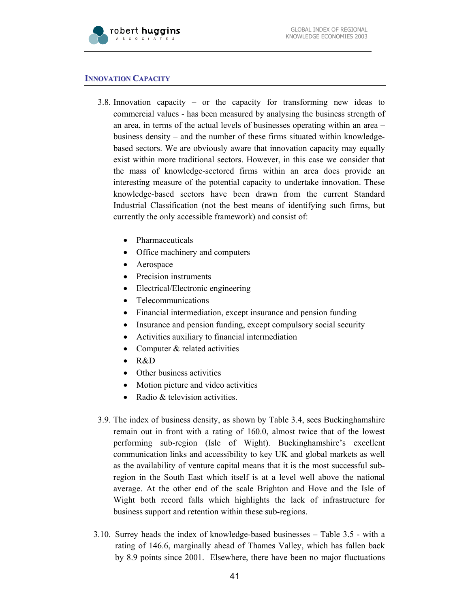

#### **INNOVATION CAPACITY**

- 3.8. Innovation capacity or the capacity for transforming new ideas to commercial values - has been measured by analysing the business strength of an area, in terms of the actual levels of businesses operating within an area – business density – and the number of these firms situated within knowledgebased sectors. We are obviously aware that innovation capacity may equally exist within more traditional sectors. However, in this case we consider that the mass of knowledge-sectored firms within an area does provide an interesting measure of the potential capacity to undertake innovation. These knowledge-based sectors have been drawn from the current Standard Industrial Classification (not the best means of identifying such firms, but currently the only accessible framework) and consist of:
	- Pharmaceuticals
	- Office machinery and computers
	- Aerospace
	- Precision instruments
	- Electrical/Electronic engineering
	- Telecommunications
	- Financial intermediation, except insurance and pension funding
	- Insurance and pension funding, except compulsory social security
	- Activities auxiliary to financial intermediation
	- Computer & related activities
	- R&D
	- Other business activities
	- Motion picture and video activities
	- Radio & television activities.
- 3.9. The index of business density, as shown by Table 3.4, sees Buckinghamshire remain out in front with a rating of 160.0, almost twice that of the lowest performing sub-region (Isle of Wight). Buckinghamshire's excellent communication links and accessibility to key UK and global markets as well as the availability of venture capital means that it is the most successful subregion in the South East which itself is at a level well above the national average. At the other end of the scale Brighton and Hove and the Isle of Wight both record falls which highlights the lack of infrastructure for business support and retention within these sub-regions.
- 3.10. Surrey heads the index of knowledge-based businesses Table 3.5 with a rating of 146.6, marginally ahead of Thames Valley, which has fallen back by 8.9 points since 2001. Elsewhere, there have been no major fluctuations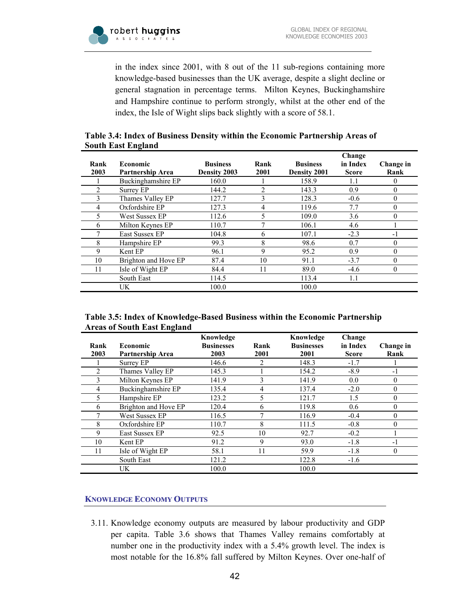

in the index since 2001, with 8 out of the 11 sub-regions containing more knowledge-based businesses than the UK average, despite a slight decline or general stagnation in percentage terms. Milton Keynes, Buckinghamshire and Hampshire continue to perform strongly, whilst at the other end of the index, the Isle of Wight slips back slightly with a score of 58.1.

|                           | Table 3.4: Index of Business Density within the Economic Partnership Areas of |  |
|---------------------------|-------------------------------------------------------------------------------|--|
| <b>South East England</b> |                                                                               |  |

|      |                      |                 |      |                 | Change       |                  |
|------|----------------------|-----------------|------|-----------------|--------------|------------------|
| Rank | <b>Economic</b>      | <b>Business</b> | Rank | <b>Business</b> | in Index     | Change in        |
| 2003 | Partnership Area     | Density 2003    | 2001 | Density 2001    | <b>Score</b> | Rank             |
|      | Buckinghamshire EP   | 160.0           |      | 158.9           | 1.1          | 0                |
|      | Surrey EP            | 144.2           | 2    | 143.3           | 0.9          | $\theta$         |
|      | Thames Valley EP     | 127.7           | 3    | 128.3           | $-0.6$       | $\theta$         |
| 4    | Oxfordshire EP       | 127.3           | 4    | 119.6           | 7.7          | $\boldsymbol{0}$ |
| 5.   | West Sussex EP       | 112.6           | 5    | 109.0           | 3.6          | $\theta$         |
| 6    | Milton Keynes EP     | 110.7           | 7    | 106.1           | 4.6          |                  |
|      | East Sussex EP       | 104.8           | 6    | 107.1           | $-2.3$       | -1               |
| 8    | Hampshire EP         | 99.3            | 8    | 98.6            | 0.7          | $\theta$         |
| 9    | Kent EP              | 96.1            | 9    | 95.2            | 0.9          | $\boldsymbol{0}$ |
| 10   | Brighton and Hove EP | 87.4            | 10   | 91.1            | $-3.7$       | $\theta$         |
| 11   | Isle of Wight EP     | 84.4            | 11   | 89.0            | $-4.6$       | $\mathbf{0}$     |
|      | South East           | 114.5           |      | 113.4           | 1.1          |                  |
|      | UK                   | 100.0           |      | 100.0           |              |                  |

#### **Table 3.5: Index of Knowledge-Based Business within the Economic Partnership Areas of South East England**

| Rank | <b>Economic</b>      | Knowledge<br><b>Businesses</b> | Rank | Knowledge<br><b>Businesses</b> | Change<br>in Index | Change in      |
|------|----------------------|--------------------------------|------|--------------------------------|--------------------|----------------|
| 2003 | Partnership Area     | 2003                           | 2001 | 2001                           | <b>Score</b>       | Rank           |
|      | Surrey EP            | 146.6                          | 2    | 148.3                          | $-1.7$             |                |
| 2    | Thames Valley EP     | 145.3                          |      | 154.2                          | $-8.9$             | $-1$           |
| 3    | Milton Keynes EP     | 141.9                          | 3    | 141.9                          | 0.0                | $\theta$       |
| 4    | Buckinghamshire EP   | 135.4                          | 4    | 137.4                          | $-2.0$             | $\theta$       |
| 5.   | Hampshire EP         | 123.2                          | 5    | 121.7                          | 1.5                | $\theta$       |
| 6    | Brighton and Hove EP | 120.4                          | 6    | 119.8                          | 0.6                | $\overline{0}$ |
|      | West Sussex EP       | 116.5                          | 7    | 116.9                          | $-0.4$             | $\Omega$       |
| 8    | Oxfordshire EP       | 110.7                          | 8    | 111.5                          | $-0.8$             | $\theta$       |
| 9    | East Sussex EP       | 92.5                           | 10   | 92.7                           | $-0.2$             |                |
| 10   | Kent EP              | 91.2                           | 9    | 93.0                           | $-1.8$             | $-1$           |
| 11   | Isle of Wight EP     | 58.1                           | 11   | 59.9                           | $-1.8$             | $\mathbf{0}$   |
|      | South East           | 121.2                          |      | 122.8                          | $-1.6$             |                |
|      | UK.                  | 100.0                          |      | 100.0                          |                    |                |

## **KNOWLEDGE ECONOMY OUTPUTS**

3.11. Knowledge economy outputs are measured by labour productivity and GDP per capita. Table 3.6 shows that Thames Valley remains comfortably at number one in the productivity index with a 5.4% growth level. The index is most notable for the 16.8% fall suffered by Milton Keynes. Over one-half of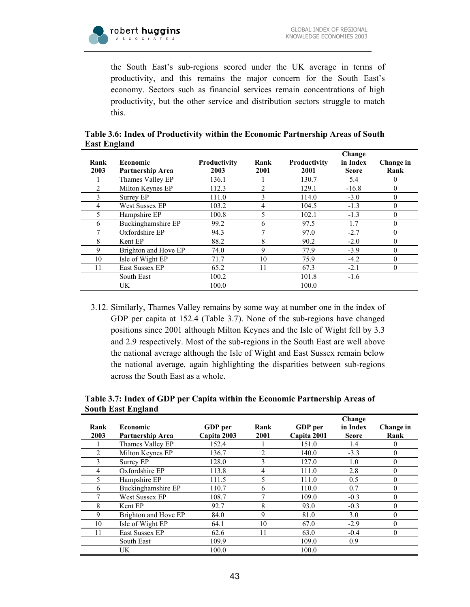

the South East's sub-regions scored under the UK average in terms of productivity, and this remains the major concern for the South East's economy. Sectors such as financial services remain concentrations of high productivity, but the other service and distribution sectors struggle to match this.

|      |                       |                     |                |                     | Change       |              |
|------|-----------------------|---------------------|----------------|---------------------|--------------|--------------|
| Rank | <b>Economic</b>       | <b>Productivity</b> | Rank           | <b>Productivity</b> | in Index     | Change in    |
| 2003 | Partnership Area      | 2003                | 2001           | 2001                | <b>Score</b> | Rank         |
|      | Thames Valley EP      | 136.1               |                | 130.7               | 5.4          | $\theta$     |
|      | Milton Keynes EP      | 112.3               | $\overline{c}$ | 129.1               | $-16.8$      | $\mathbf{0}$ |
| 3    | Surrey EP             | 111.0               | 3              | 114.0               | $-3.0$       | $\theta$     |
| 4    | <b>West Sussex EP</b> | 103.2               | 4              | 104.5               | $-1.3$       | $\theta$     |
|      | Hampshire EP          | 100.8               | 5              | 102.1               | $-1.3$       | 0            |
| 6    | Buckinghamshire EP    | 99.2                | 6              | 97.5                | 1.7          | $\theta$     |
|      | Oxfordshire EP        | 94.3                | 7              | 97.0                | $-2.7$       | $\Omega$     |
| 8    | Kent EP               | 88.2                | 8              | 90.2                | $-2.0$       | 0            |
| 9    | Brighton and Hove EP  | 74.0                | 9              | 77.9                | $-3.9$       | $\Omega$     |
| 10   | Isle of Wight EP      | 71.7                | 10             | 75.9                | $-4.2$       | $\theta$     |
| 11   | East Sussex EP        | 65.2                | 11             | 67.3                | $-2.1$       | $\mathbf{0}$ |
|      | South East            | 100.2               |                | 101.8               | $-1.6$       |              |
|      | UK.                   | 100.0               |                | 100.0               |              |              |

**Table 3.6: Index of Productivity within the Economic Partnership Areas of South East England** 

3.12. Similarly, Thames Valley remains by some way at number one in the index of GDP per capita at 152.4 (Table 3.7). None of the sub-regions have changed positions since 2001 although Milton Keynes and the Isle of Wight fell by 3.3 and 2.9 respectively. Most of the sub-regions in the South East are well above the national average although the Isle of Wight and East Sussex remain below the national average, again highlighting the disparities between sub-regions across the South East as a whole.

**Table 3.7: Index of GDP per Capita within the Economic Partnership Areas of South East England** 

|                |                      |                |              |             | Change       |              |
|----------------|----------------------|----------------|--------------|-------------|--------------|--------------|
| Rank           | <b>Economic</b>      | <b>GDP</b> per | Rank         | GDP per     | in Index     | Change in    |
| 2003           | Partnership Area     | Capita 2003    | 2001         | Capita 2001 | <b>Score</b> | Rank         |
|                | Thames Valley EP     | 152.4          |              | 151.0       | 1.4          | $\mathbf{0}$ |
| $\overline{2}$ | Milton Keynes EP     | 136.7          | 2            | 140.0       | $-3.3$       | $\theta$     |
|                | Surrey EP            | 128.0          | 3            | 127.0       | 1.0          | $\theta$     |
| 4              | Oxfordshire EP       | 113.8          | 4            | 111.0       | 2.8          | $\theta$     |
| 5              | Hampshire EP         | 111.5          | 5            | 111.0       | 0.5          | $\theta$     |
| 6              | Buckinghamshire EP   | 110.7          | 6            | 110.0       | 0.7          | $\theta$     |
|                | West Sussex EP       | 108.7          | $\mathbf{r}$ | 109.0       | $-0.3$       | $\theta$     |
| 8              | Kent EP              | 92.7           | 8            | 93.0        | $-0.3$       | $\theta$     |
| 9              | Brighton and Hove EP | 84.0           | 9            | 81.0        | 3.0          | $\theta$     |
| 10             | Isle of Wight EP     | 64.1           | 10           | 67.0        | $-2.9$       | $\Omega$     |
| 11             | East Sussex EP       | 62.6           | 11           | 63.0        | $-0.4$       | $\mathbf{0}$ |
|                | South East           | 109.9          |              | 109.0       | 0.9          |              |
|                | UK                   | 100.0          |              | 100.0       |              |              |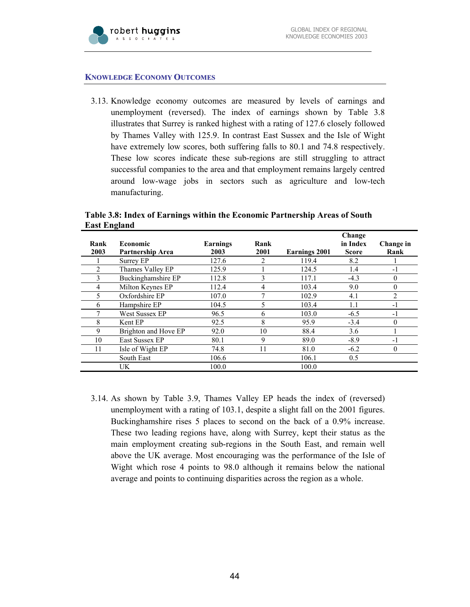

#### **KNOWLEDGE ECONOMY OUTCOMES**

3.13. Knowledge economy outcomes are measured by levels of earnings and unemployment (reversed). The index of earnings shown by Table 3.8 illustrates that Surrey is ranked highest with a rating of 127.6 closely followed by Thames Valley with 125.9. In contrast East Sussex and the Isle of Wight have extremely low scores, both suffering falls to 80.1 and 74.8 respectively. These low scores indicate these sub-regions are still struggling to attract successful companies to the area and that employment remains largely centred around low-wage jobs in sectors such as agriculture and low-tech manufacturing.

**Table 3.8: Index of Earnings within the Economic Partnership Areas of South East England** 

|                |                      |                 |      |               | Change   |           |
|----------------|----------------------|-----------------|------|---------------|----------|-----------|
| Rank           | Economic             | <b>Earnings</b> | Rank |               | in Index | Change in |
| 2003           | Partnership Area     | 2003            | 2001 | Earnings 2001 | Score    | Rank      |
|                | Surrey EP            | 127.6           | 2    | 119.4         | 8.2      |           |
| $\overline{c}$ | Thames Valley EP     | 125.9           |      | 124.5         | 1.4      | $-1$      |
| 3              | Buckinghamshire EP   | 112.8           | 3    | 117.1         | $-4.3$   | $\theta$  |
| 4              | Milton Keynes EP     | 112.4           | 4    | 103.4         | 9.0      | $\theta$  |
|                | Oxfordshire EP       | 107.0           | 7    | 102.9         | 4.1      | 2         |
| 6              | Hampshire EP         | 104.5           | 5    | 103.4         | 1.1      | $-1$      |
|                | West Sussex EP       | 96.5            | 6    | 103.0         | $-6.5$   | $-1$      |
| 8              | Kent EP              | 92.5            | 8    | 95.9          | $-3.4$   | $\theta$  |
| 9              | Brighton and Hove EP | 92.0            | 10   | 88.4          | 3.6      |           |
| 10             | East Sussex EP       | 80.1            | 9    | 89.0          | $-8.9$   | $-1$      |
| 11             | Isle of Wight EP     | 74.8            | 11   | 81.0          | $-6.2$   | $\theta$  |
|                | South East           | 106.6           |      | 106.1         | 0.5      |           |
|                | UK.                  | 100.0           |      | 100.0         |          |           |

3.14. As shown by Table 3.9, Thames Valley EP heads the index of (reversed) unemployment with a rating of 103.1, despite a slight fall on the 2001 figures. Buckinghamshire rises 5 places to second on the back of a 0.9% increase. These two leading regions have, along with Surrey, kept their status as the main employment creating sub-regions in the South East, and remain well above the UK average. Most encouraging was the performance of the Isle of Wight which rose 4 points to 98.0 although it remains below the national average and points to continuing disparities across the region as a whole.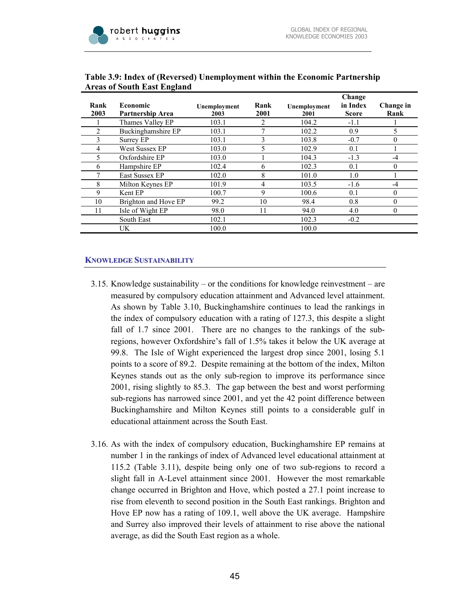

|      |                      |              |                |              | Change       |           |
|------|----------------------|--------------|----------------|--------------|--------------|-----------|
| Rank | <b>Economic</b>      | Unemployment | Rank           | Unemployment | in Index     | Change in |
| 2003 | Partnership Area     | 2003         | 2001           | 2001         | <b>Score</b> | Rank      |
|      | Thames Valley EP     | 103.1        | $\overline{2}$ | 104.2        | $-1.1$       |           |
|      | Buckinghamshire EP   | 103.1        | 7              | 102.2        | 0.9          | 5         |
| 3    | Surrey EP            | 103.1        | 3              | 103.8        | $-0.7$       | $\theta$  |
| 4    | West Sussex EP       | 103.0        | 5              | 102.9        | 0.1          |           |
| 5    | Oxfordshire EP       | 103.0        |                | 104.3        | $-1.3$       | $-4$      |
| 6    | Hampshire EP         | 102.4        | 6              | 102.3        | 0.1          | $\theta$  |
|      | East Sussex EP       | 102.0        | 8              | 101.0        | 1.0          |           |
| 8    | Milton Keynes EP     | 101.9        | 4              | 103.5        | $-1.6$       | $-4$      |
| 9    | Kent EP              | 100.7        | 9              | 100.6        | 0.1          | $\theta$  |
| 10   | Brighton and Hove EP | 99.2         | 10             | 98.4         | 0.8          | $\theta$  |
| 11   | Isle of Wight EP     | 98.0         | 11             | 94.0         | 4.0          | 0         |
|      | South East           | 102.1        |                | 102.3        | $-0.2$       |           |
|      | UK.                  | 100.0        |                | 100.0        |              |           |

#### **Table 3.9: Index of (Reversed) Unemployment within the Economic Partnership Areas of South East England**

#### **KNOWLEDGE SUSTAINABILITY**

- 3.15. Knowledge sustainability or the conditions for knowledge reinvestment are measured by compulsory education attainment and Advanced level attainment. As shown by Table 3.10, Buckinghamshire continues to lead the rankings in the index of compulsory education with a rating of 127.3, this despite a slight fall of 1.7 since 2001. There are no changes to the rankings of the subregions, however Oxfordshire's fall of 1.5% takes it below the UK average at 99.8. The Isle of Wight experienced the largest drop since 2001, losing 5.1 points to a score of 89.2. Despite remaining at the bottom of the index, Milton Keynes stands out as the only sub-region to improve its performance since 2001, rising slightly to 85.3. The gap between the best and worst performing sub-regions has narrowed since 2001, and yet the 42 point difference between Buckinghamshire and Milton Keynes still points to a considerable gulf in educational attainment across the South East.
- 3.16. As with the index of compulsory education, Buckinghamshire EP remains at number 1 in the rankings of index of Advanced level educational attainment at 115.2 (Table 3.11), despite being only one of two sub-regions to record a slight fall in A-Level attainment since 2001. However the most remarkable change occurred in Brighton and Hove, which posted a 27.1 point increase to rise from eleventh to second position in the South East rankings. Brighton and Hove EP now has a rating of 109.1, well above the UK average. Hampshire and Surrey also improved their levels of attainment to rise above the national average, as did the South East region as a whole.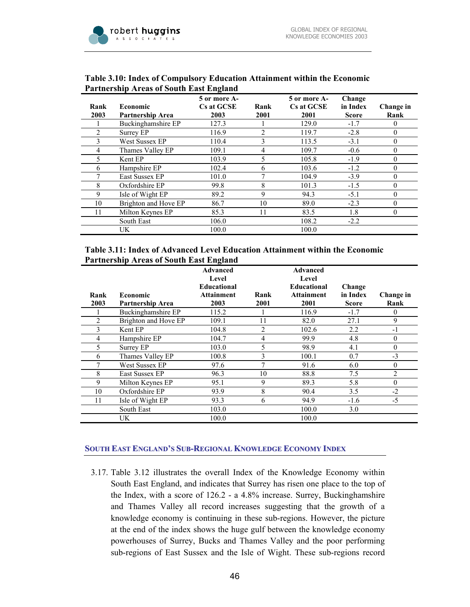

| Rank<br>2003 | <b>Economic</b><br>Partnership Area | 5 or more A-<br>Cs at GCSE<br>2003 | Rank<br>2001 | 5 or more A-<br>Cs at GCSE<br>2001 | Change<br>in Index<br><b>Score</b> | Change in<br>Rank |
|--------------|-------------------------------------|------------------------------------|--------------|------------------------------------|------------------------------------|-------------------|
|              | Buckinghamshire EP                  | 127.3                              |              | 129.0                              | $-1.7$                             | 0                 |
|              | Surrey EP                           | 116.9                              | 2            | 119.7                              | $-2.8$                             | $\theta$          |
|              | West Sussex EP                      | 110.4                              | 3            | 113.5                              | $-3.1$                             | $\theta$          |
| 4            | Thames Valley EP                    | 109.1                              | 4            | 109.7                              | $-0.6$                             | $\Omega$          |
|              | Kent EP                             | 103.9                              | 5            | 105.8                              | $-1.9$                             | $\theta$          |
| 6            | Hampshire EP                        | 102.4                              | 6            | 103.6                              | $-1.2$                             | $\theta$          |
|              | East Sussex EP                      | 101.0                              | 7            | 104.9                              | $-3.9$                             | $\Omega$          |
| 8            | Oxfordshire EP                      | 99.8                               | 8            | 101.3                              | $-1.5$                             | $\theta$          |
| 9            | Isle of Wight EP                    | 89.2                               | 9            | 94.3                               | $-5.1$                             | $\theta$          |
| 10           | Brighton and Hove EP                | 86.7                               | 10           | 89.0                               | $-2.3$                             | $\theta$          |
| 11           | Milton Keynes EP                    | 85.3                               | 11           | 83.5                               | 1.8                                | $\theta$          |
|              | South East                          | 106.0                              |              | 108.2                              | $-2.2$                             |                   |
|              | UK.                                 | 100.0                              |              | 100.0                              |                                    |                   |

#### **Table 3.10: Index of Compulsory Education Attainment within the Economic Partnership Areas of South East England**

#### **Table 3.11: Index of Advanced Level Education Attainment within the Economic Partnership Areas of South East England**

|      |                      | Advanced<br>Level<br><b>Educational</b> |      | Advanced<br>Level<br><b>Educational</b> | Change       |                |
|------|----------------------|-----------------------------------------|------|-----------------------------------------|--------------|----------------|
| Rank | <b>Economic</b>      | Attainment                              | Rank | <b>Attainment</b>                       | in Index     | Change in      |
| 2003 | Partnership Area     | 2003                                    | 2001 | 2001                                    | <b>Score</b> | Rank           |
|      | Buckinghamshire EP   | 115.2                                   |      | 116.9                                   | $-1.7$       | 0              |
| 2    | Brighton and Hove EP | 109.1                                   | 11   | 82.0                                    | 27.1         | 9              |
| 3    | Kent EP              | 104.8                                   | 2    | 102.6                                   | 2.2          | $-1$           |
| 4    | Hampshire EP         | 104.7                                   | 4    | 99.9                                    | 4.8          | $\theta$       |
| 5    | Surrey EP            | 103.0                                   | 5    | 98.9                                    | 4.1          | $\mathbf{0}$   |
| 6    | Thames Valley EP     | 100.8                                   | 3    | 100.1                                   | 0.7          | $-3$           |
|      | West Sussex EP       | 97.6                                    | 7    | 91.6                                    | 6.0          | $\mathbf{0}$   |
| 8    | East Sussex EP       | 96.3                                    | 10   | 88.8                                    | 7.5          | $\overline{2}$ |
| 9    | Milton Keynes EP     | 95.1                                    | 9    | 89.3                                    | 5.8          | $\theta$       |
| 10   | Oxfordshire EP       | 93.9                                    | 8    | 90.4                                    | 3.5          | $-2$           |
| 11   | Isle of Wight EP     | 93.3                                    | 6    | 94.9                                    | $-1.6$       | -5             |
|      | South East           | 103.0                                   |      | 100.0                                   | 3.0          |                |
|      | UK.                  | 100.0                                   |      | 100.0                                   |              |                |

## **SOUTH EAST ENGLAND'S SUB-REGIONAL KNOWLEDGE ECONOMY INDEX**

3.17. Table 3.12 illustrates the overall Index of the Knowledge Economy within South East England, and indicates that Surrey has risen one place to the top of the Index, with a score of 126.2 - a 4.8% increase. Surrey, Buckinghamshire and Thames Valley all record increases suggesting that the growth of a knowledge economy is continuing in these sub-regions. However, the picture at the end of the index shows the huge gulf between the knowledge economy powerhouses of Surrey, Bucks and Thames Valley and the poor performing sub-regions of East Sussex and the Isle of Wight. These sub-regions record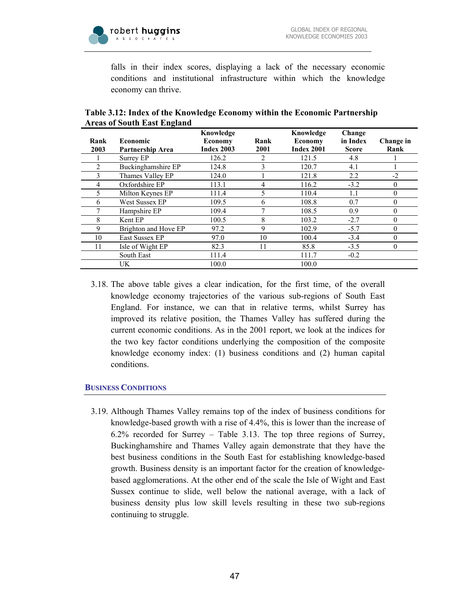

falls in their index scores, displaying a lack of the necessary economic conditions and institutional infrastructure within which the knowledge economy can thrive.

| Rank | <b>Economic</b>       | Knowledge<br>Economy | Rank | Knowledge<br><b>Economy</b> | Change<br>in Index | Change in |
|------|-----------------------|----------------------|------|-----------------------------|--------------------|-----------|
| 2003 | Partnership Area      | <b>Index 2003</b>    | 2001 | <b>Index 2001</b>           | <b>Score</b>       | Rank      |
|      | Surrey EP             | 126.2                | 2    | 121.5                       | 4.8                |           |
| 2    | Buckinghamshire EP    | 124.8                | 3    | 120.7                       | 4.1                |           |
| 3    | Thames Valley EP      | 124.0                |      | 121.8                       | 2.2                | $-2$      |
| 4    | Oxfordshire EP        | 113.1                | 4    | 116.2                       | $-3.2$             | $\Omega$  |
| 5.   | Milton Keynes EP      | 111.4                | 5    | 110.4                       | 1.1                | $\theta$  |
| 6    | <b>West Sussex EP</b> | 109.5                | 6    | 108.8                       | 0.7                | $\theta$  |
|      | Hampshire EP          | 109.4                | 7    | 108.5                       | 0.9                | $\Omega$  |
| 8    | Kent EP               | 100.5                | 8    | 103.2                       | $-2.7$             | $\theta$  |
| 9    | Brighton and Hove EP  | 97.2                 | 9    | 102.9                       | $-5.7$             | $\theta$  |
| 10   | East Sussex EP        | 97.0                 | 10   | 100.4                       | $-3.4$             | $\Omega$  |
| 11   | Isle of Wight EP      | 82.3                 | 11   | 85.8                        | $-3.5$             | $\theta$  |
|      | South East            | 111.4                |      | 111.7                       | $-0.2$             |           |
|      | UK                    | 100.0                |      | 100.0                       |                    |           |

## **Table 3.12: Index of the Knowledge Economy within the Economic Partnership Areas of South East England**

3.18. The above table gives a clear indication, for the first time, of the overall knowledge economy trajectories of the various sub-regions of South East England. For instance, we can that in relative terms, whilst Surrey has improved its relative position, the Thames Valley has suffered during the current economic conditions. As in the 2001 report, we look at the indices for the two key factor conditions underlying the composition of the composite knowledge economy index: (1) business conditions and (2) human capital conditions.

## **BUSINESS CONDITIONS**

3.19. Although Thames Valley remains top of the index of business conditions for knowledge-based growth with a rise of 4.4%, this is lower than the increase of 6.2% recorded for Surrey – Table 3.13. The top three regions of Surrey, Buckinghamshire and Thames Valley again demonstrate that they have the best business conditions in the South East for establishing knowledge-based growth. Business density is an important factor for the creation of knowledgebased agglomerations. At the other end of the scale the Isle of Wight and East Sussex continue to slide, well below the national average, with a lack of business density plus low skill levels resulting in these two sub-regions continuing to struggle.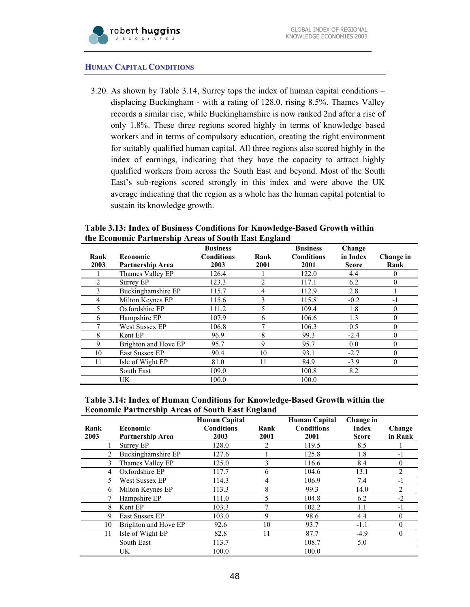### **HUMAN CAPITAL CONDITIONS**

3.20. As shown by Table 3.14, Surrey tops the index of human capital conditions – displacing Buckingham - with a rating of 128.0, rising 8.5%. Thames Valley records a similar rise, while Buckinghamshire is now ranked 2nd after a rise of only 1.8%. These three regions scored highly in terms of knowledge based workers and in terms of compulsory education, creating the right environment for suitably qualified human capital. All three regions also scored highly in the index of earnings, indicating that they have the capacity to attract highly qualified workers from across the South East and beyond. Most of the South East's sub-regions scored strongly in this index and were above the UK average indicating that the region as a whole has the human capital potential to sustain its knowledge growth.

| Rank<br>2003 | <b>Economic</b><br><b>Partnership Area</b> | <b>Business</b><br><b>Conditions</b><br>2003 | Rank<br>2001 | <b>Business</b><br><b>Conditions</b><br>2001 | Change<br>in Index<br><b>Score</b> | Change in<br>Rank |
|--------------|--------------------------------------------|----------------------------------------------|--------------|----------------------------------------------|------------------------------------|-------------------|
|              | Thames Valley EP                           | 126.4                                        |              | 122.0                                        | 4.4                                | 0                 |
|              | Surrey EP                                  | 123.3                                        | 2            | 117.1                                        | 6.2                                | 0                 |
| 3            | Buckinghamshire EP                         | 115.7                                        | 4            | 112.9                                        | 2.8                                |                   |
| 4            | Milton Keynes EP                           | 115.6                                        | 3            | 115.8                                        | $-0.2$                             | -1                |
|              | Oxfordshire EP                             | 111.2                                        | 5            | 109.4                                        | 1.8                                | 0                 |
| 6            | Hampshire EP                               | 107.9                                        | 6            | 106.6                                        | 1.3                                | $\theta$          |
|              | West Sussex EP                             | 106.8                                        | 7            | 106.3                                        | 0.5                                | $\theta$          |
| 8            | Kent EP                                    | 96.9                                         | 8            | 99.3                                         | $-2.4$                             | $\theta$          |
| 9            | Brighton and Hove EP                       | 95.7                                         | 9            | 95.7                                         | 0.0                                | $\theta$          |
| 10           | East Sussex EP                             | 90.4                                         | 10           | 93.1                                         | $-2.7$                             | $\theta$          |
| 11           | Isle of Wight EP                           | 81.0                                         | 11           | 84.9                                         | $-3.9$                             | $\theta$          |
|              | South East                                 | 109.0                                        |              | 100.8                                        | 8.2                                |                   |
|              | UK.                                        | 100.0                                        |              | 100.0                                        |                                    |                   |

**Table 3.13: Index of Business Conditions for Knowledge-Based Growth within the Economic Partnership Areas of South East England** 

#### **Table 3.14: Index of Human Conditions for Knowledge-Based Growth within the Economic Partnership Areas of South East England**

|      |                      | <b>Human Capital</b> |      | <b>Human Capital</b> | Change in    |                |
|------|----------------------|----------------------|------|----------------------|--------------|----------------|
| Rank | Economic             | <b>Conditions</b>    | Rank | <b>Conditions</b>    | Index        | Change         |
| 2003 | Partnership Area     | 2003                 | 2001 | 2001                 | <b>Score</b> | in Rank        |
|      | Surrey EP            | 128.0                |      | 119.5                | 8.5          |                |
| 2    | Buckinghamshire EP   | 127.6                |      | 125.8                | 1.8          | $-1$           |
| 3    | Thames Valley EP     | 125.0                |      | 116.6                | 8.4          | 0              |
| 4    | Oxfordshire EP       | 117.7                | 6    | 104.6                | 13.1         | $\mathfrak{D}$ |
| 5.   | West Sussex EP       | 114.3                | 4    | 106.9                | 7.4          | -1             |
| 6    | Milton Keynes EP     | 113.3                | 8    | 99.3                 | 14.0         | 2              |
|      | Hampshire EP         | 111.0                |      | 104.8                | 6.2          | $-2$           |
| 8    | Kent EP              | 103.3                | 7    | 102.2                | 1.1          | -1             |
| 9    | East Sussex EP       | 103.0                | 9    | 98.6                 | 4.4          | 0              |
| 10   | Brighton and Hove EP | 92.6                 | 10   | 93.7                 | $-1.1$       | 0              |
| 11   | Isle of Wight EP     | 82.8                 | 11   | 87.7                 | $-4.9$       | 0              |
|      | South East           | 113.7                |      | 108.7                | 5.0          |                |
|      | UK                   | 100.0                |      | 100.0                |              |                |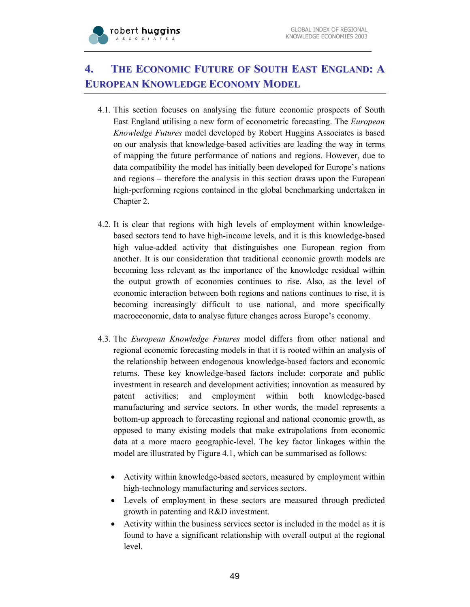

# **4. THE ECONOMIC FUTURE OF SOUTH EAST ENGLAND: A EUROPEAN KNOWLEDGE ECONOMY MODEL**

- 4.1. This section focuses on analysing the future economic prospects of South East England utilising a new form of econometric forecasting. The *European Knowledge Futures* model developed by Robert Huggins Associates is based on our analysis that knowledge-based activities are leading the way in terms of mapping the future performance of nations and regions. However, due to data compatibility the model has initially been developed for Europe's nations and regions – therefore the analysis in this section draws upon the European high-performing regions contained in the global benchmarking undertaken in Chapter 2.
- 4.2. It is clear that regions with high levels of employment within knowledgebased sectors tend to have high-income levels, and it is this knowledge-based high value-added activity that distinguishes one European region from another. It is our consideration that traditional economic growth models are becoming less relevant as the importance of the knowledge residual within the output growth of economies continues to rise. Also, as the level of economic interaction between both regions and nations continues to rise, it is becoming increasingly difficult to use national, and more specifically macroeconomic, data to analyse future changes across Europe's economy.
- 4.3. The *European Knowledge Futures* model differs from other national and regional economic forecasting models in that it is rooted within an analysis of the relationship between endogenous knowledge-based factors and economic returns. These key knowledge-based factors include: corporate and public investment in research and development activities; innovation as measured by patent activities; and employment within both knowledge-based manufacturing and service sectors. In other words, the model represents a bottom-up approach to forecasting regional and national economic growth, as opposed to many existing models that make extrapolations from economic data at a more macro geographic-level. The key factor linkages within the model are illustrated by Figure 4.1, which can be summarised as follows:
	- Activity within knowledge-based sectors, measured by employment within high-technology manufacturing and services sectors.
	- Levels of employment in these sectors are measured through predicted growth in patenting and R&D investment.
	- Activity within the business services sector is included in the model as it is found to have a significant relationship with overall output at the regional level.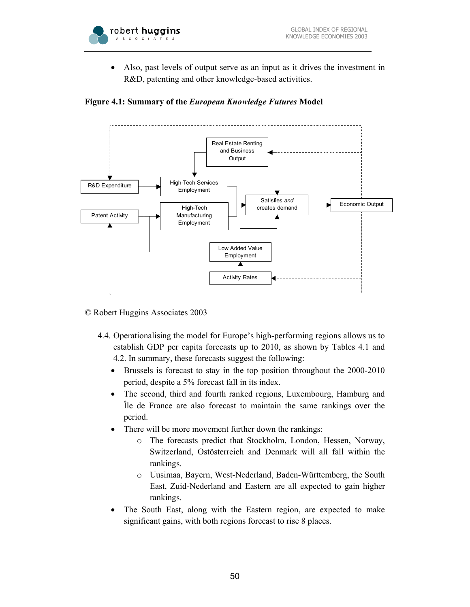

• Also, past levels of output serve as an input as it drives the investment in R&D, patenting and other knowledge-based activities.





© Robert Huggins Associates 2003

- 4.4. Operationalising the model for Europe's high-performing regions allows us to establish GDP per capita forecasts up to 2010, as shown by Tables 4.1 and 4.2. In summary, these forecasts suggest the following:
	- Brussels is forecast to stay in the top position throughout the 2000-2010 period, despite a 5% forecast fall in its index.
	- The second, third and fourth ranked regions, Luxembourg, Hamburg and Île de France are also forecast to maintain the same rankings over the period.
	- There will be more movement further down the rankings:
		- The forecasts predict that Stockholm, London, Hessen, Norway, Switzerland, Ostösterreich and Denmark will all fall within the rankings.
		- o Uusimaa, Bayern, West-Nederland, Baden-Württemberg, the South East, Zuid-Nederland and Eastern are all expected to gain higher rankings.
	- The South East, along with the Eastern region, are expected to make significant gains, with both regions forecast to rise 8 places.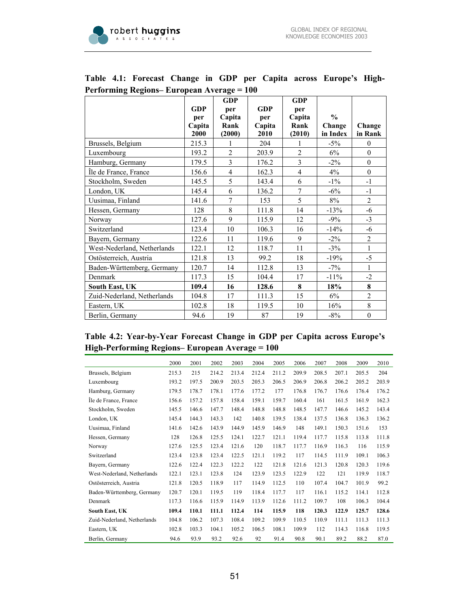

j.

|                             |            | GDP            |            | <b>GDP</b>     |               |                  |
|-----------------------------|------------|----------------|------------|----------------|---------------|------------------|
|                             | <b>GDP</b> | per            | <b>GDP</b> | per            |               |                  |
|                             | per        | Capita         | per        | Capita         | $\frac{0}{0}$ |                  |
|                             | Capita     | Rank           | Capita     | Rank           | Change        | Change           |
|                             | 2000       | (2000)         | 2010       | (2010)         | in Index      | in Rank          |
| Brussels, Belgium           | 215.3      | 1              | 204        |                | $-5\%$        | $\mathbf{0}$     |
| Luxembourg                  | 193.2      | $\overline{2}$ | 203.9      | $\overline{2}$ | 6%            | $\boldsymbol{0}$ |
| Hamburg, Germany            | 179.5      | 3              | 176.2      | $\overline{3}$ | $-2\%$        | $\boldsymbol{0}$ |
| Île de France, France       | 156.6      | $\overline{4}$ | 162.3      | $\overline{4}$ | 4%            | $\boldsymbol{0}$ |
| Stockholm, Sweden           | 145.5      | 5              | 143.4      | 6              | $-1\%$        | $-1$             |
| London, UK                  | 145.4      | 6              | 136.2      | 7              | $-6\%$        | $-1$             |
| Uusimaa, Finland            | 141.6      | 7              | 153        | 5              | $8\%$         | $\overline{2}$   |
| Hessen, Germany             | 128        | 8              | 111.8      | 14             | $-13%$        | $-6$             |
| Norway                      | 127.6      | 9              | 115.9      | 12             | $-9\%$        | $-3$             |
| Switzerland                 | 123.4      | 10             | 106.3      | 16             | $-14%$        | $-6$             |
| Bayern, Germany             | 122.6      | 11             | 119.6      | 9              | $-2\%$        | $\overline{2}$   |
| West-Nederland, Netherlands | 122.1      | 12             | 118.7      | 11             | $-3\%$        | $\mathbf{1}$     |
| Ostösterreich, Austria      | 121.8      | 13             | 99.2       | 18             | $-19%$        | $-5$             |
| Baden-Württemberg, Germany  | 120.7      | 14             | 112.8      | 13             | $-7\%$        | $\mathbf{1}$     |
| Denmark                     | 117.3      | 15             | 104.4      | 17             | $-11\%$       | $-2$             |
| <b>South East, UK</b>       | 109.4      | 16             | 128.6      | 8              | 18%           | 8                |
| Zuid-Nederland, Netherlands | 104.8      | 17             | 111.3      | 15             | 6%            | $\overline{2}$   |
| Eastern, UK                 | 102.8      | 18             | 119.5      | 10             | 16%           | 8                |
| Berlin, Germany             | 94.6       | 19             | 87         | 19             | $-8%$         | $\boldsymbol{0}$ |

## **Table 4.1: Forecast Change in GDP per Capita across Europe's High-Performing Regions– European Average = 100**

## **Table 4.2: Year-by-Year Forecast Change in GDP per Capita across Europe's High-Performing Regions– European Average = 100**

|                             | 2000  | 2001  | 2002  | 2003  | 2004  | 2005  | 2006  | 2007  | 2008  | 2009  | 2010  |
|-----------------------------|-------|-------|-------|-------|-------|-------|-------|-------|-------|-------|-------|
| Brussels, Belgium           | 215.3 | 215   | 214.2 | 213.4 | 212.4 | 211.2 | 209.9 | 208.5 | 207.1 | 205.5 | 204   |
| Luxembourg                  | 193.2 | 197.5 | 200.9 | 203.5 | 205.3 | 206.5 | 206.9 | 206.8 | 206.2 | 205.2 | 203.9 |
| Hamburg, Germany            | 179.5 | 178.7 | 178.1 | 177.6 | 177.2 | 177   | 176.8 | 176.7 | 176.6 | 176.4 | 176.2 |
| Ile de France, France       | 156.6 | 157.2 | 157.8 | 158.4 | 159.1 | 159.7 | 160.4 | 161   | 161.5 | 161.9 | 162.3 |
| Stockholm, Sweden           | 145.5 | 146.6 | 147.7 | 148.4 | 148.8 | 148.8 | 148.5 | 147.7 | 146.6 | 145.2 | 143.4 |
| London, UK                  | 145.4 | 144.3 | 143.3 | 142   | 140.8 | 139.5 | 138.4 | 137.5 | 136.8 | 136.3 | 136.2 |
| Uusimaa, Finland            | 141.6 | 142.6 | 143.9 | 144.9 | 145.9 | 146.9 | 148   | 149.1 | 150.3 | 151.6 | 153   |
| Hessen, Germany             | 128   | 126.8 | 125.5 | 124.1 | 122.7 | 121.1 | 119.4 | 117.7 | 115.8 | 113.8 | 111.8 |
| Norway                      | 127.6 | 125.5 | 123.4 | 121.6 | 120   | 118.7 | 117.7 | 116.9 | 116.3 | 116   | 115.9 |
| Switzerland                 | 123.4 | 123.8 | 123.4 | 122.5 | 121.1 | 119.2 | 117   | 114.5 | 111.9 | 109.1 | 106.3 |
| Bayern, Germany             | 122.6 | 122.4 | 122.3 | 122.2 | 122   | 121.8 | 121.6 | 121.3 | 120.8 | 120.3 | 119.6 |
| West-Nederland, Netherlands | 122.1 | 123.1 | 123.8 | 124   | 123.9 | 123.5 | 122.9 | 122   | 121   | 119.9 | 118.7 |
| Ostösterreich, Austria      | 121.8 | 120.5 | 118.9 | 117   | 114.9 | 112.5 | 110   | 107.4 | 104.7 | 101.9 | 99.2  |
| Baden-Württemberg, Germany  | 120.7 | 120.1 | 119.5 | 119   | 118.4 | 117.7 | 117   | 116.1 | 115.2 | 114.1 | 112.8 |
| Denmark                     | 117.3 | 116.6 | 115.9 | 114.9 | 113.9 | 112.6 | 111.2 | 109.7 | 108   | 106.3 | 104.4 |
| South East, UK              | 109.4 | 110.1 | 111.1 | 112.4 | 114   | 115.9 | 118   | 120.3 | 122.9 | 125.7 | 128.6 |
| Zuid-Nederland, Netherlands | 104.8 | 106.2 | 107.3 | 108.4 | 109.2 | 109.9 | 110.5 | 110.9 | 111.1 | 111.3 | 111.3 |
| Eastern, UK                 | 102.8 | 103.3 | 104.1 | 105.2 | 106.5 | 108.1 | 109.9 | 112   | 114.3 | 116.8 | 119.5 |
| Berlin, Germany             | 94.6  | 93.9  | 93.2  | 92.6  | 92    | 91.4  | 90.8  | 90.1  | 89.2  | 88.2  | 87.0  |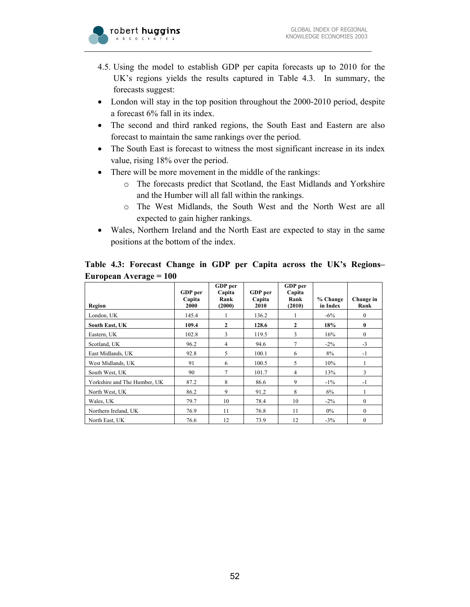

- 4.5. Using the model to establish GDP per capita forecasts up to 2010 for the UK's regions yields the results captured in Table 4.3. In summary, the forecasts suggest:
- London will stay in the top position throughout the 2000-2010 period, despite a forecast 6% fall in its index.
- The second and third ranked regions, the South East and Eastern are also forecast to maintain the same rankings over the period.
- The South East is forecast to witness the most significant increase in its index value, rising 18% over the period.
- There will be more movement in the middle of the rankings:
	- o The forecasts predict that Scotland, the East Midlands and Yorkshire and the Humber will all fall within the rankings.
	- o The West Midlands, the South West and the North West are all expected to gain higher rankings.
- Wales, Northern Ireland and the North East are expected to stay in the same positions at the bottom of the index.

**Table 4.3: Forecast Change in GDP per Capita across the UK's Regions– European Average = 100**

| Region                       | GDP per<br>Capita<br>2000 | GDP per<br>Capita<br>Rank<br>(2000) | GDP per<br>Capita<br>2010 | GDP per<br>Capita<br>Rank<br>(2010) | % Change<br>in Index | Change in<br>Rank |
|------------------------------|---------------------------|-------------------------------------|---------------------------|-------------------------------------|----------------------|-------------------|
| London, UK                   | 145.4                     |                                     | 136.2                     |                                     | $-6\%$               | $\mathbf{0}$      |
| South East, UK               | 109.4                     | $\mathbf{2}$                        | 128.6                     | $\overline{2}$                      | 18%                  | $\bf{0}$          |
| Eastern, UK                  | 102.8                     | 3                                   | 119.5                     | 3                                   | 16%                  | $\mathbf{0}$      |
| Scotland, UK                 | 96.2                      | 4                                   | 94.6                      | 7                                   | $-2\%$               | $-3$              |
| East Midlands, UK            | 92.8                      | 5                                   | 100.1                     | 6                                   | 8%                   | $-1$              |
| West Midlands, UK            | 91                        | 6                                   | 100.5                     | 5                                   | 10%                  | 1                 |
| South West, UK               | 90                        | 7                                   | 101.7                     | 4                                   | 13%                  | 3                 |
| Yorkshire and The Humber, UK | 87.2                      | 8                                   | 86.6                      | 9                                   | $-1\%$               | $-1$              |
| North West, UK               | 86.2                      | 9                                   | 91.2                      | 8                                   | 6%                   |                   |
| Wales, UK                    | 79.7                      | 10                                  | 78.4                      | 10                                  | $-2\%$               | $\mathbf{0}$      |
| Northern Ireland, UK         | 76.9                      | 11                                  | 76.8                      | 11                                  | $0\%$                | $\theta$          |
| North East. UK               | 76.6                      | 12                                  | 73.9                      | 12                                  | $-3\%$               | $\mathbf{0}$      |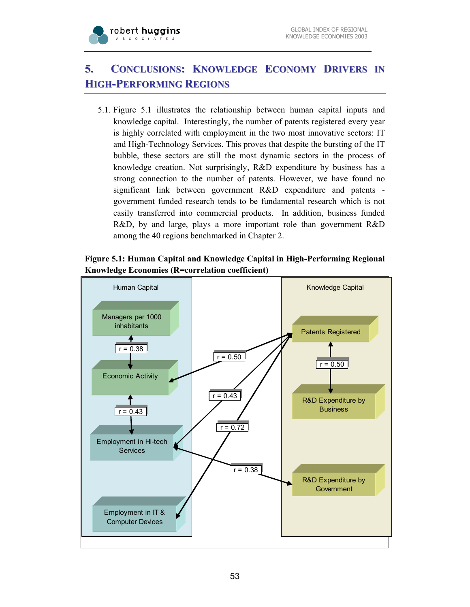

# **5. CONCLUSIONS: KNOWLEDGE ECONOMY DRIVERS IN HIGH-PERFORMING REGIONS**

5.1. Figure 5.1 illustrates the relationship between human capital inputs and knowledge capital. Interestingly, the number of patents registered every year is highly correlated with employment in the two most innovative sectors: IT and High-Technology Services. This proves that despite the bursting of the IT bubble, these sectors are still the most dynamic sectors in the process of knowledge creation. Not surprisingly, R&D expenditure by business has a strong connection to the number of patents. However, we have found no significant link between government R&D expenditure and patents government funded research tends to be fundamental research which is not easily transferred into commercial products. In addition, business funded R&D, by and large, plays a more important role than government R&D among the 40 regions benchmarked in Chapter 2.

## **Figure 5.1: Human Capital and Knowledge Capital in High-Performing Regional Knowledge Economies (R=correlation coefficient)**

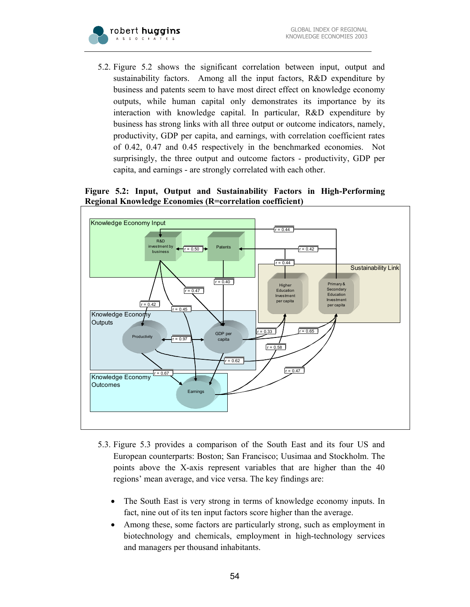

5.2. Figure 5.2 shows the significant correlation between input, output and sustainability factors. Among all the input factors, R&D expenditure by business and patents seem to have most direct effect on knowledge economy outputs, while human capital only demonstrates its importance by its interaction with knowledge capital. In particular, R&D expenditure by business has strong links with all three output or outcome indicators, namely, productivity, GDP per capita, and earnings, with correlation coefficient rates of 0.42, 0.47 and 0.45 respectively in the benchmarked economies. Not surprisingly, the three output and outcome factors - productivity, GDP per capita, and earnings - are strongly correlated with each other.

#### **Figure 5.2: Input, Output and Sustainability Factors in High-Performing Regional Knowledge Economies (R=correlation coefficient)**



- 5.3. Figure 5.3 provides a comparison of the South East and its four US and European counterparts: Boston; San Francisco; Uusimaa and Stockholm. The points above the X-axis represent variables that are higher than the 40 regions' mean average, and vice versa. The key findings are:
	- The South East is very strong in terms of knowledge economy inputs. In fact, nine out of its ten input factors score higher than the average.
	- Among these, some factors are particularly strong, such as employment in biotechnology and chemicals, employment in high-technology services and managers per thousand inhabitants.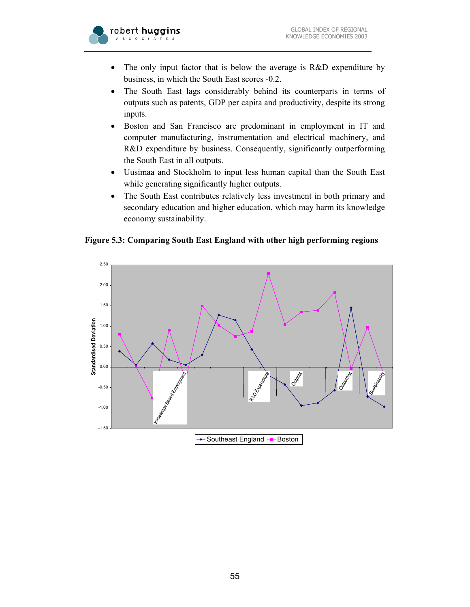

- The only input factor that is below the average is R&D expenditure by business, in which the South East scores -0.2.
- The South East lags considerably behind its counterparts in terms of outputs such as patents, GDP per capita and productivity, despite its strong inputs.
- Boston and San Francisco are predominant in employment in IT and computer manufacturing, instrumentation and electrical machinery, and R&D expenditure by business. Consequently, significantly outperforming the South East in all outputs.
- Uusimaa and Stockholm to input less human capital than the South East while generating significantly higher outputs.
- The South East contributes relatively less investment in both primary and secondary education and higher education, which may harm its knowledge economy sustainability.

**Figure 5.3: Comparing South East England with other high performing regions** 

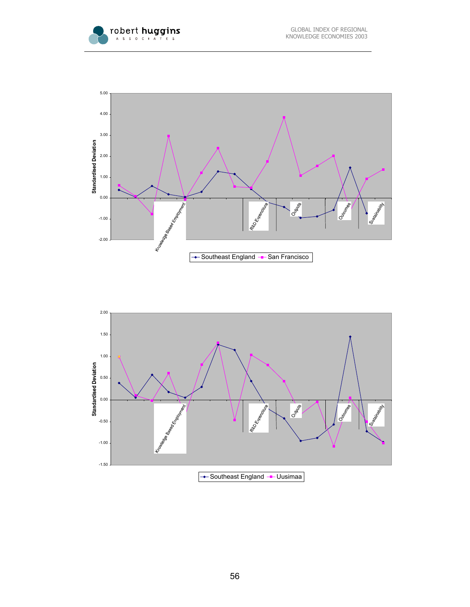



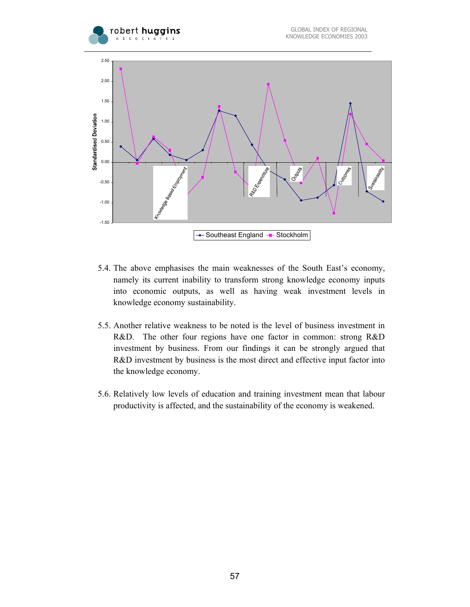



- 5.4. The above emphasises the main weaknesses of the South East's economy, namely its current inability to transform strong knowledge economy inputs into economic outputs, as well as having weak investment levels in knowledge economy sustainability.
- 5.5. Another relative weakness to be noted is the level of business investment in R&D. The other four regions have one factor in common: strong R&D investment by business. From our findings it can be strongly argued that R&D investment by business is the most direct and effective input factor into the knowledge economy.
- 5.6. Relatively low levels of education and training investment mean that labour productivity is affected, and the sustainability of the economy is weakened.